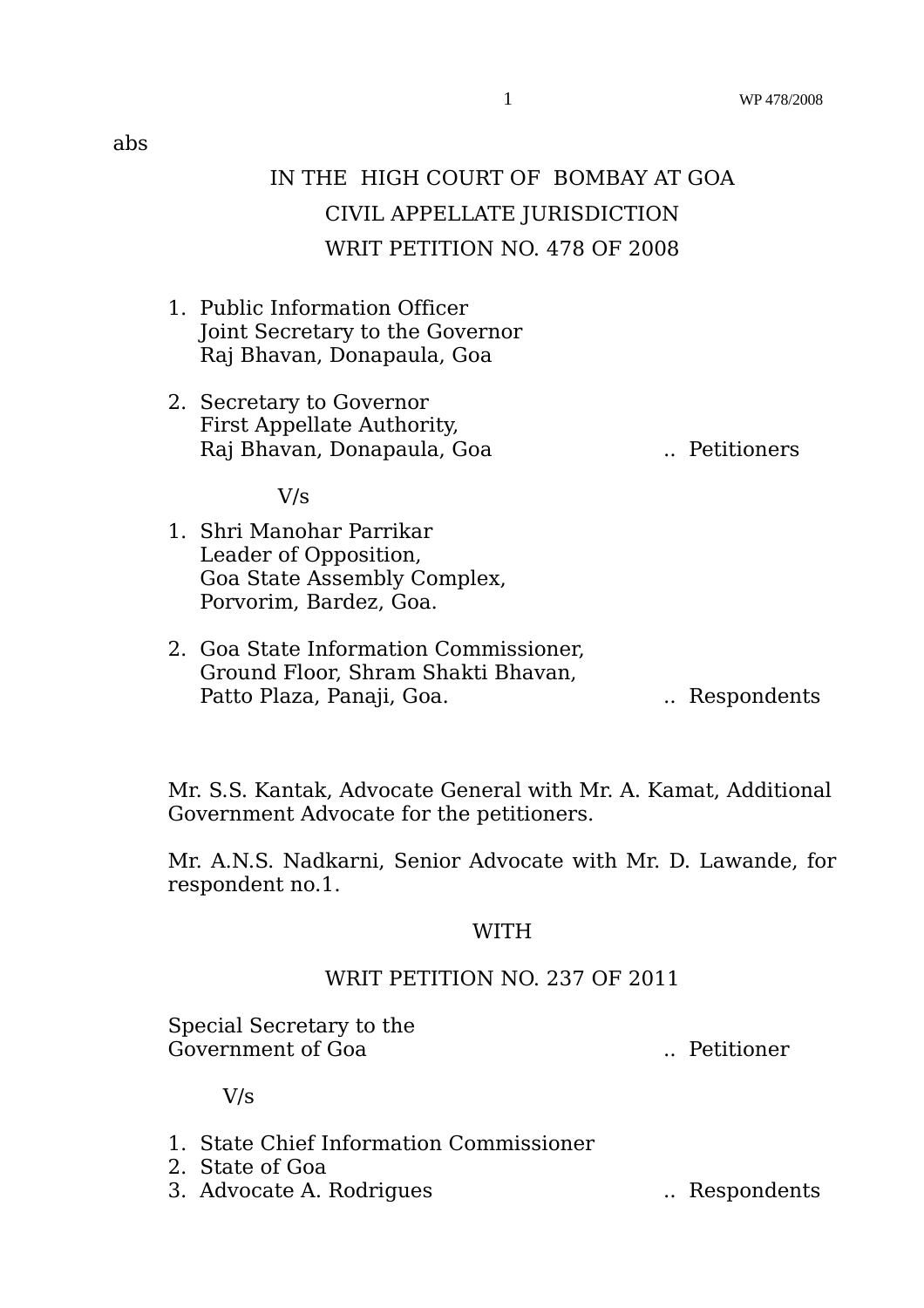- 1. Public Information Officer Joint Secretary to the Governor Raj Bhavan, Donapaula, Goa
- 2. Secretary to Governor First Appellate Authority, Raj Bhavan, Donapaula, Goa .. Petitioners

V/s

- 1. Shri Manohar Parrikar Leader of Opposition, Goa State Assembly Complex, Porvorim, Bardez, Goa.
- 2. Goa State Information Commissioner, Ground Floor, Shram Shakti Bhavan, Patto Plaza, Panaji, Goa. ... ... Respondents

Mr. S.S. Kantak, Advocate General with Mr. A. Kamat, Additional Government Advocate for the petitioners.

Mr. A.N.S. Nadkarni, Senior Advocate with Mr. D. Lawande, for respondent no.1.

# WITH

# WRIT PETITION NO. 237 OF 2011

Special Secretary to the Government of Goa .. Petitioner

V/s

- 1. State Chief Information Commissioner
- 2. State of Goa
- 3. Advocate A. Rodrigues ... Respondents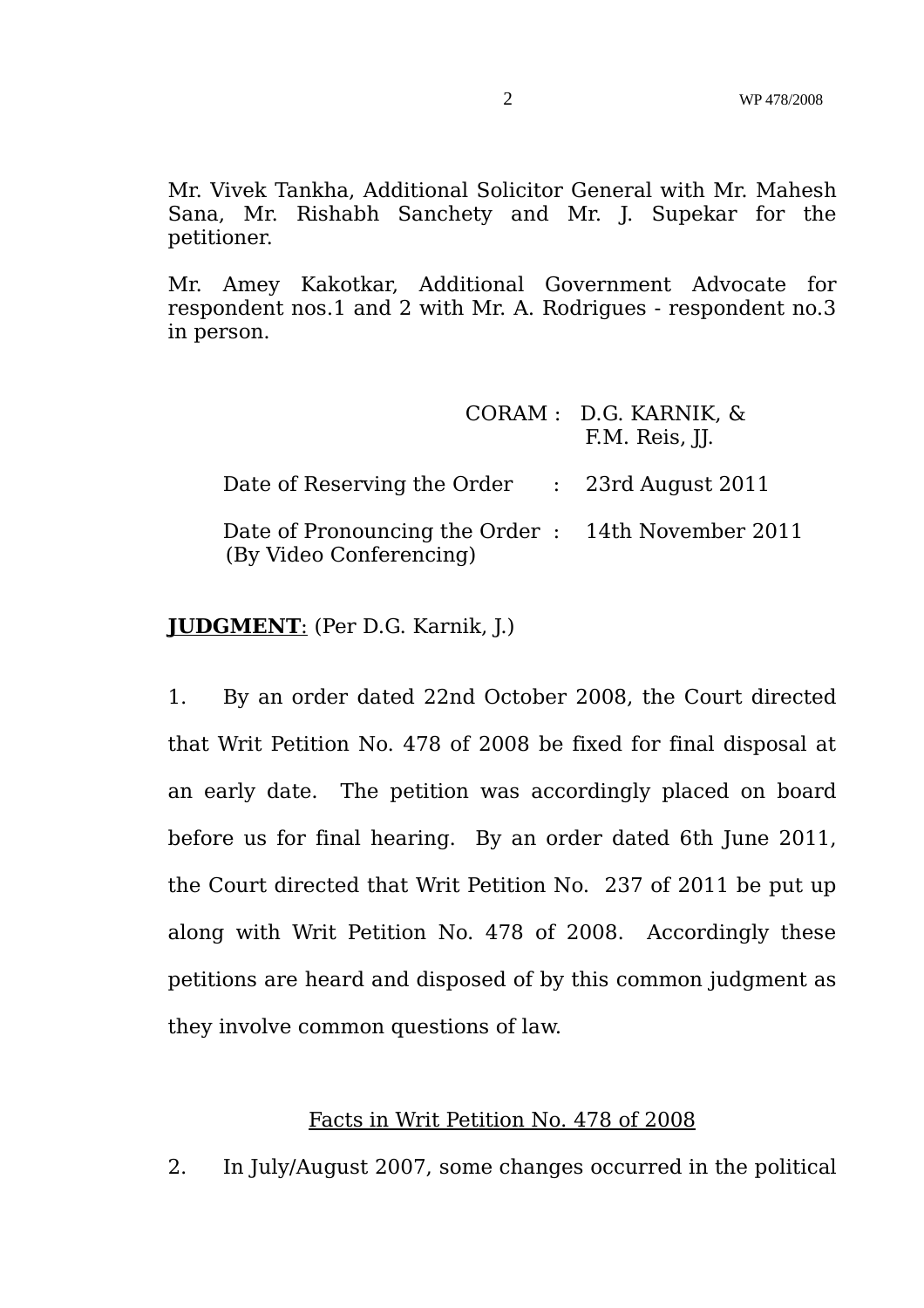Mr. Vivek Tankha, Additional Solicitor General with Mr. Mahesh Sana, Mr. Rishabh Sanchety and Mr. J. Supekar for the petitioner.

Mr. Amey Kakotkar, Additional Government Advocate for respondent nos.1 and 2 with Mr. A. Rodrigues - respondent no.3 in person.

|                                                                               | CORAM : D.G. KARNIK, &<br>F.M. Reis, II. |
|-------------------------------------------------------------------------------|------------------------------------------|
| Date of Reserving the Order : 23rd August 2011                                |                                          |
| Date of Pronouncing the Order : 14th November 2011<br>(By Video Conferencing) |                                          |

# **JUDGMENT**: (Per D.G. Karnik, J.)

1. By an order dated 22nd October 2008, the Court directed that Writ Petition No. 478 of 2008 be fixed for final disposal at an early date. The petition was accordingly placed on board before us for final hearing. By an order dated 6th June 2011, the Court directed that Writ Petition No. 237 of 2011 be put up along with Writ Petition No. 478 of 2008. Accordingly these petitions are heard and disposed of by this common judgment as they involve common questions of law.

# Facts in Writ Petition No. 478 of 2008

2. In July/August 2007, some changes occurred in the political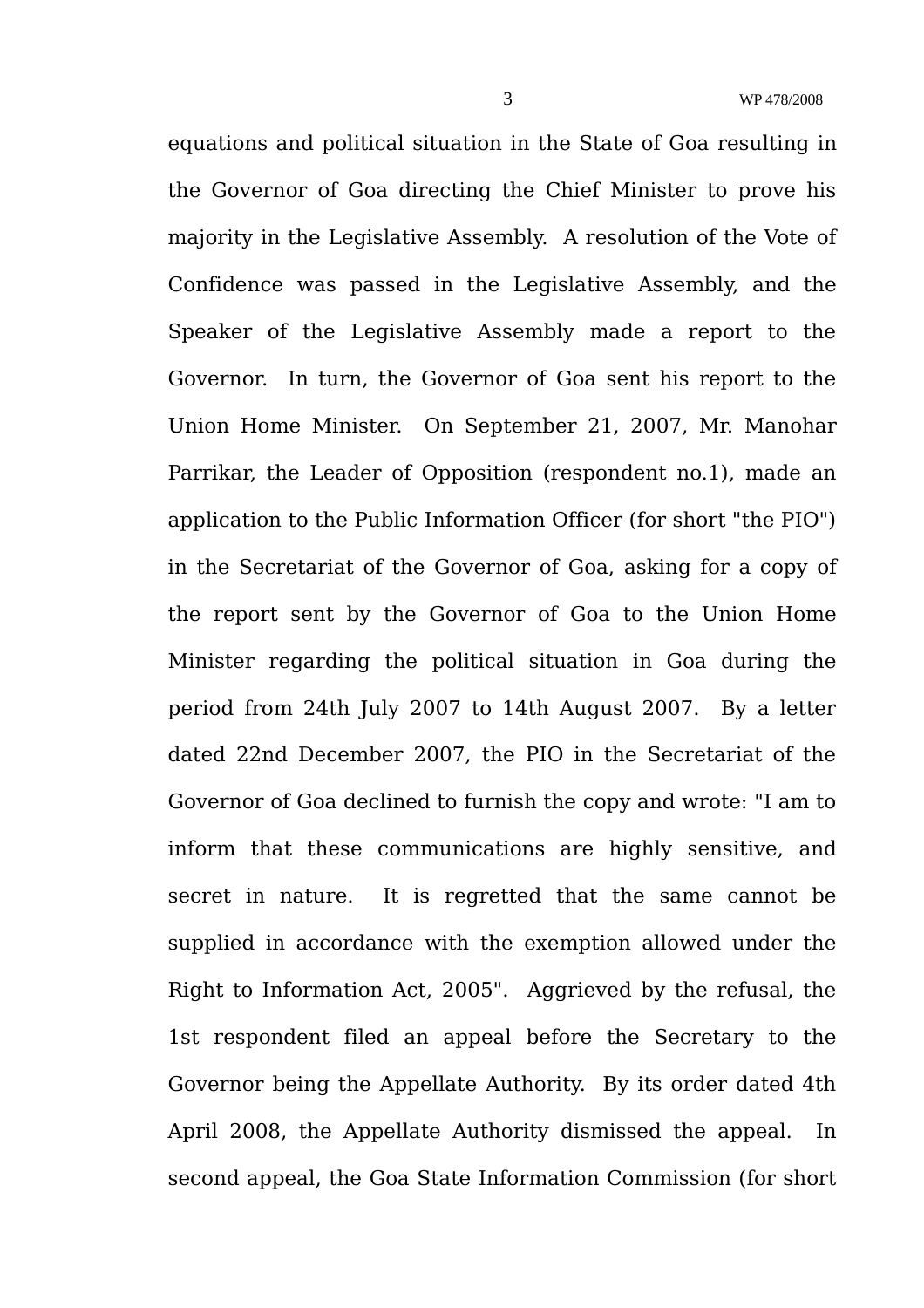equations and political situation in the State of Goa resulting in the Governor of Goa directing the Chief Minister to prove his majority in the Legislative Assembly. A resolution of the Vote of Confidence was passed in the Legislative Assembly, and the Speaker of the Legislative Assembly made a report to the Governor. In turn, the Governor of Goa sent his report to the Union Home Minister. On September 21, 2007, Mr. Manohar Parrikar, the Leader of Opposition (respondent no.1), made an application to the Public Information Officer (for short "the PIO") in the Secretariat of the Governor of Goa, asking for a copy of the report sent by the Governor of Goa to the Union Home Minister regarding the political situation in Goa during the period from 24th July 2007 to 14th August 2007. By a letter dated 22nd December 2007, the PIO in the Secretariat of the Governor of Goa declined to furnish the copy and wrote: "I am to inform that these communications are highly sensitive, and secret in nature. It is regretted that the same cannot be supplied in accordance with the exemption allowed under the Right to Information Act, 2005". Aggrieved by the refusal, the 1st respondent filed an appeal before the Secretary to the Governor being the Appellate Authority. By its order dated 4th April 2008, the Appellate Authority dismissed the appeal. In second appeal, the Goa State Information Commission (for short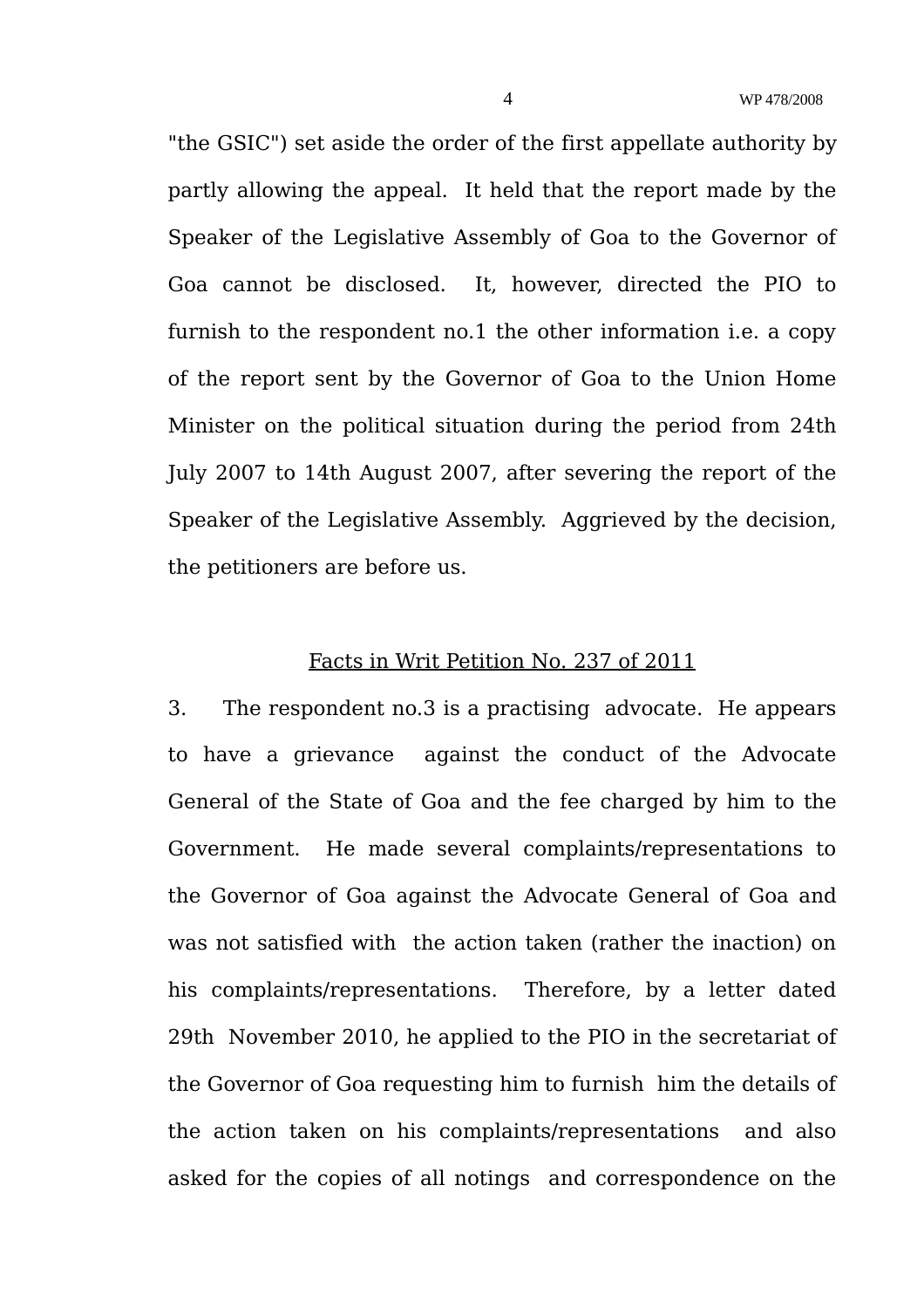"the GSIC") set aside the order of the first appellate authority by partly allowing the appeal. It held that the report made by the Speaker of the Legislative Assembly of Goa to the Governor of Goa cannot be disclosed. It, however, directed the PIO to furnish to the respondent no.1 the other information i.e. a copy of the report sent by the Governor of Goa to the Union Home Minister on the political situation during the period from 24th July 2007 to 14th August 2007, after severing the report of the Speaker of the Legislative Assembly. Aggrieved by the decision, the petitioners are before us.

#### Facts in Writ Petition No. 237 of 2011

3. The respondent no.3 is a practising advocate. He appears to have a grievance against the conduct of the Advocate General of the State of Goa and the fee charged by him to the Government. He made several complaints/representations to the Governor of Goa against the Advocate General of Goa and was not satisfied with the action taken (rather the inaction) on his complaints/representations. Therefore, by a letter dated 29th November 2010, he applied to the PIO in the secretariat of the Governor of Goa requesting him to furnish him the details of the action taken on his complaints/representations and also asked for the copies of all notings and correspondence on the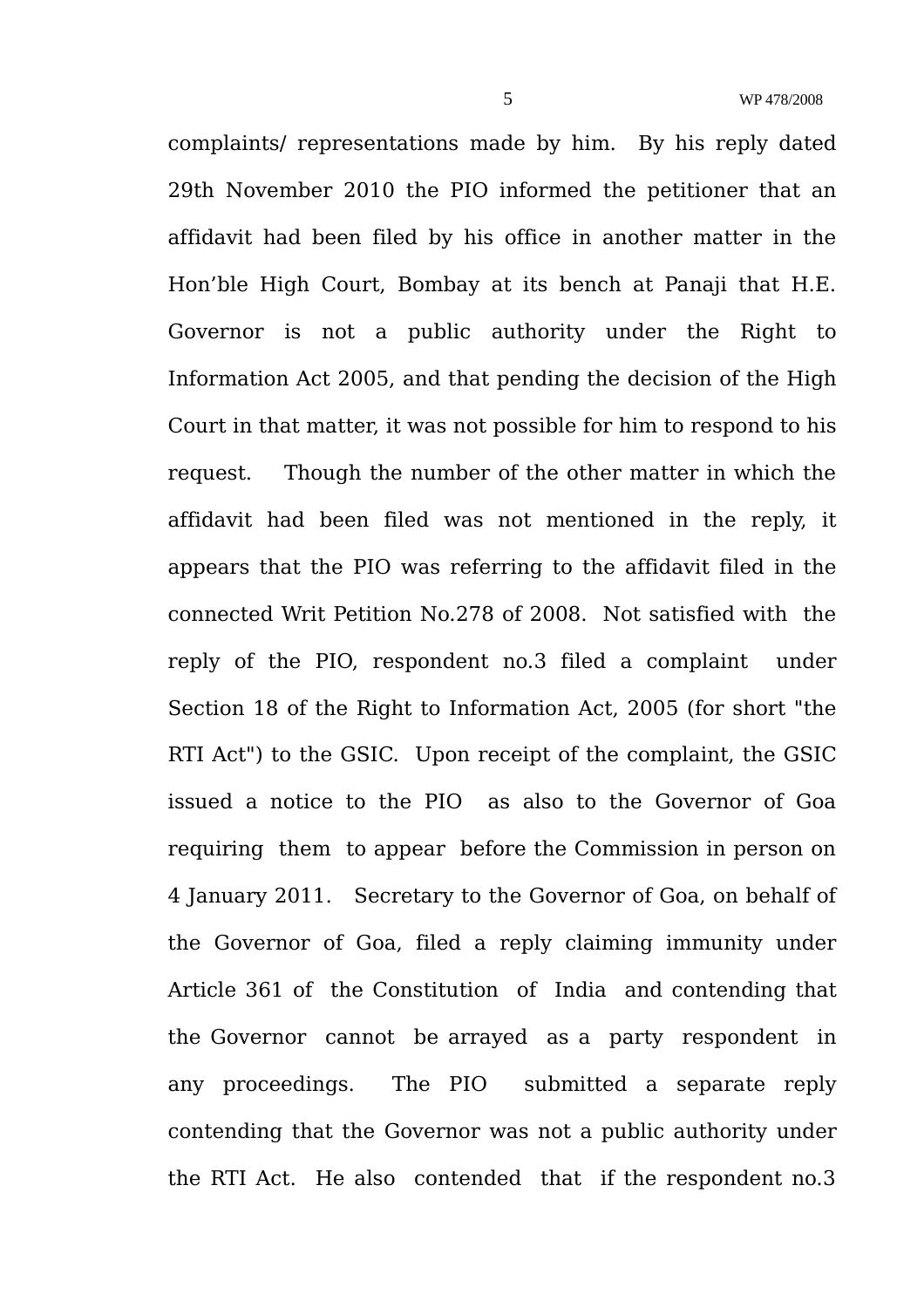complaints/ representations made by him. By his reply dated 29th November 2010 the PIO informed the petitioner that an affidavit had been filed by his office in another matter in the Hon'ble High Court, Bombay at its bench at Panaji that H.E. Governor is not a public authority under the Right to Information Act 2005, and that pending the decision of the High Court in that matter, it was not possible for him to respond to his request. Though the number of the other matter in which the affidavit had been filed was not mentioned in the reply, it appears that the PIO was referring to the affidavit filed in the connected Writ Petition No.278 of 2008. Not satisfied with the reply of the PIO, respondent no.3 filed a complaint under Section 18 of the Right to Information Act, 2005 (for short "the RTI Act") to the GSIC. Upon receipt of the complaint, the GSIC issued a notice to the PIO as also to the Governor of Goa requiring them to appear before the Commission in person on 4 January 2011. Secretary to the Governor of Goa, on behalf of the Governor of Goa, filed a reply claiming immunity under Article 361 of the Constitution of India and contending that the Governor cannot be arrayed as a party respondent in any proceedings. The PIO submitted a separate reply contending that the Governor was not a public authority under the RTI Act. He also contended that if the respondent no.3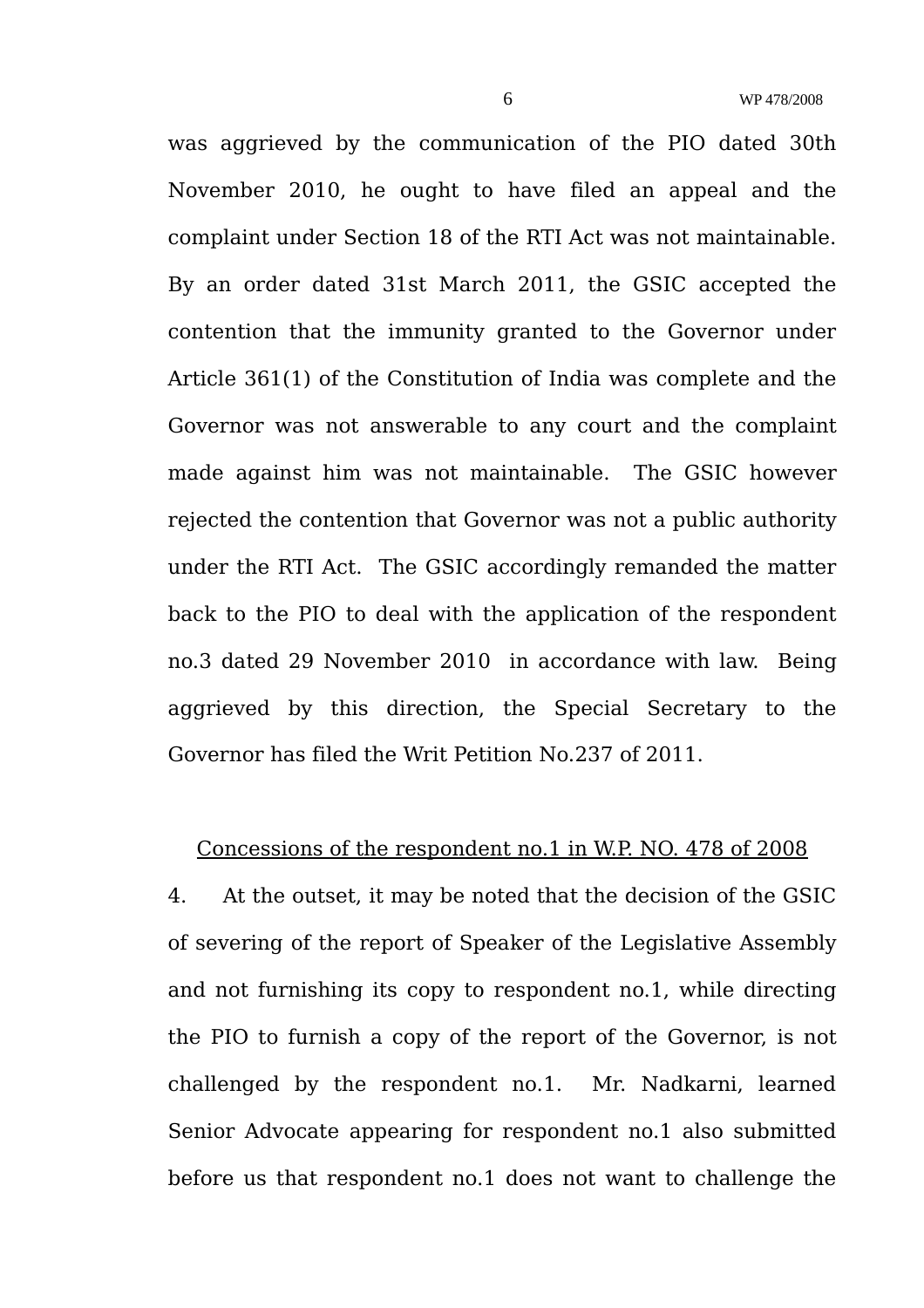was aggrieved by the communication of the PIO dated 30th November 2010, he ought to have filed an appeal and the complaint under Section 18 of the RTI Act was not maintainable. By an order dated 31st March 2011, the GSIC accepted the contention that the immunity granted to the Governor under Article 361(1) of the Constitution of India was complete and the Governor was not answerable to any court and the complaint made against him was not maintainable. The GSIC however rejected the contention that Governor was not a public authority under the RTI Act. The GSIC accordingly remanded the matter back to the PIO to deal with the application of the respondent no.3 dated 29 November 2010 in accordance with law. Being aggrieved by this direction, the Special Secretary to the Governor has filed the Writ Petition No.237 of 2011.

### Concessions of the respondent no.1 in W.P. NO. 478 of 2008

4. At the outset, it may be noted that the decision of the GSIC of severing of the report of Speaker of the Legislative Assembly and not furnishing its copy to respondent no.1, while directing the PIO to furnish a copy of the report of the Governor, is not challenged by the respondent no.1. Mr. Nadkarni, learned Senior Advocate appearing for respondent no.1 also submitted before us that respondent no.1 does not want to challenge the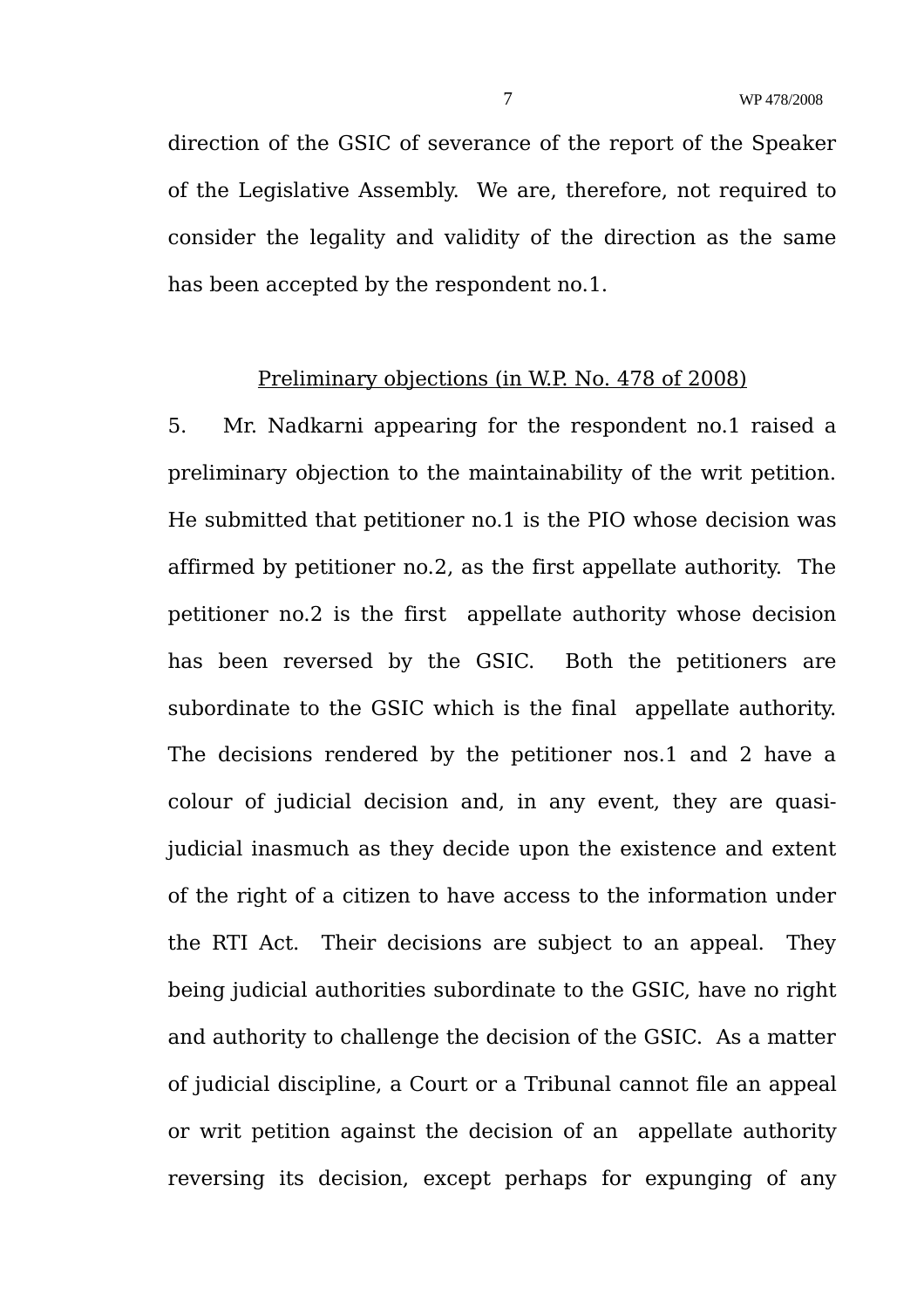direction of the GSIC of severance of the report of the Speaker of the Legislative Assembly. We are, therefore, not required to consider the legality and validity of the direction as the same has been accepted by the respondent no.1.

### Preliminary objections (in W.P. No. 478 of 2008)

5. Mr. Nadkarni appearing for the respondent no.1 raised a preliminary objection to the maintainability of the writ petition. He submitted that petitioner no.1 is the PIO whose decision was affirmed by petitioner no.2, as the first appellate authority. The petitioner no.2 is the first appellate authority whose decision has been reversed by the GSIC. Both the petitioners are subordinate to the GSIC which is the final appellate authority. The decisions rendered by the petitioner nos.1 and 2 have a colour of judicial decision and, in any event, they are quasijudicial inasmuch as they decide upon the existence and extent of the right of a citizen to have access to the information under the RTI Act. Their decisions are subject to an appeal. They being judicial authorities subordinate to the GSIC, have no right and authority to challenge the decision of the GSIC. As a matter of judicial discipline, a Court or a Tribunal cannot file an appeal or writ petition against the decision of an appellate authority reversing its decision, except perhaps for expunging of any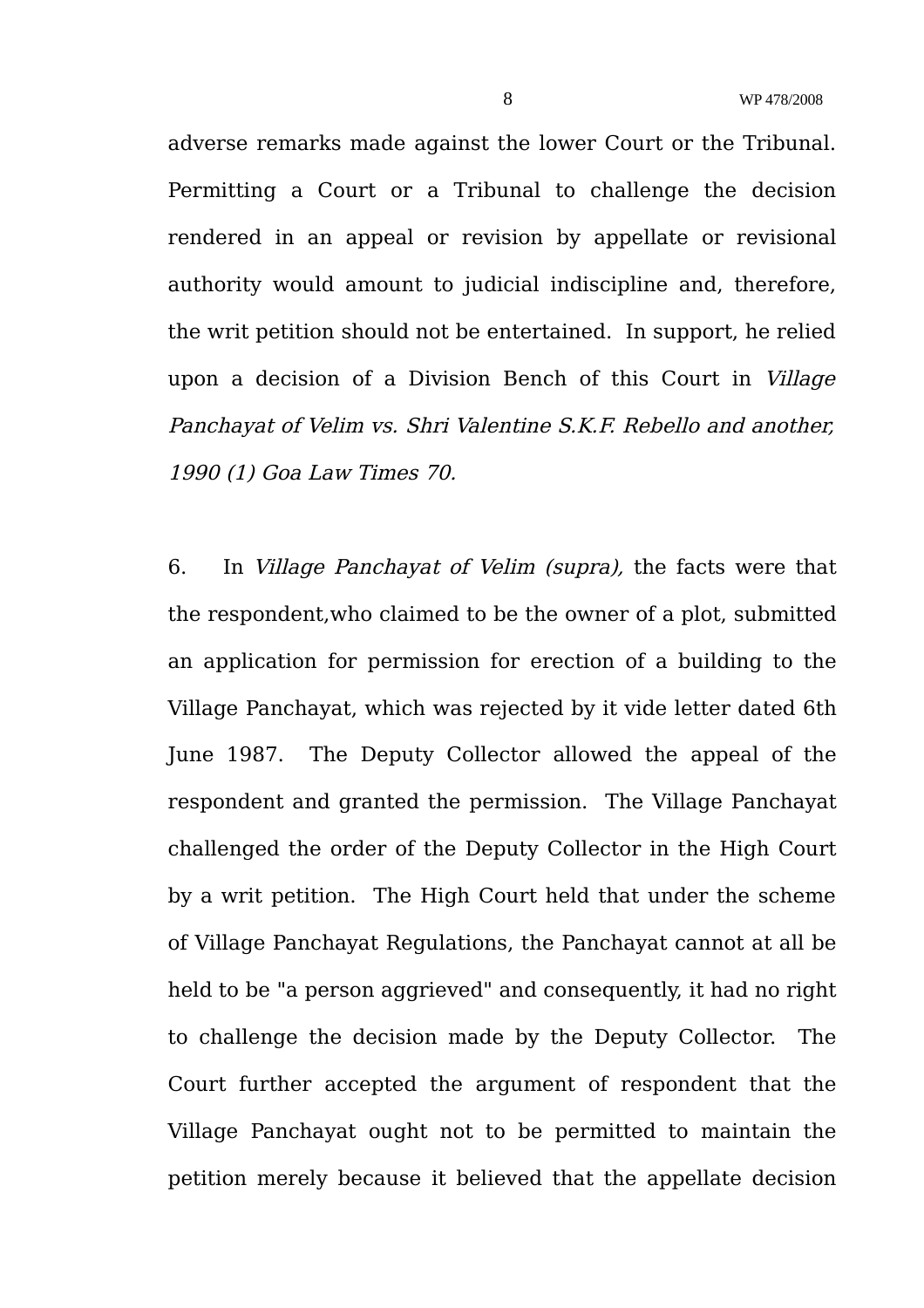adverse remarks made against the lower Court or the Tribunal. Permitting a Court or a Tribunal to challenge the decision rendered in an appeal or revision by appellate or revisional authority would amount to judicial indiscipline and, therefore, the writ petition should not be entertained. In support, he relied upon a decision of a Division Bench of this Court in Village Panchayat of Velim vs. Shri Valentine S.K.F. Rebello and another, 1990 (1) Goa Law Times 70.

6. In Village Panchayat of Velim (supra), the facts were that the respondent,who claimed to be the owner of a plot, submitted an application for permission for erection of a building to the Village Panchayat, which was rejected by it vide letter dated 6th June 1987. The Deputy Collector allowed the appeal of the respondent and granted the permission. The Village Panchayat challenged the order of the Deputy Collector in the High Court by a writ petition. The High Court held that under the scheme of Village Panchayat Regulations, the Panchayat cannot at all be held to be "a person aggrieved" and consequently, it had no right to challenge the decision made by the Deputy Collector. The Court further accepted the argument of respondent that the Village Panchayat ought not to be permitted to maintain the petition merely because it believed that the appellate decision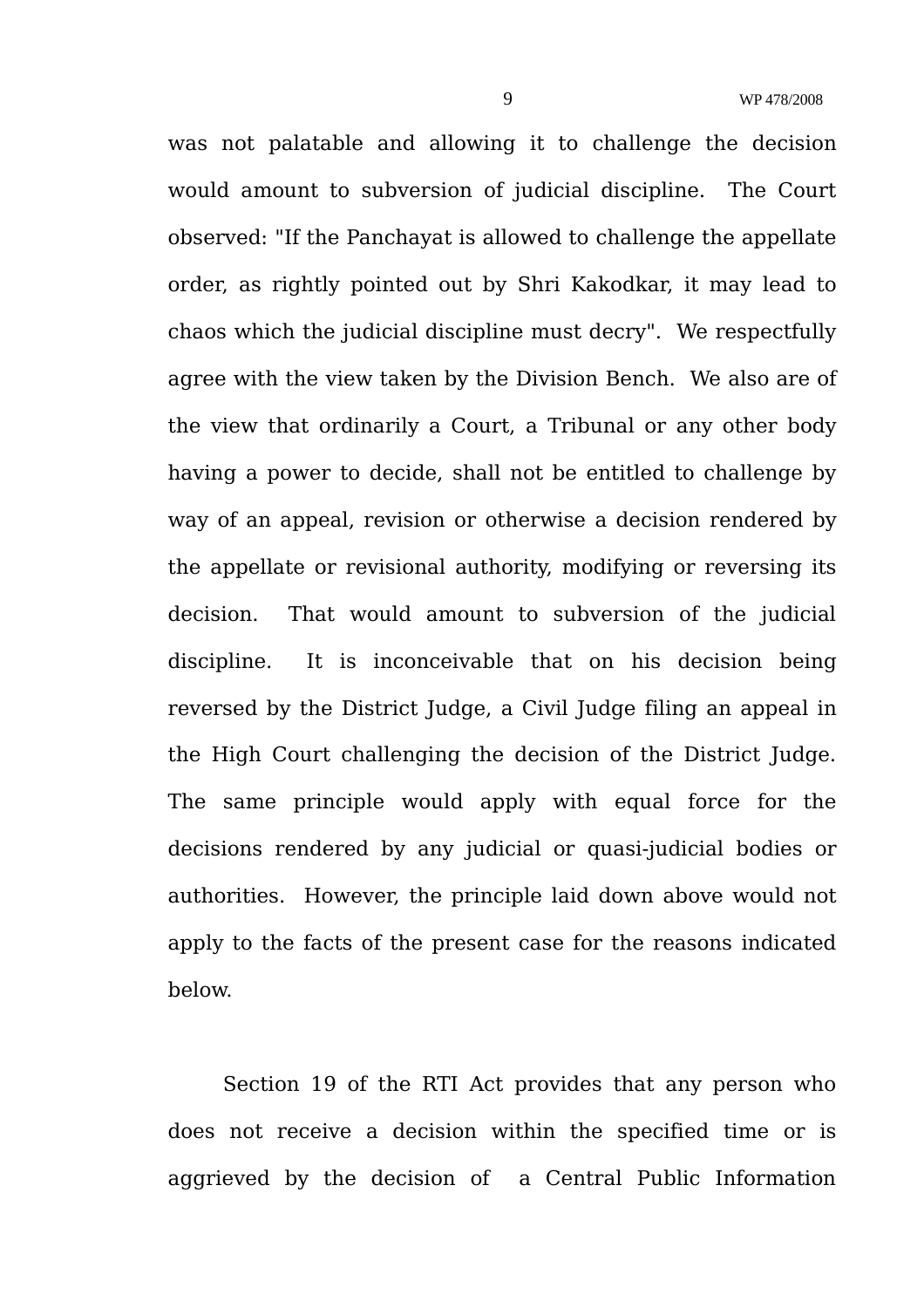was not palatable and allowing it to challenge the decision would amount to subversion of judicial discipline. The Court observed: "If the Panchayat is allowed to challenge the appellate order, as rightly pointed out by Shri Kakodkar, it may lead to chaos which the judicial discipline must decry". We respectfully agree with the view taken by the Division Bench. We also are of the view that ordinarily a Court, a Tribunal or any other body having a power to decide, shall not be entitled to challenge by way of an appeal, revision or otherwise a decision rendered by the appellate or revisional authority, modifying or reversing its decision. That would amount to subversion of the judicial discipline. It is inconceivable that on his decision being reversed by the District Judge, a Civil Judge filing an appeal in the High Court challenging the decision of the District Judge. The same principle would apply with equal force for the decisions rendered by any judicial or quasi-judicial bodies or authorities. However, the principle laid down above would not apply to the facts of the present case for the reasons indicated below.

Section 19 of the RTI Act provides that any person who does not receive a decision within the specified time or is aggrieved by the decision of a Central Public Information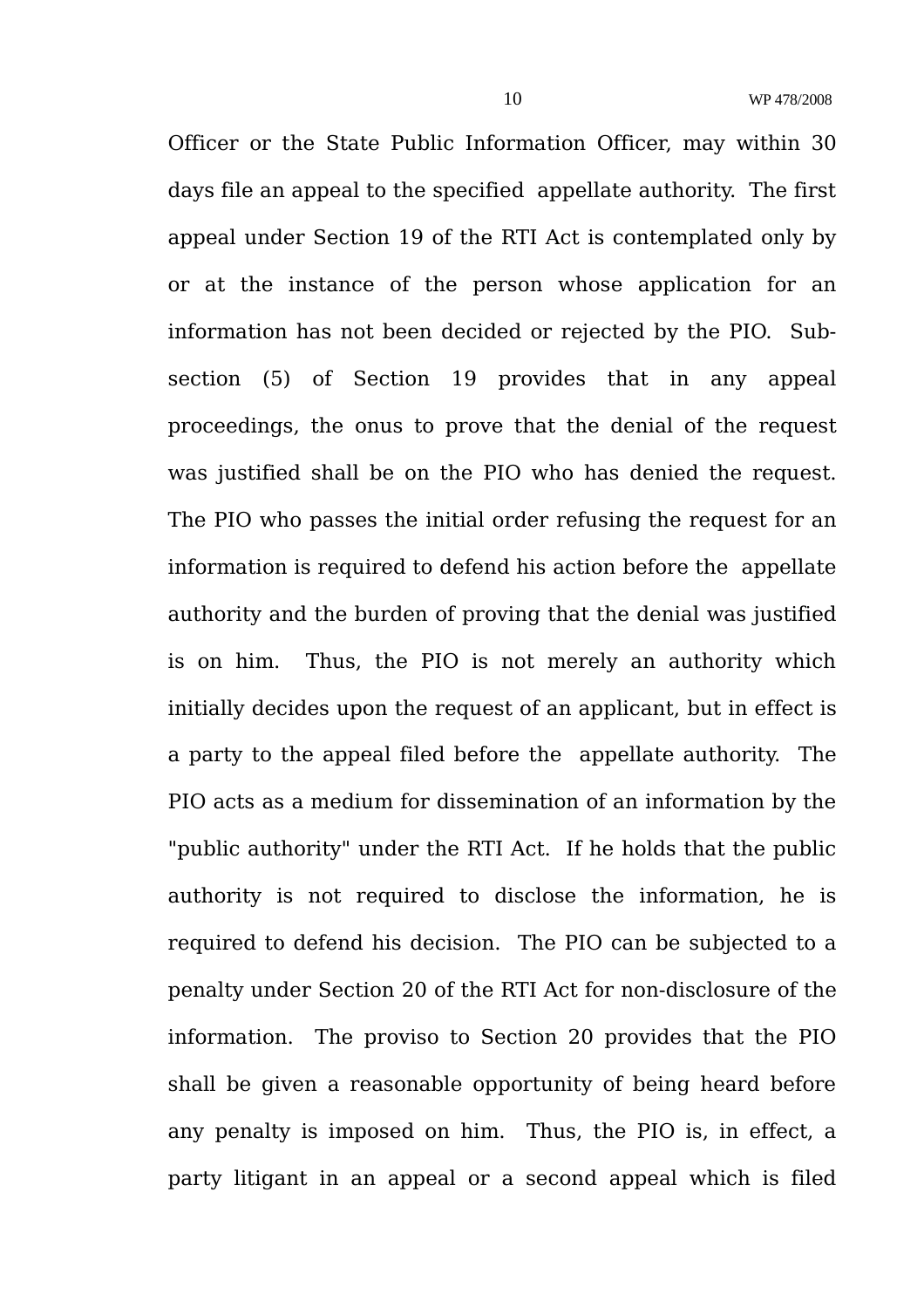Officer or the State Public Information Officer, may within 30 days file an appeal to the specified appellate authority. The first appeal under Section 19 of the RTI Act is contemplated only by or at the instance of the person whose application for an information has not been decided or rejected by the PIO. Subsection (5) of Section 19 provides that in any appeal proceedings, the onus to prove that the denial of the request was justified shall be on the PIO who has denied the request. The PIO who passes the initial order refusing the request for an information is required to defend his action before the appellate authority and the burden of proving that the denial was justified is on him. Thus, the PIO is not merely an authority which initially decides upon the request of an applicant, but in effect is a party to the appeal filed before the appellate authority. The PIO acts as a medium for dissemination of an information by the "public authority" under the RTI Act. If he holds that the public authority is not required to disclose the information, he is required to defend his decision. The PIO can be subjected to a penalty under Section 20 of the RTI Act for non-disclosure of the information. The proviso to Section 20 provides that the PIO shall be given a reasonable opportunity of being heard before any penalty is imposed on him. Thus, the PIO is, in effect, a party litigant in an appeal or a second appeal which is filed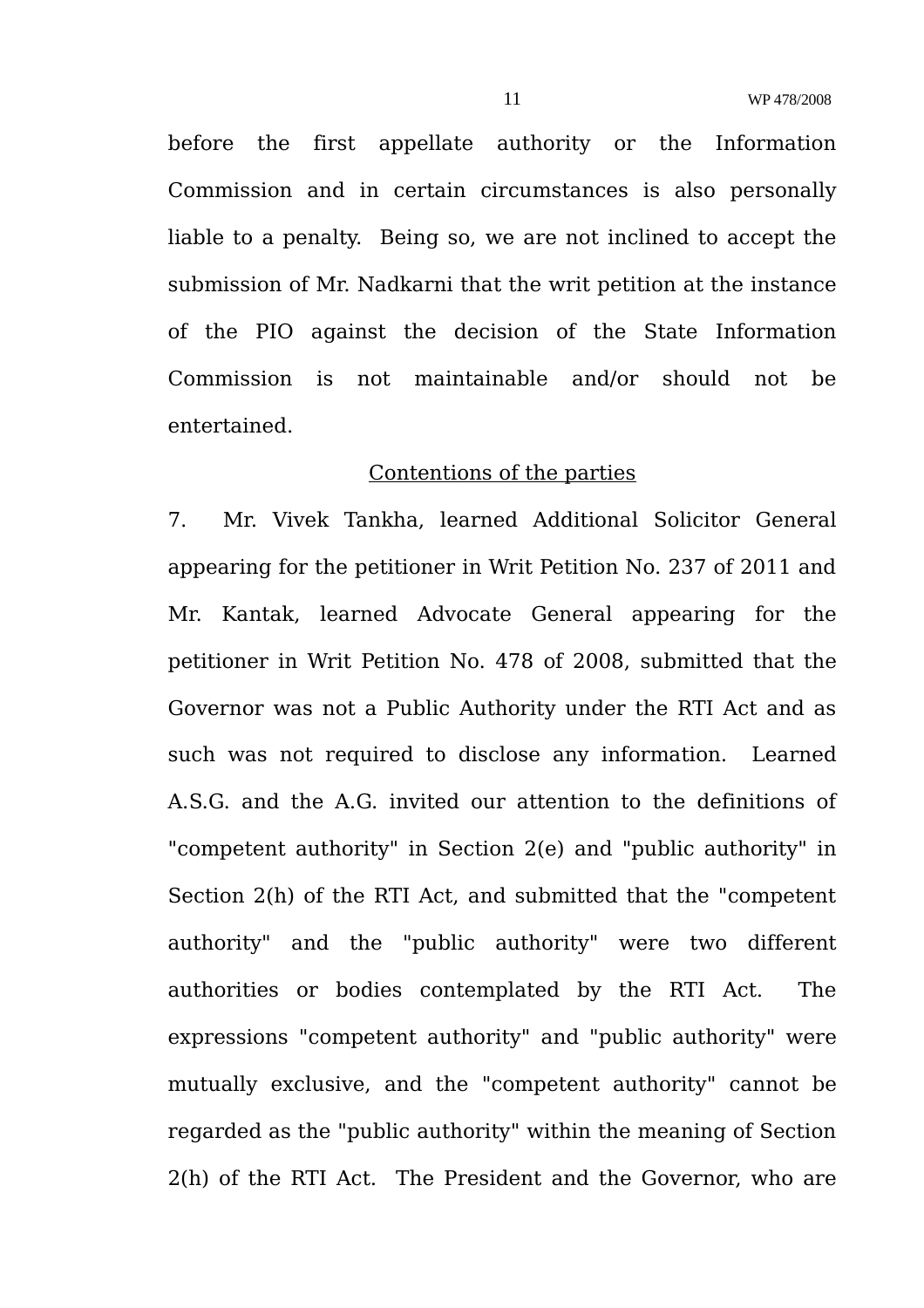before the first appellate authority or the Information Commission and in certain circumstances is also personally liable to a penalty. Being so, we are not inclined to accept the submission of Mr. Nadkarni that the writ petition at the instance of the PIO against the decision of the State Information Commission is not maintainable and/or should not be entertained.

#### Contentions of the parties

7. Mr. Vivek Tankha, learned Additional Solicitor General appearing for the petitioner in Writ Petition No. 237 of 2011 and Mr. Kantak, learned Advocate General appearing for the petitioner in Writ Petition No. 478 of 2008, submitted that the Governor was not a Public Authority under the RTI Act and as such was not required to disclose any information. Learned A.S.G. and the A.G. invited our attention to the definitions of "competent authority" in Section 2(e) and "public authority" in Section 2(h) of the RTI Act, and submitted that the "competent authority" and the "public authority" were two different authorities or bodies contemplated by the RTI Act. The expressions "competent authority" and "public authority" were mutually exclusive, and the "competent authority" cannot be regarded as the "public authority" within the meaning of Section 2(h) of the RTI Act. The President and the Governor, who are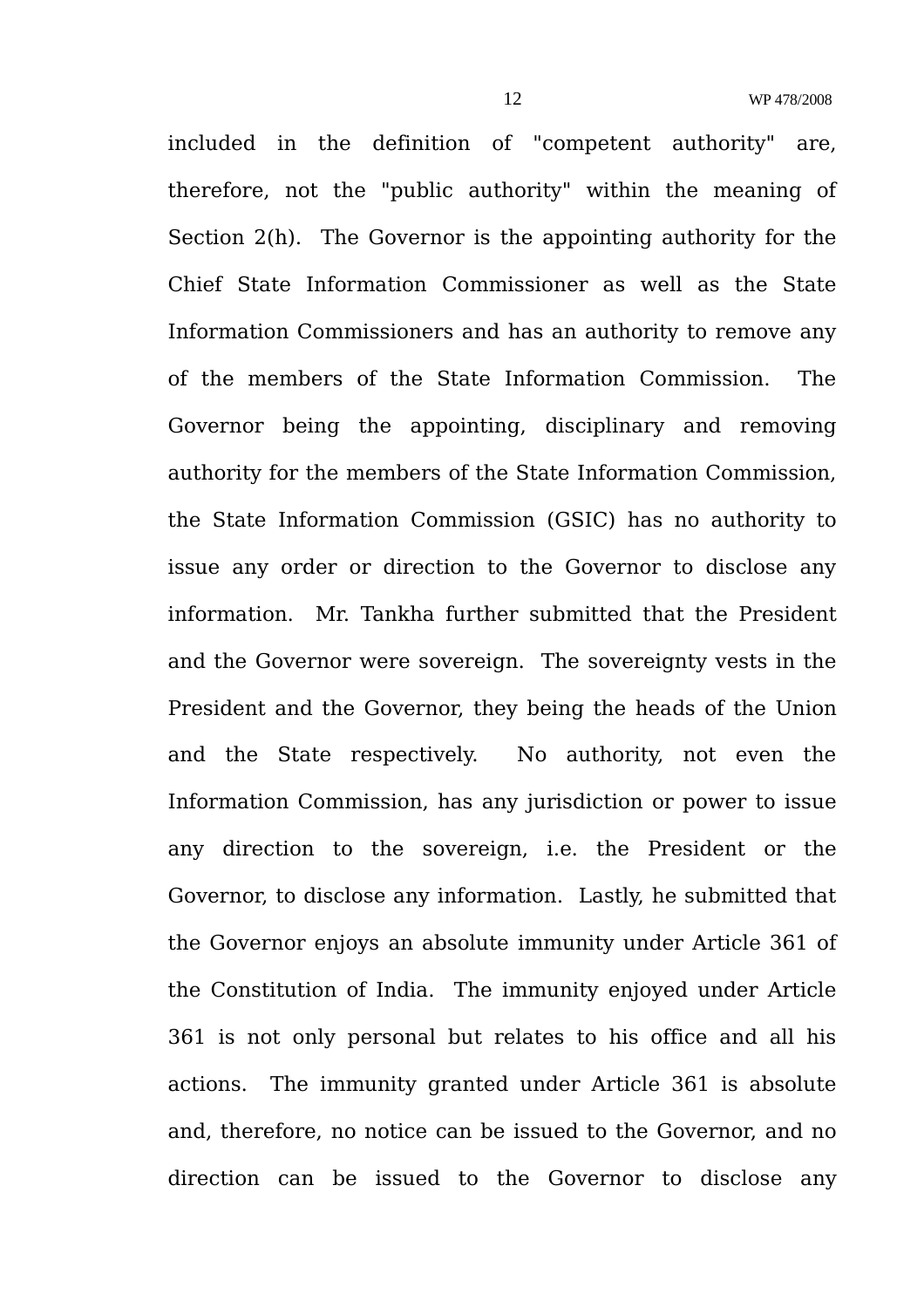included in the definition of "competent authority" are, therefore, not the "public authority" within the meaning of Section 2(h). The Governor is the appointing authority for the Chief State Information Commissioner as well as the State Information Commissioners and has an authority to remove any of the members of the State Information Commission. The Governor being the appointing, disciplinary and removing authority for the members of the State Information Commission, the State Information Commission (GSIC) has no authority to issue any order or direction to the Governor to disclose any information. Mr. Tankha further submitted that the President and the Governor were sovereign. The sovereignty vests in the President and the Governor, they being the heads of the Union and the State respectively. No authority, not even the Information Commission, has any jurisdiction or power to issue any direction to the sovereign, i.e. the President or the Governor, to disclose any information. Lastly, he submitted that the Governor enjoys an absolute immunity under Article 361 of the Constitution of India. The immunity enjoyed under Article 361 is not only personal but relates to his office and all his actions. The immunity granted under Article 361 is absolute and, therefore, no notice can be issued to the Governor, and no direction can be issued to the Governor to disclose any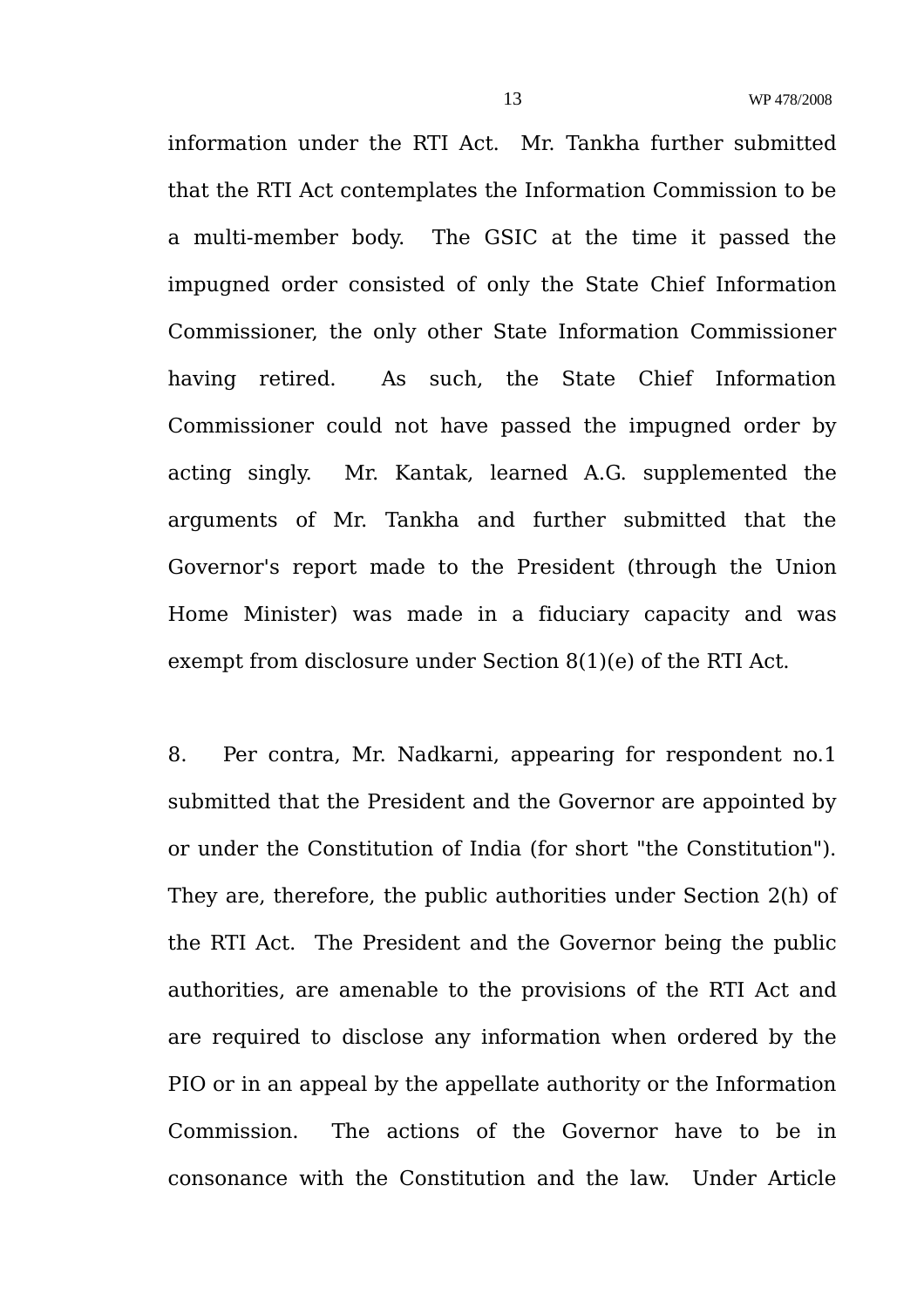information under the RTI Act. Mr. Tankha further submitted that the RTI Act contemplates the Information Commission to be a multi-member body. The GSIC at the time it passed the impugned order consisted of only the State Chief Information Commissioner, the only other State Information Commissioner having retired. As such, the State Chief Information Commissioner could not have passed the impugned order by acting singly. Mr. Kantak, learned A.G. supplemented the arguments of Mr. Tankha and further submitted that the Governor's report made to the President (through the Union Home Minister) was made in a fiduciary capacity and was exempt from disclosure under Section 8(1)(e) of the RTI Act.

8. Per contra, Mr. Nadkarni, appearing for respondent no.1 submitted that the President and the Governor are appointed by or under the Constitution of India (for short "the Constitution"). They are, therefore, the public authorities under Section 2(h) of the RTI Act. The President and the Governor being the public authorities, are amenable to the provisions of the RTI Act and are required to disclose any information when ordered by the PIO or in an appeal by the appellate authority or the Information Commission. The actions of the Governor have to be in consonance with the Constitution and the law. Under Article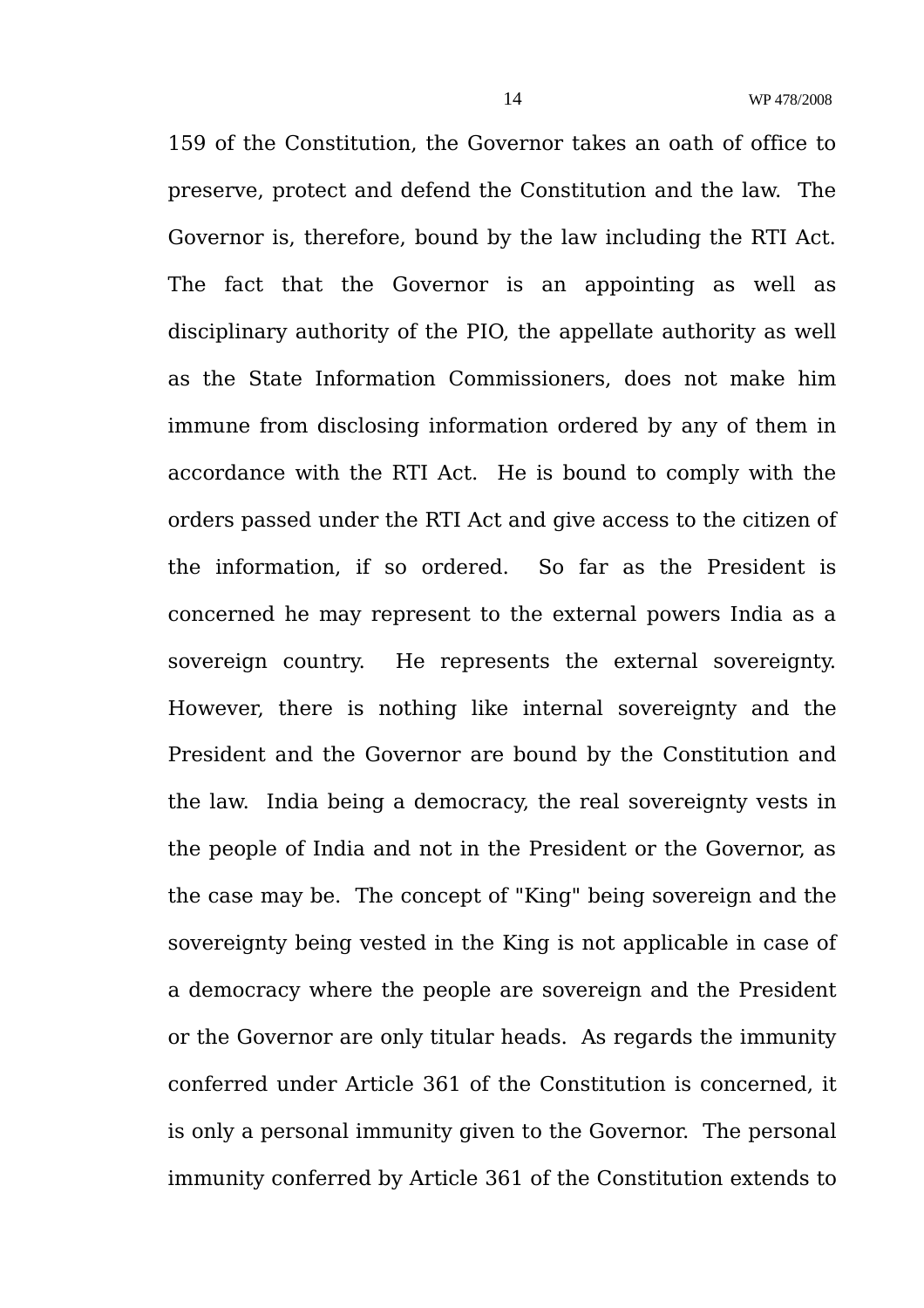159 of the Constitution, the Governor takes an oath of office to preserve, protect and defend the Constitution and the law. The Governor is, therefore, bound by the law including the RTI Act. The fact that the Governor is an appointing as well as disciplinary authority of the PIO, the appellate authority as well as the State Information Commissioners, does not make him immune from disclosing information ordered by any of them in accordance with the RTI Act. He is bound to comply with the orders passed under the RTI Act and give access to the citizen of the information, if so ordered. So far as the President is concerned he may represent to the external powers India as a sovereign country. He represents the external sovereignty. However, there is nothing like internal sovereignty and the President and the Governor are bound by the Constitution and the law. India being a democracy, the real sovereignty vests in the people of India and not in the President or the Governor, as the case may be. The concept of "King" being sovereign and the sovereignty being vested in the King is not applicable in case of a democracy where the people are sovereign and the President or the Governor are only titular heads. As regards the immunity conferred under Article 361 of the Constitution is concerned, it is only a personal immunity given to the Governor. The personal immunity conferred by Article 361 of the Constitution extends to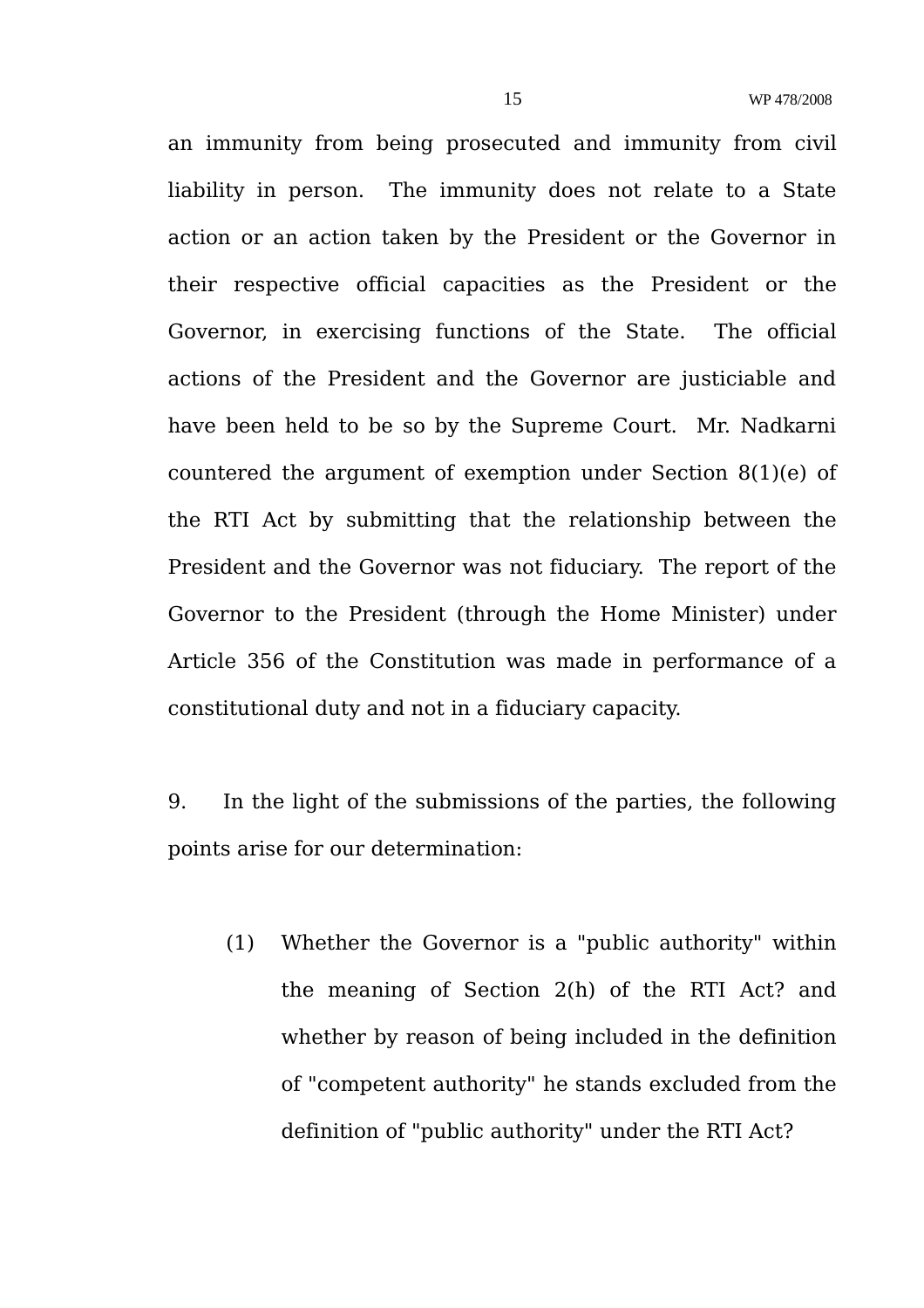an immunity from being prosecuted and immunity from civil liability in person. The immunity does not relate to a State action or an action taken by the President or the Governor in their respective official capacities as the President or the Governor, in exercising functions of the State. The official actions of the President and the Governor are justiciable and have been held to be so by the Supreme Court. Mr. Nadkarni countered the argument of exemption under Section 8(1)(e) of the RTI Act by submitting that the relationship between the President and the Governor was not fiduciary. The report of the Governor to the President (through the Home Minister) under Article 356 of the Constitution was made in performance of a constitutional duty and not in a fiduciary capacity.

9. In the light of the submissions of the parties, the following points arise for our determination:

(1) Whether the Governor is a "public authority" within the meaning of Section 2(h) of the RTI Act? and whether by reason of being included in the definition of "competent authority" he stands excluded from the definition of "public authority" under the RTI Act?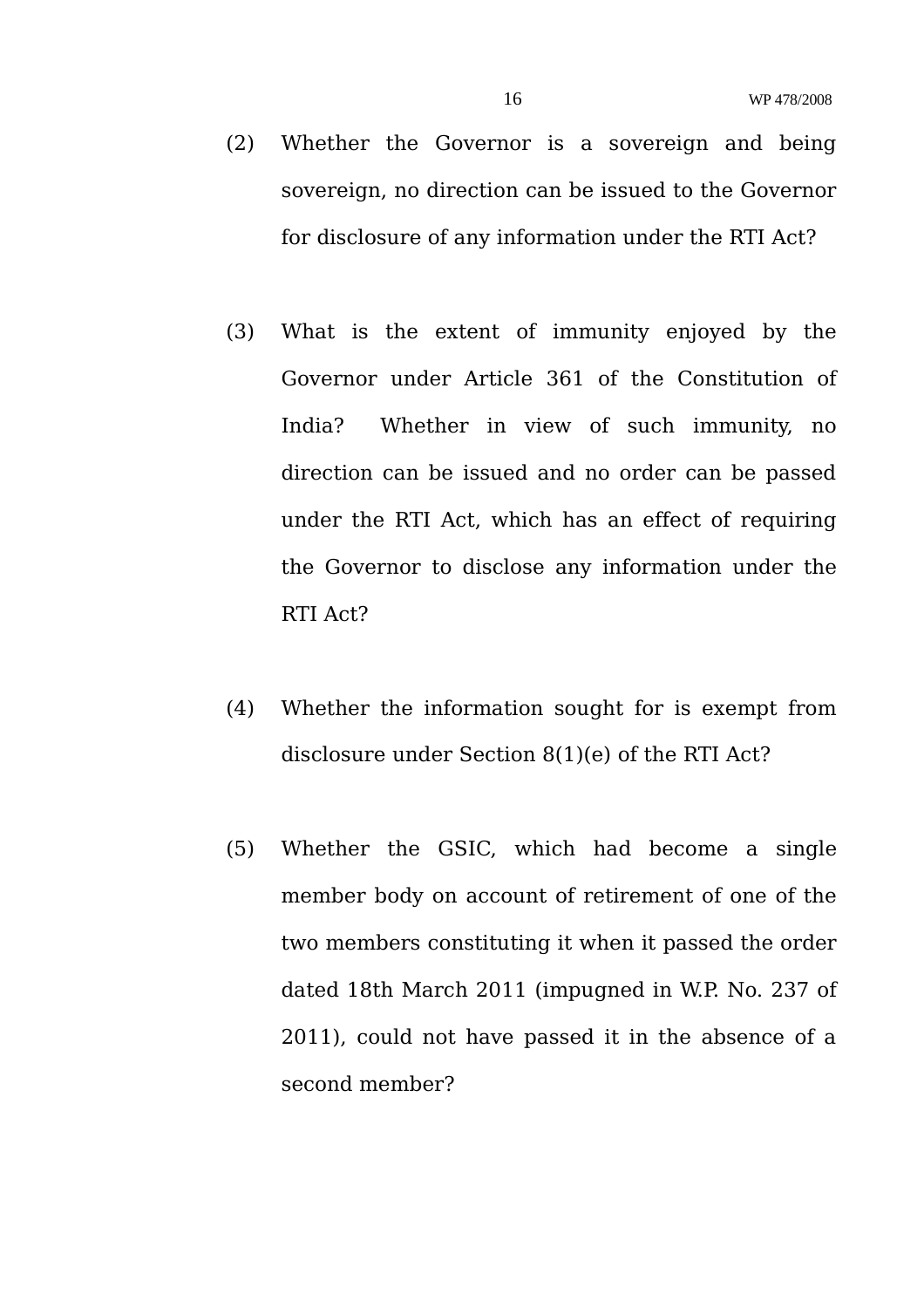- (2) Whether the Governor is a sovereign and being sovereign, no direction can be issued to the Governor for disclosure of any information under the RTI Act?
- (3) What is the extent of immunity enjoyed by the Governor under Article 361 of the Constitution of India? Whether in view of such immunity, no direction can be issued and no order can be passed under the RTI Act, which has an effect of requiring the Governor to disclose any information under the RTI Act?
- (4) Whether the information sought for is exempt from disclosure under Section 8(1)(e) of the RTI Act?
- (5) Whether the GSIC, which had become a single member body on account of retirement of one of the two members constituting it when it passed the order dated 18th March 2011 (impugned in W.P. No. 237 of 2011), could not have passed it in the absence of a second member?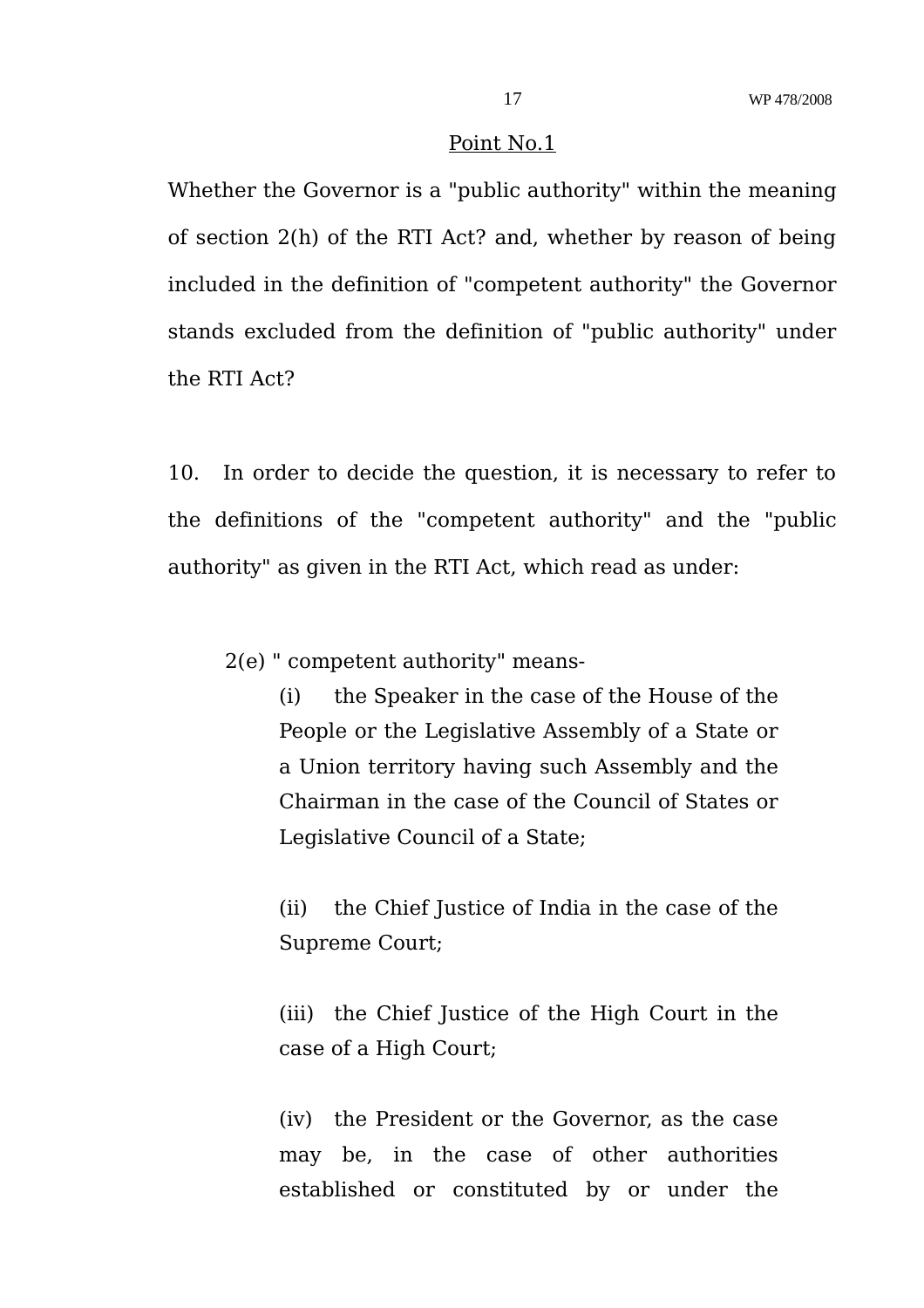#### Point No.1

Whether the Governor is a "public authority" within the meaning of section 2(h) of the RTI Act? and, whether by reason of being included in the definition of "competent authority" the Governor stands excluded from the definition of "public authority" under the RTI Act?

10. In order to decide the question, it is necessary to refer to the definitions of the "competent authority" and the "public authority" as given in the RTI Act, which read as under:

2(e) " competent authority" means-

(i) the Speaker in the case of the House of the People or the Legislative Assembly of a State or a Union territory having such Assembly and the Chairman in the case of the Council of States or Legislative Council of a State;

(ii) the Chief Justice of India in the case of the Supreme Court;

(iii) the Chief Justice of the High Court in the case of a High Court;

(iv) the President or the Governor, as the case may be, in the case of other authorities established or constituted by or under the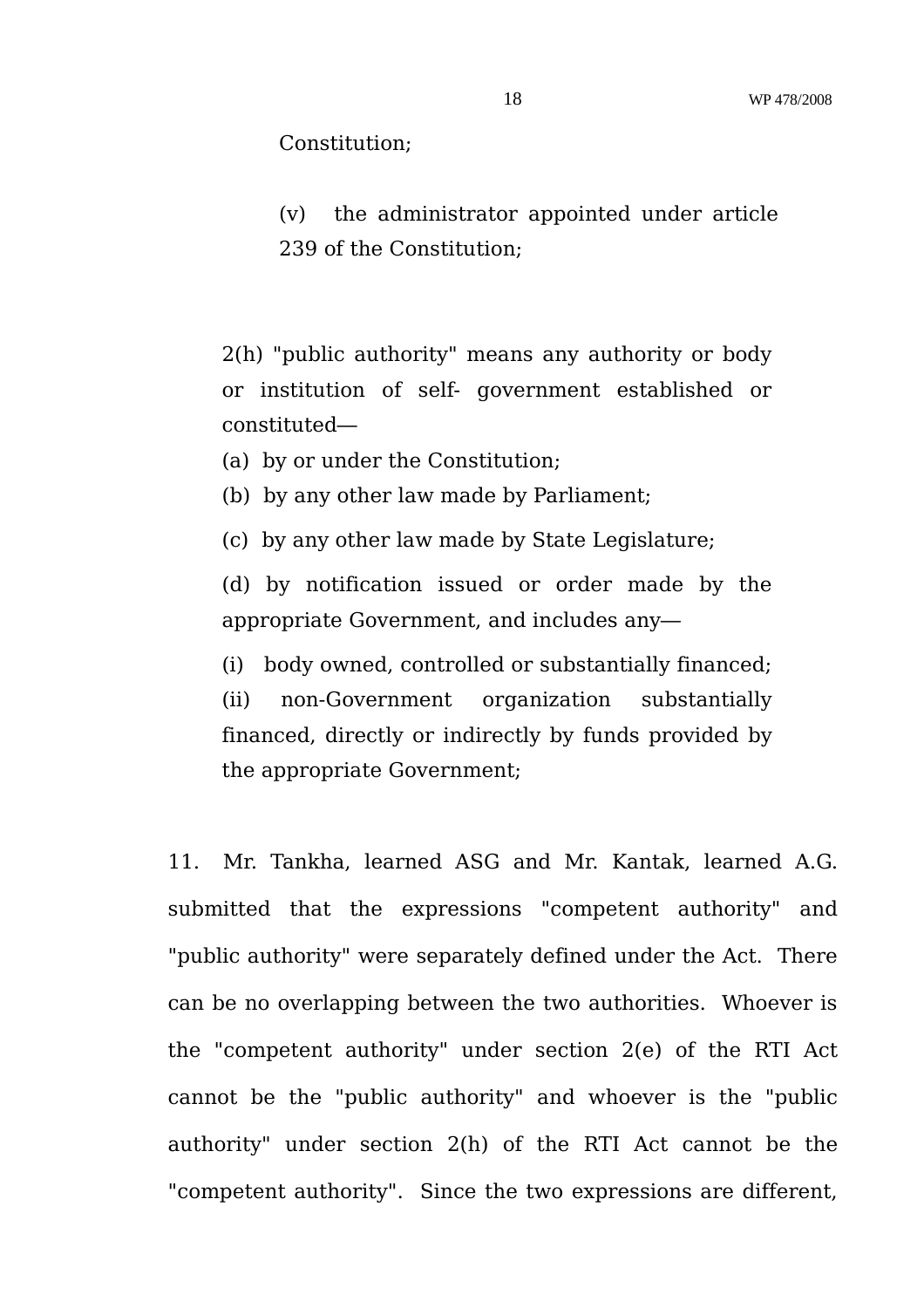Constitution;

(v) the administrator appointed under article 239 of the Constitution;

2(h) "public authority" means any authority or body or institution of self- government established or constituted—

(a) by or under the Constitution;

(b) by any other law made by Parliament;

(c) by any other law made by State Legislature;

(d) by notification issued or order made by the appropriate Government, and includes any—

(i) body owned, controlled or substantially financed;

(ii) non-Government organization substantially financed, directly or indirectly by funds provided by the appropriate Government;

11. Mr. Tankha, learned ASG and Mr. Kantak, learned A.G. submitted that the expressions "competent authority" and "public authority" were separately defined under the Act. There can be no overlapping between the two authorities. Whoever is the "competent authority" under section 2(e) of the RTI Act cannot be the "public authority" and whoever is the "public authority" under section 2(h) of the RTI Act cannot be the "competent authority". Since the two expressions are different,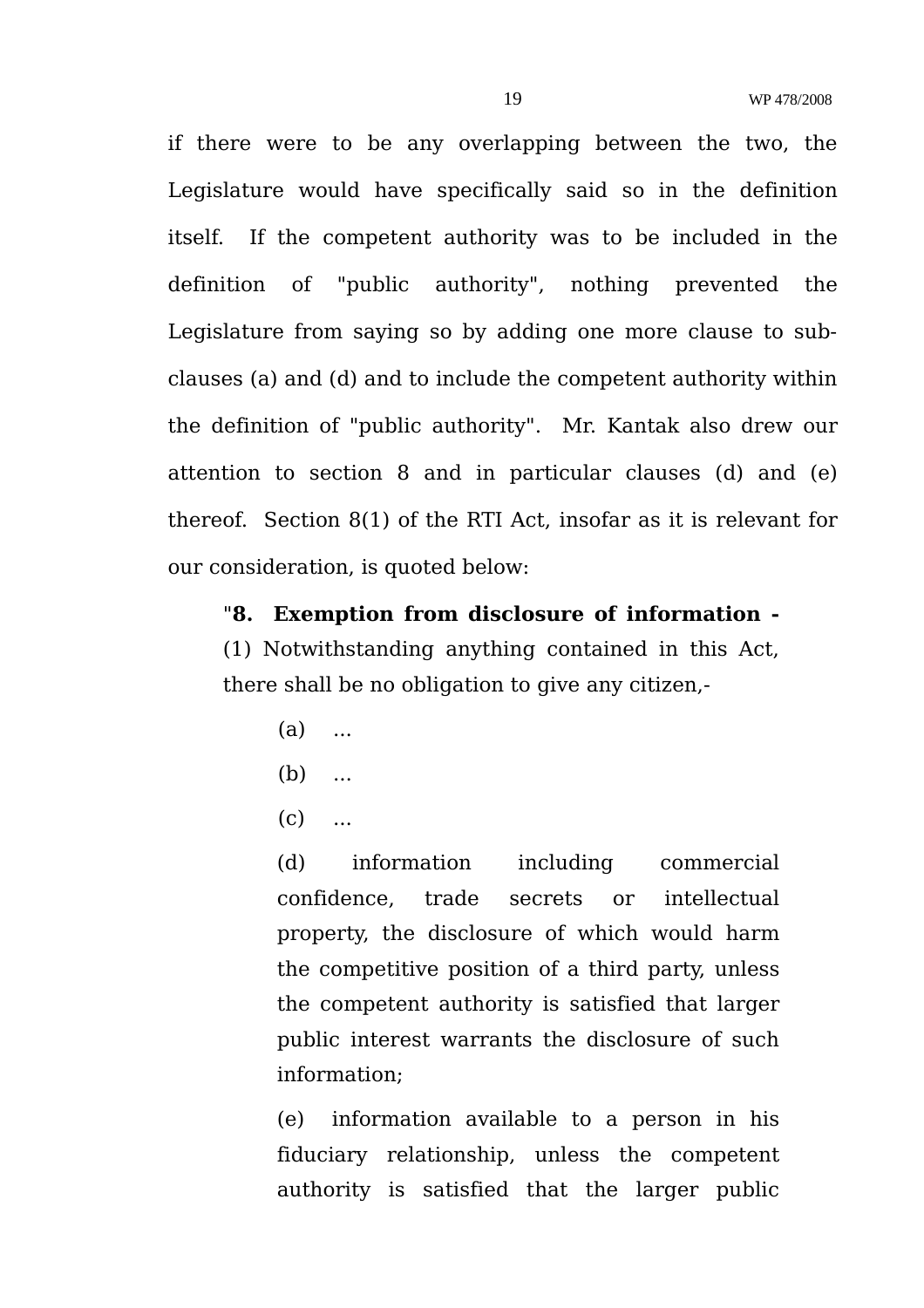if there were to be any overlapping between the two, the Legislature would have specifically said so in the definition itself. If the competent authority was to be included in the definition of "public authority", nothing prevented the Legislature from saying so by adding one more clause to subclauses (a) and (d) and to include the competent authority within the definition of "public authority". Mr. Kantak also drew our attention to section 8 and in particular clauses (d) and (e) thereof. Section 8(1) of the RTI Act, insofar as it is relevant for our consideration, is quoted below:

"**8. Exemption from disclosure of information -** (1) Notwithstanding anything contained in this Act, there shall be no obligation to give any citizen,-

- $(a)$  ...
- $(b)$  ...
- $(c)$  ...

(d) information including commercial confidence, trade secrets or intellectual property, the disclosure of which would harm the competitive position of a third party, unless the competent authority is satisfied that larger public interest warrants the disclosure of such information;

(e) information available to a person in his fiduciary relationship, unless the competent authority is satisfied that the larger public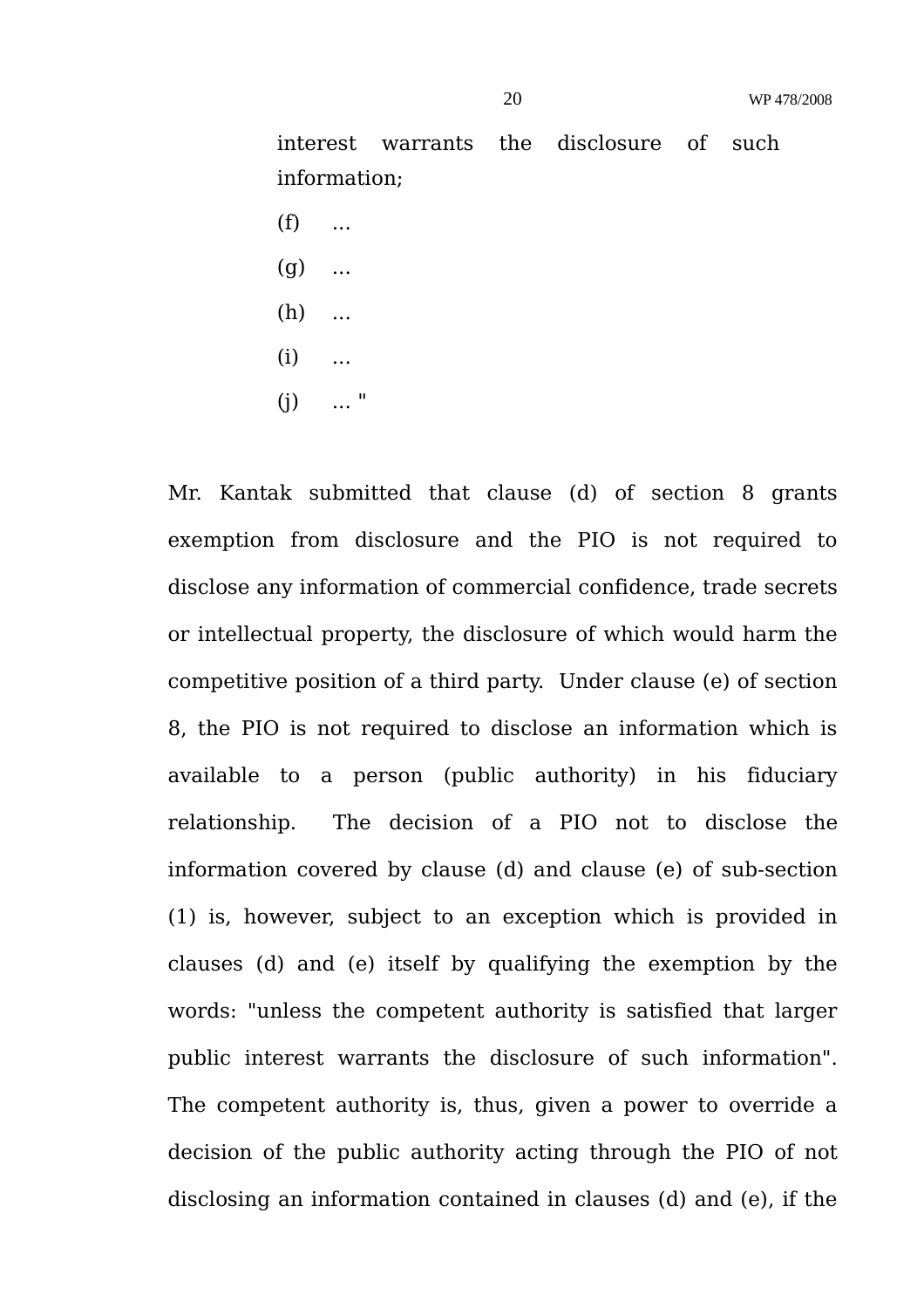interest warrants the disclosure of such information;

- $(f)$  ...
- $(g)$  ...
- (h) ...
- $(i)$  ...
- $(i)$  ... "

Mr. Kantak submitted that clause (d) of section 8 grants exemption from disclosure and the PIO is not required to disclose any information of commercial confidence, trade secrets or intellectual property, the disclosure of which would harm the competitive position of a third party. Under clause (e) of section 8, the PIO is not required to disclose an information which is available to a person (public authority) in his fiduciary relationship. The decision of a PIO not to disclose the information covered by clause (d) and clause (e) of sub-section (1) is, however, subject to an exception which is provided in clauses (d) and (e) itself by qualifying the exemption by the words: "unless the competent authority is satisfied that larger public interest warrants the disclosure of such information". The competent authority is, thus, given a power to override a decision of the public authority acting through the PIO of not disclosing an information contained in clauses (d) and (e), if the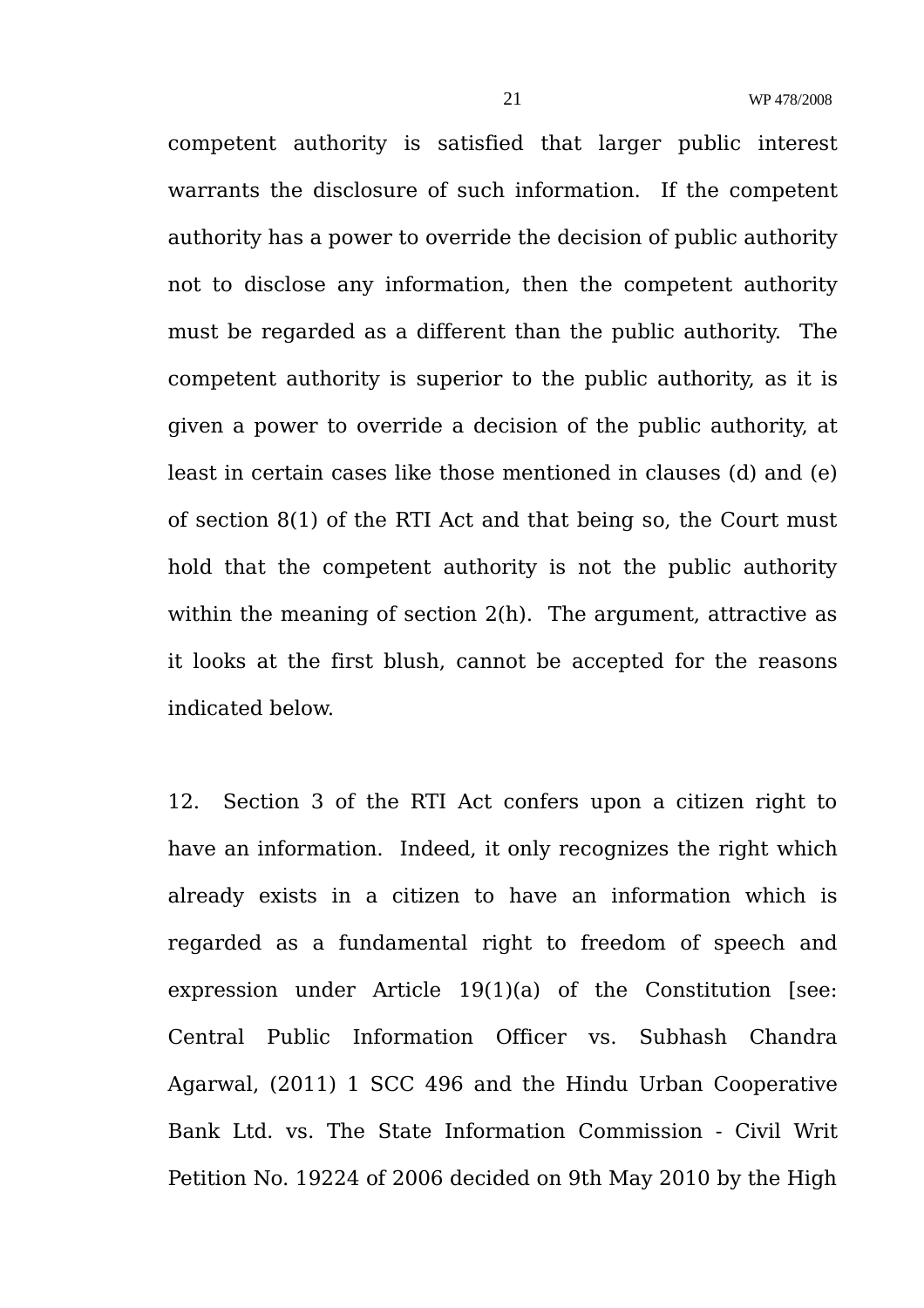competent authority is satisfied that larger public interest warrants the disclosure of such information. If the competent authority has a power to override the decision of public authority not to disclose any information, then the competent authority must be regarded as a different than the public authority. The competent authority is superior to the public authority, as it is given a power to override a decision of the public authority, at least in certain cases like those mentioned in clauses (d) and (e) of section 8(1) of the RTI Act and that being so, the Court must hold that the competent authority is not the public authority within the meaning of section 2(h). The argument, attractive as it looks at the first blush, cannot be accepted for the reasons indicated below.

12. Section 3 of the RTI Act confers upon a citizen right to have an information. Indeed, it only recognizes the right which already exists in a citizen to have an information which is regarded as a fundamental right to freedom of speech and expression under Article 19(1)(a) of the Constitution [see: Central Public Information Officer vs. Subhash Chandra Agarwal, (2011) 1 SCC 496 and the Hindu Urban Cooperative Bank Ltd. vs. The State Information Commission - Civil Writ Petition No. 19224 of 2006 decided on 9th May 2010 by the High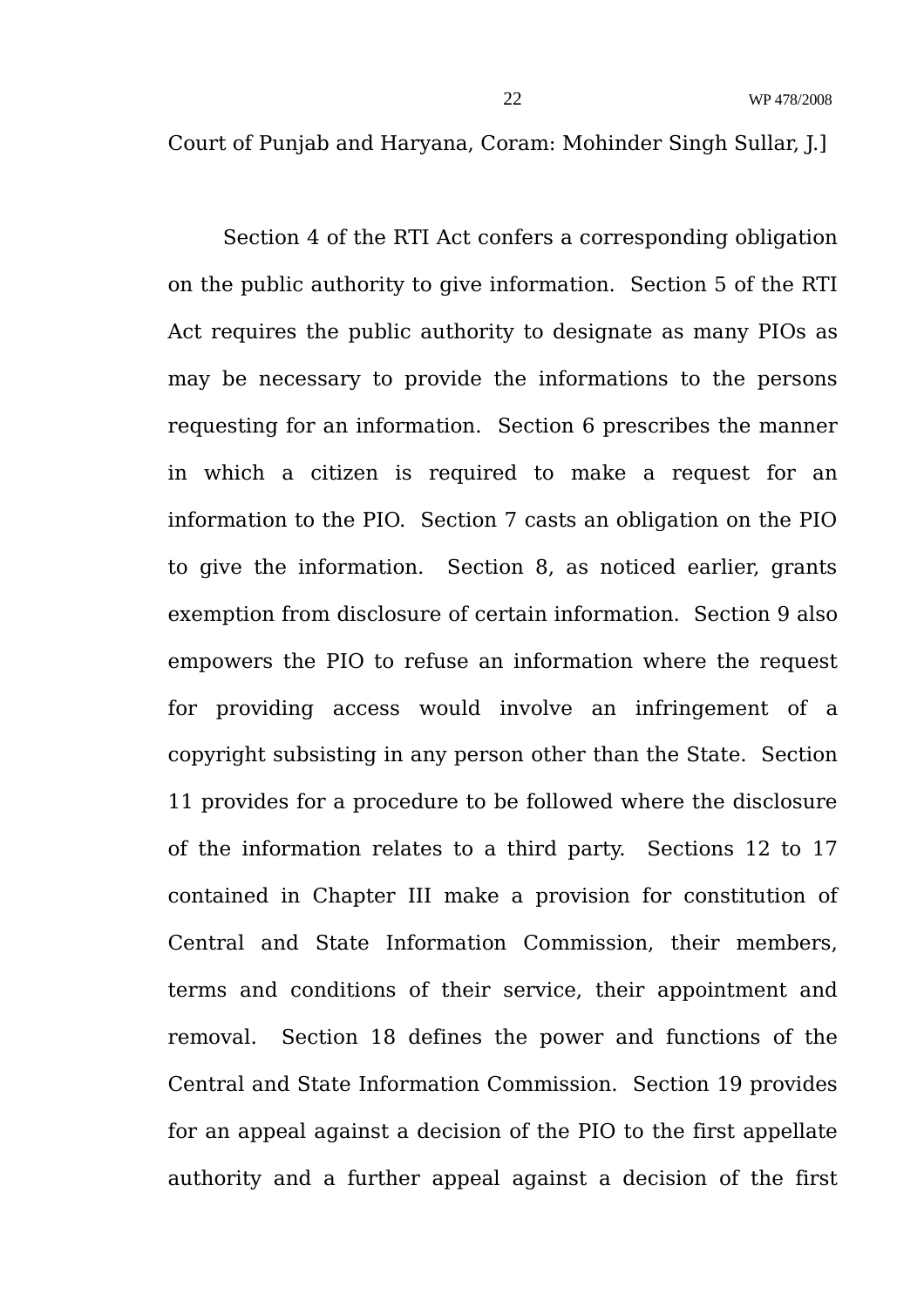Court of Punjab and Haryana, Coram: Mohinder Singh Sullar, J.]

Section 4 of the RTI Act confers a corresponding obligation on the public authority to give information. Section 5 of the RTI Act requires the public authority to designate as many PIOs as may be necessary to provide the informations to the persons requesting for an information. Section 6 prescribes the manner in which a citizen is required to make a request for an information to the PIO. Section 7 casts an obligation on the PIO to give the information. Section 8, as noticed earlier, grants exemption from disclosure of certain information. Section 9 also empowers the PIO to refuse an information where the request for providing access would involve an infringement of a copyright subsisting in any person other than the State. Section 11 provides for a procedure to be followed where the disclosure of the information relates to a third party. Sections 12 to 17 contained in Chapter III make a provision for constitution of Central and State Information Commission, their members, terms and conditions of their service, their appointment and removal. Section 18 defines the power and functions of the Central and State Information Commission. Section 19 provides for an appeal against a decision of the PIO to the first appellate authority and a further appeal against a decision of the first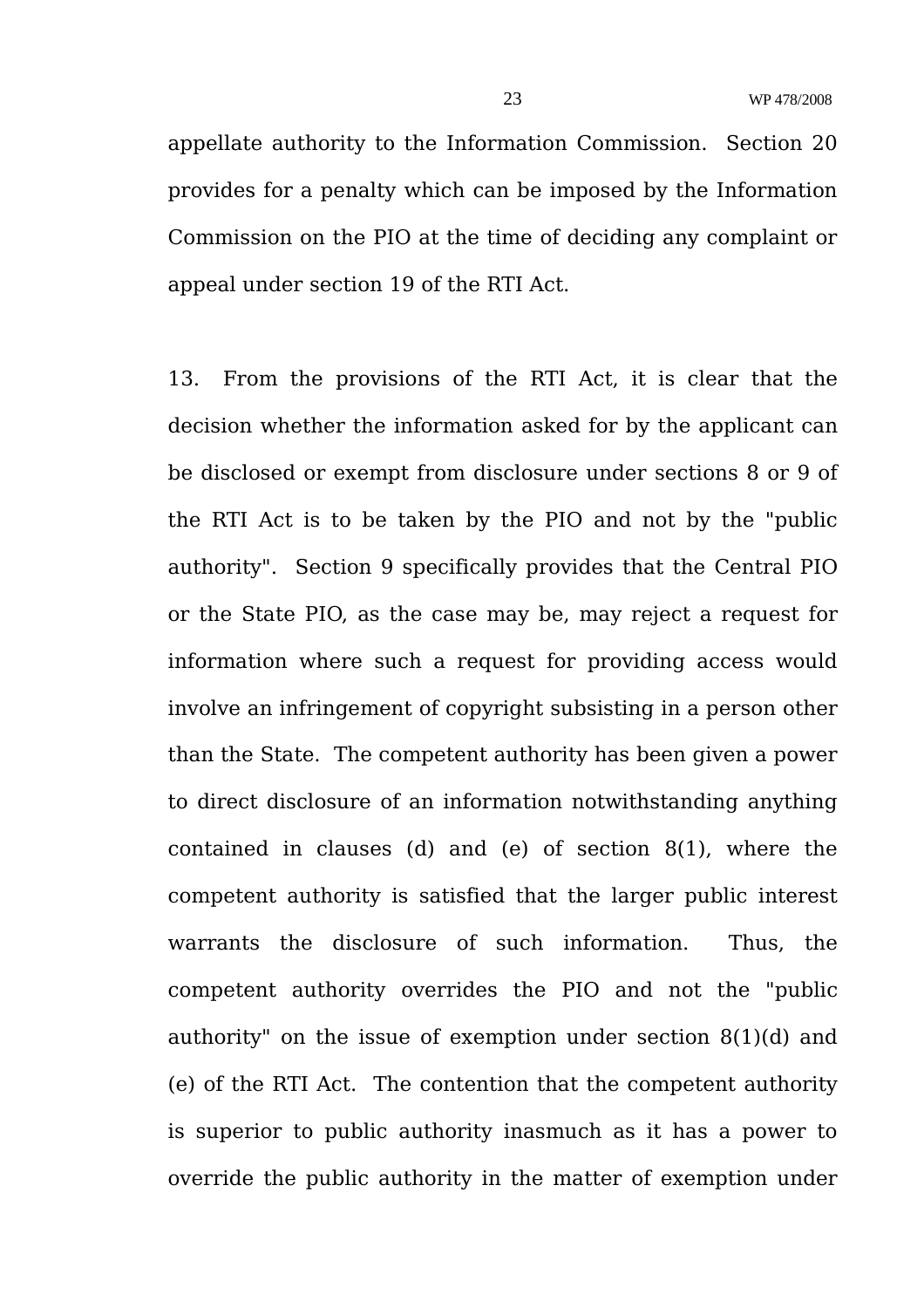appellate authority to the Information Commission. Section 20 provides for a penalty which can be imposed by the Information Commission on the PIO at the time of deciding any complaint or appeal under section 19 of the RTI Act.

13. From the provisions of the RTI Act, it is clear that the decision whether the information asked for by the applicant can be disclosed or exempt from disclosure under sections 8 or 9 of the RTI Act is to be taken by the PIO and not by the "public authority". Section 9 specifically provides that the Central PIO or the State PIO, as the case may be, may reject a request for information where such a request for providing access would involve an infringement of copyright subsisting in a person other than the State. The competent authority has been given a power to direct disclosure of an information notwithstanding anything contained in clauses (d) and (e) of section 8(1), where the competent authority is satisfied that the larger public interest warrants the disclosure of such information. Thus, the competent authority overrides the PIO and not the "public authority" on the issue of exemption under section 8(1)(d) and (e) of the RTI Act. The contention that the competent authority is superior to public authority inasmuch as it has a power to override the public authority in the matter of exemption under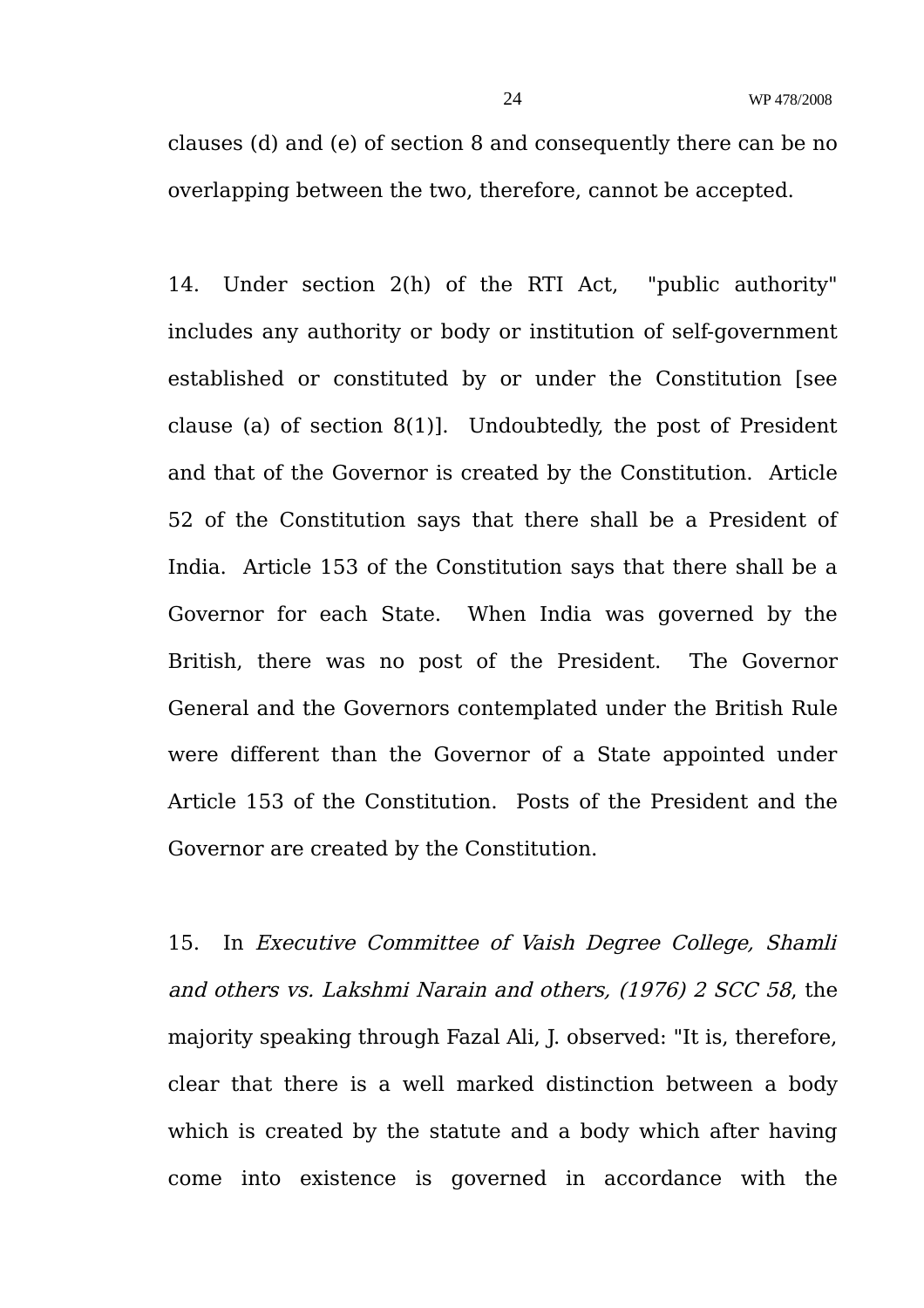clauses (d) and (e) of section 8 and consequently there can be no overlapping between the two, therefore, cannot be accepted.

14. Under section 2(h) of the RTI Act, "public authority" includes any authority or body or institution of self-government established or constituted by or under the Constitution [see clause (a) of section 8(1)]. Undoubtedly, the post of President and that of the Governor is created by the Constitution. Article 52 of the Constitution says that there shall be a President of India. Article 153 of the Constitution says that there shall be a Governor for each State. When India was governed by the British, there was no post of the President. The Governor General and the Governors contemplated under the British Rule were different than the Governor of a State appointed under Article 153 of the Constitution. Posts of the President and the Governor are created by the Constitution.

15. In Executive Committee of Vaish Degree College, Shamli and others vs. Lakshmi Narain and others, (1976) 2 SCC 58, the majority speaking through Fazal Ali, J. observed: "It is, therefore, clear that there is a well marked distinction between a body which is created by the statute and a body which after having come into existence is governed in accordance with the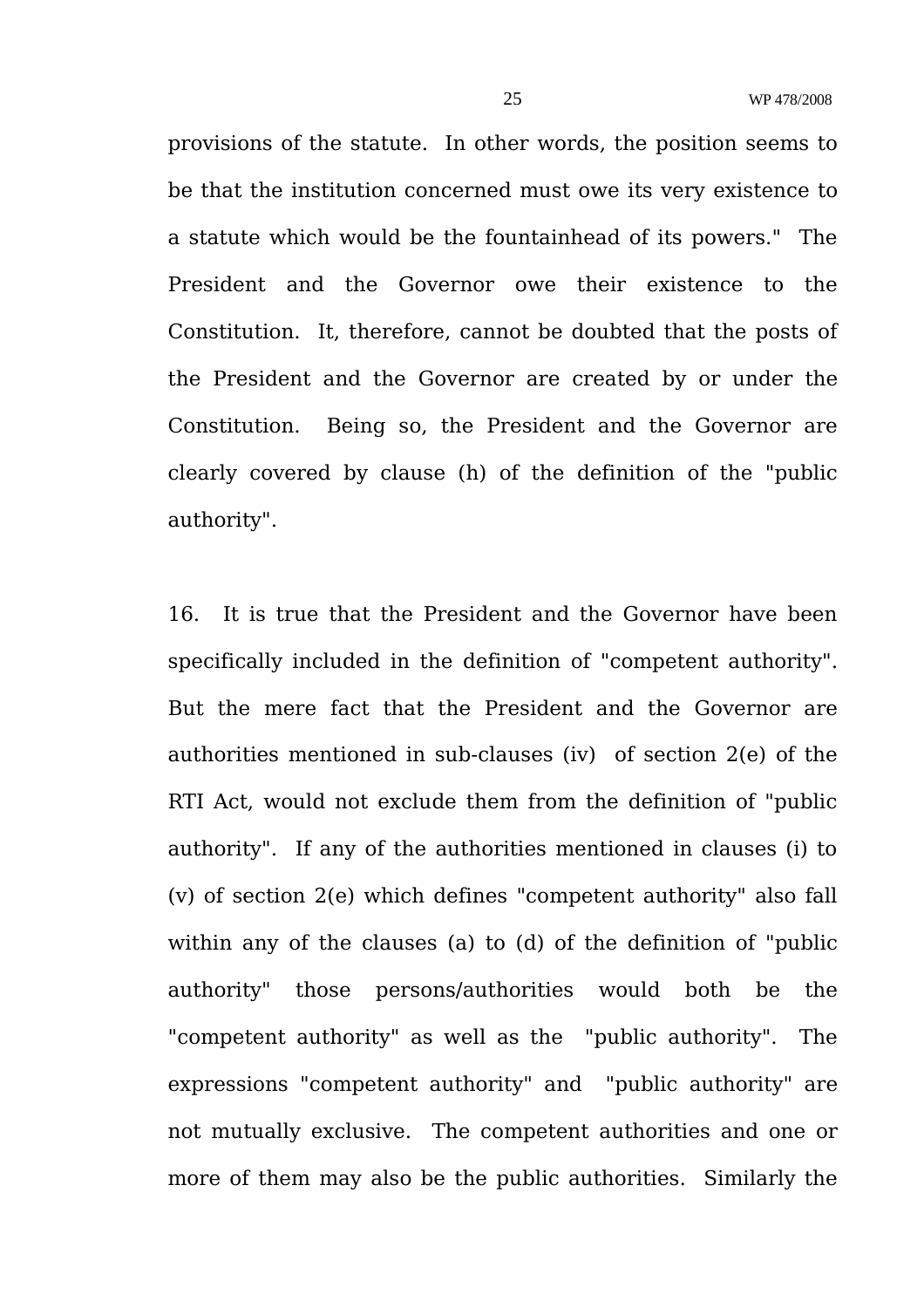provisions of the statute. In other words, the position seems to be that the institution concerned must owe its very existence to a statute which would be the fountainhead of its powers." The President and the Governor owe their existence to the Constitution. It, therefore, cannot be doubted that the posts of the President and the Governor are created by or under the Constitution. Being so, the President and the Governor are clearly covered by clause (h) of the definition of the "public authority".

16. It is true that the President and the Governor have been specifically included in the definition of "competent authority". But the mere fact that the President and the Governor are authorities mentioned in sub-clauses (iv) of section 2(e) of the RTI Act, would not exclude them from the definition of "public authority". If any of the authorities mentioned in clauses (i) to (v) of section 2(e) which defines "competent authority" also fall within any of the clauses (a) to (d) of the definition of "public authority" those persons/authorities would both be the "competent authority" as well as the "public authority". The expressions "competent authority" and "public authority" are not mutually exclusive. The competent authorities and one or more of them may also be the public authorities. Similarly the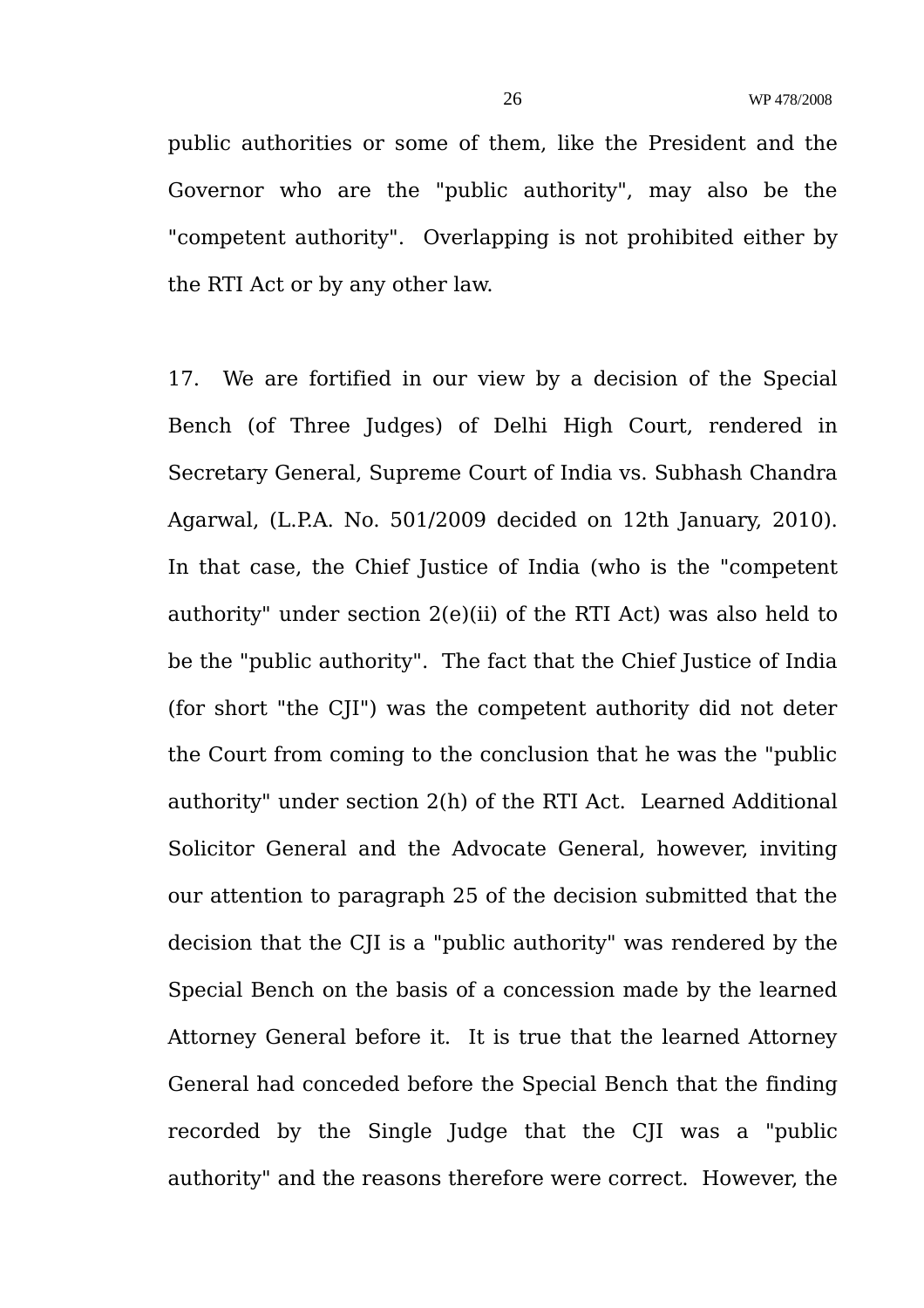public authorities or some of them, like the President and the Governor who are the "public authority", may also be the "competent authority". Overlapping is not prohibited either by the RTI Act or by any other law.

17. We are fortified in our view by a decision of the Special Bench (of Three Judges) of Delhi High Court, rendered in Secretary General, Supreme Court of India vs. Subhash Chandra Agarwal, (L.P.A. No. 501/2009 decided on 12th January, 2010). In that case, the Chief Justice of India (who is the "competent authority" under section 2(e)(ii) of the RTI Act) was also held to be the "public authority". The fact that the Chief Justice of India (for short "the CJI") was the competent authority did not deter the Court from coming to the conclusion that he was the "public authority" under section 2(h) of the RTI Act. Learned Additional Solicitor General and the Advocate General, however, inviting our attention to paragraph 25 of the decision submitted that the decision that the CJI is a "public authority" was rendered by the Special Bench on the basis of a concession made by the learned Attorney General before it. It is true that the learned Attorney General had conceded before the Special Bench that the finding recorded by the Single Judge that the CJI was a "public authority" and the reasons therefore were correct. However, the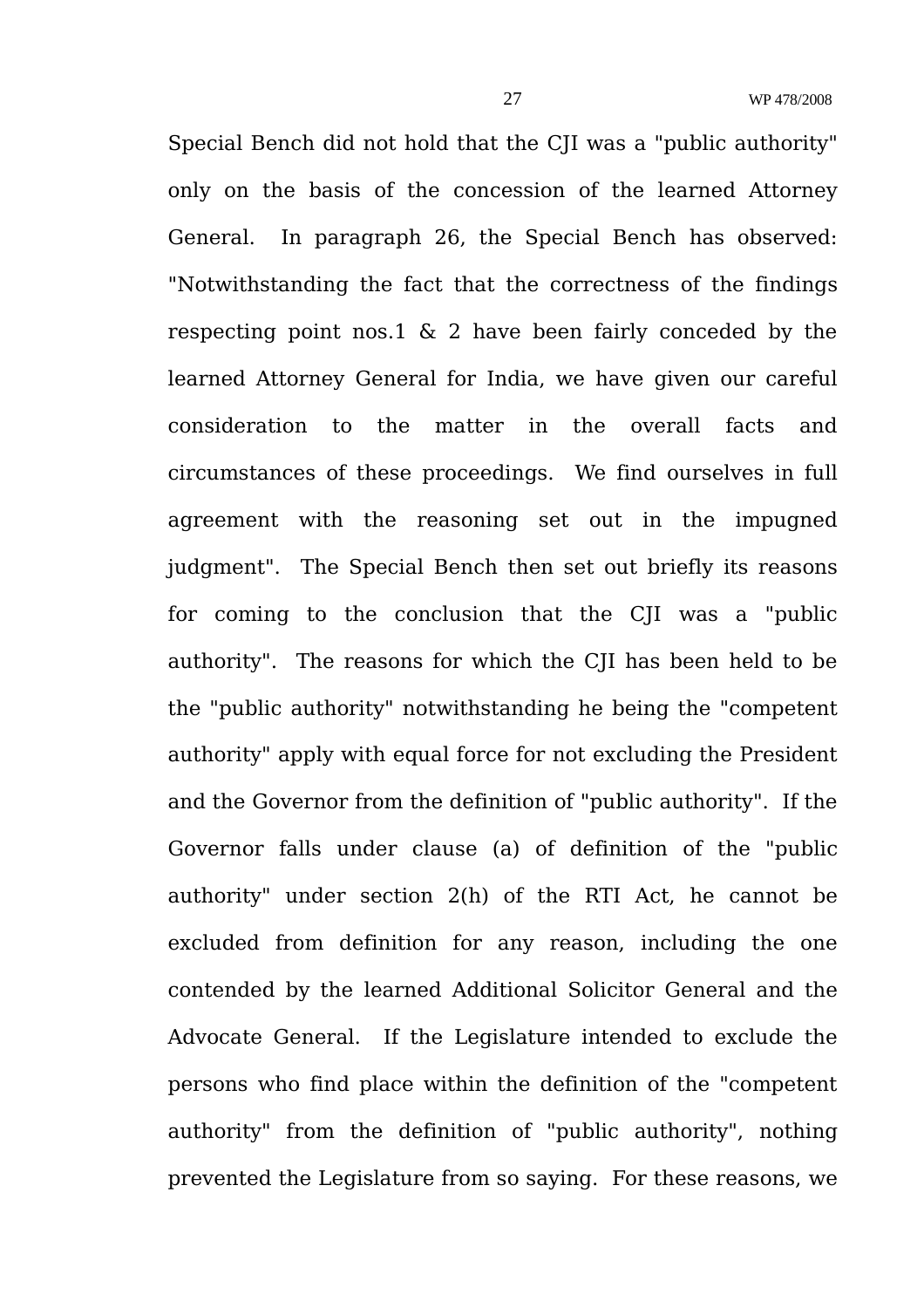Special Bench did not hold that the CJI was a "public authority" only on the basis of the concession of the learned Attorney General. In paragraph 26, the Special Bench has observed: "Notwithstanding the fact that the correctness of the findings respecting point nos.1  $\&$  2 have been fairly conceded by the learned Attorney General for India, we have given our careful consideration to the matter in the overall facts and circumstances of these proceedings. We find ourselves in full agreement with the reasoning set out in the impugned judgment". The Special Bench then set out briefly its reasons for coming to the conclusion that the CJI was a "public authority". The reasons for which the CJI has been held to be the "public authority" notwithstanding he being the "competent authority" apply with equal force for not excluding the President and the Governor from the definition of "public authority". If the Governor falls under clause (a) of definition of the "public authority" under section 2(h) of the RTI Act, he cannot be excluded from definition for any reason, including the one contended by the learned Additional Solicitor General and the Advocate General. If the Legislature intended to exclude the persons who find place within the definition of the "competent authority" from the definition of "public authority", nothing prevented the Legislature from so saying. For these reasons, we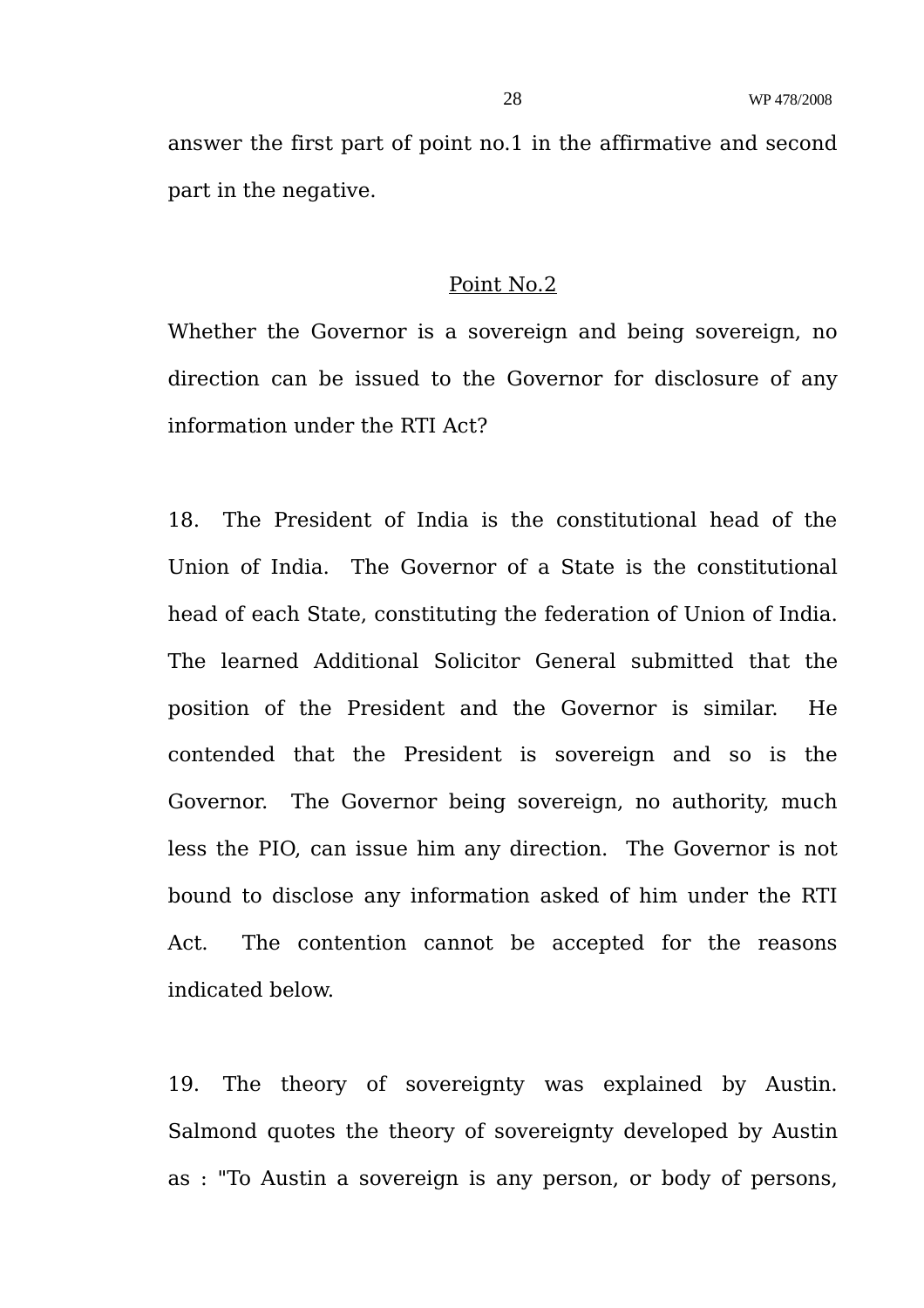answer the first part of point no.1 in the affirmative and second part in the negative.

### Point No.2

Whether the Governor is a sovereign and being sovereign, no direction can be issued to the Governor for disclosure of any information under the RTI Act?

18. The President of India is the constitutional head of the Union of India. The Governor of a State is the constitutional head of each State, constituting the federation of Union of India. The learned Additional Solicitor General submitted that the position of the President and the Governor is similar. He contended that the President is sovereign and so is the Governor. The Governor being sovereign, no authority, much less the PIO, can issue him any direction. The Governor is not bound to disclose any information asked of him under the RTI Act. The contention cannot be accepted for the reasons indicated below.

19. The theory of sovereignty was explained by Austin. Salmond quotes the theory of sovereignty developed by Austin as : "To Austin a sovereign is any person, or body of persons,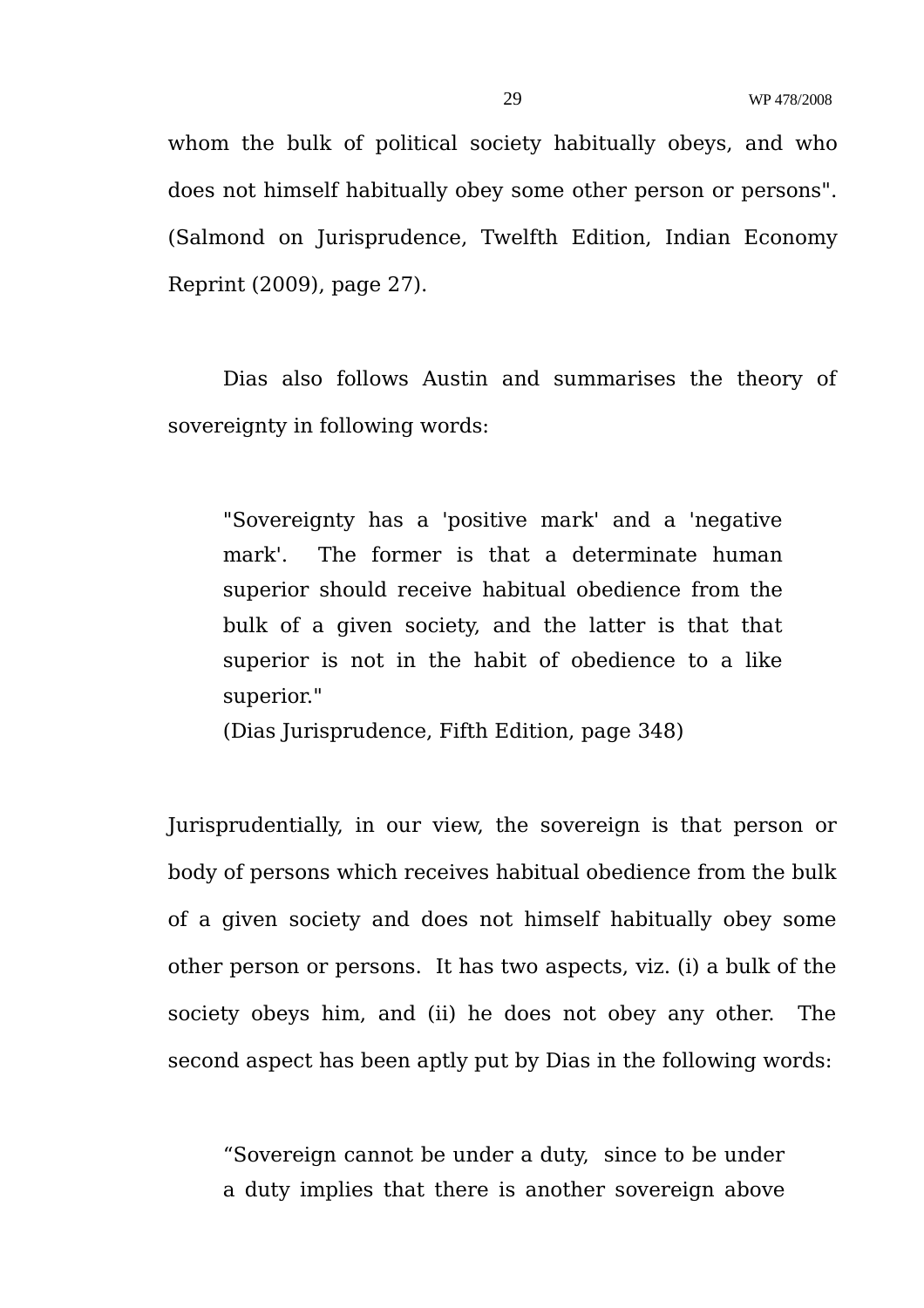whom the bulk of political society habitually obeys, and who does not himself habitually obey some other person or persons". (Salmond on Jurisprudence, Twelfth Edition, Indian Economy Reprint (2009), page 27).

Dias also follows Austin and summarises the theory of sovereignty in following words:

"Sovereignty has a 'positive mark' and a 'negative mark'. The former is that a determinate human superior should receive habitual obedience from the bulk of a given society, and the latter is that that superior is not in the habit of obedience to a like superior."

(Dias Jurisprudence, Fifth Edition, page 348)

Jurisprudentially, in our view, the sovereign is that person or body of persons which receives habitual obedience from the bulk of a given society and does not himself habitually obey some other person or persons. It has two aspects, viz. (i) a bulk of the society obeys him, and (ii) he does not obey any other. The second aspect has been aptly put by Dias in the following words:

"Sovereign cannot be under a duty, since to be under a duty implies that there is another sovereign above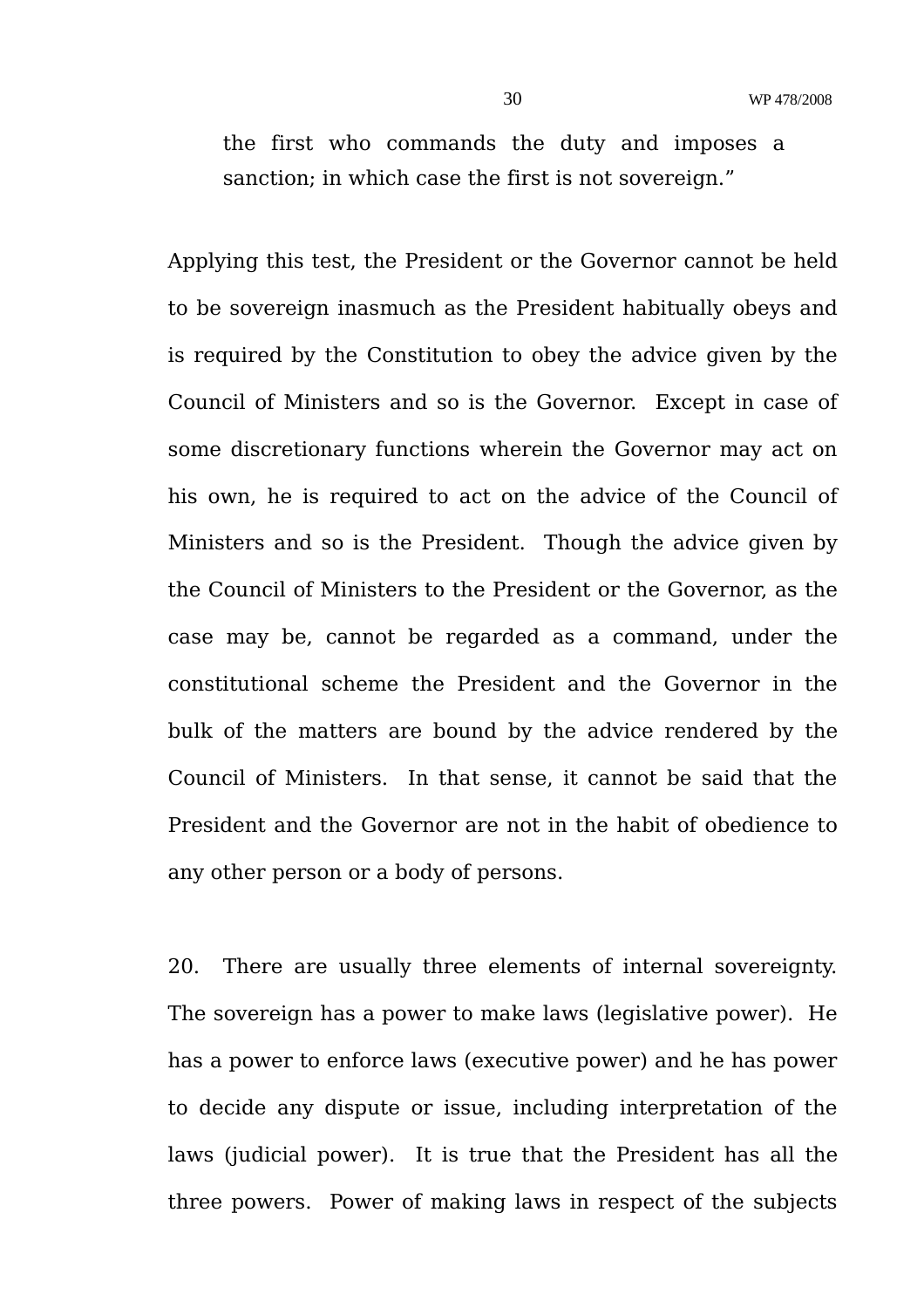the first who commands the duty and imposes a sanction; in which case the first is not sovereign."

Applying this test, the President or the Governor cannot be held to be sovereign inasmuch as the President habitually obeys and is required by the Constitution to obey the advice given by the Council of Ministers and so is the Governor. Except in case of some discretionary functions wherein the Governor may act on his own, he is required to act on the advice of the Council of Ministers and so is the President. Though the advice given by the Council of Ministers to the President or the Governor, as the case may be, cannot be regarded as a command, under the constitutional scheme the President and the Governor in the bulk of the matters are bound by the advice rendered by the Council of Ministers. In that sense, it cannot be said that the President and the Governor are not in the habit of obedience to any other person or a body of persons.

20. There are usually three elements of internal sovereignty. The sovereign has a power to make laws (legislative power). He has a power to enforce laws (executive power) and he has power to decide any dispute or issue, including interpretation of the laws (judicial power). It is true that the President has all the three powers. Power of making laws in respect of the subjects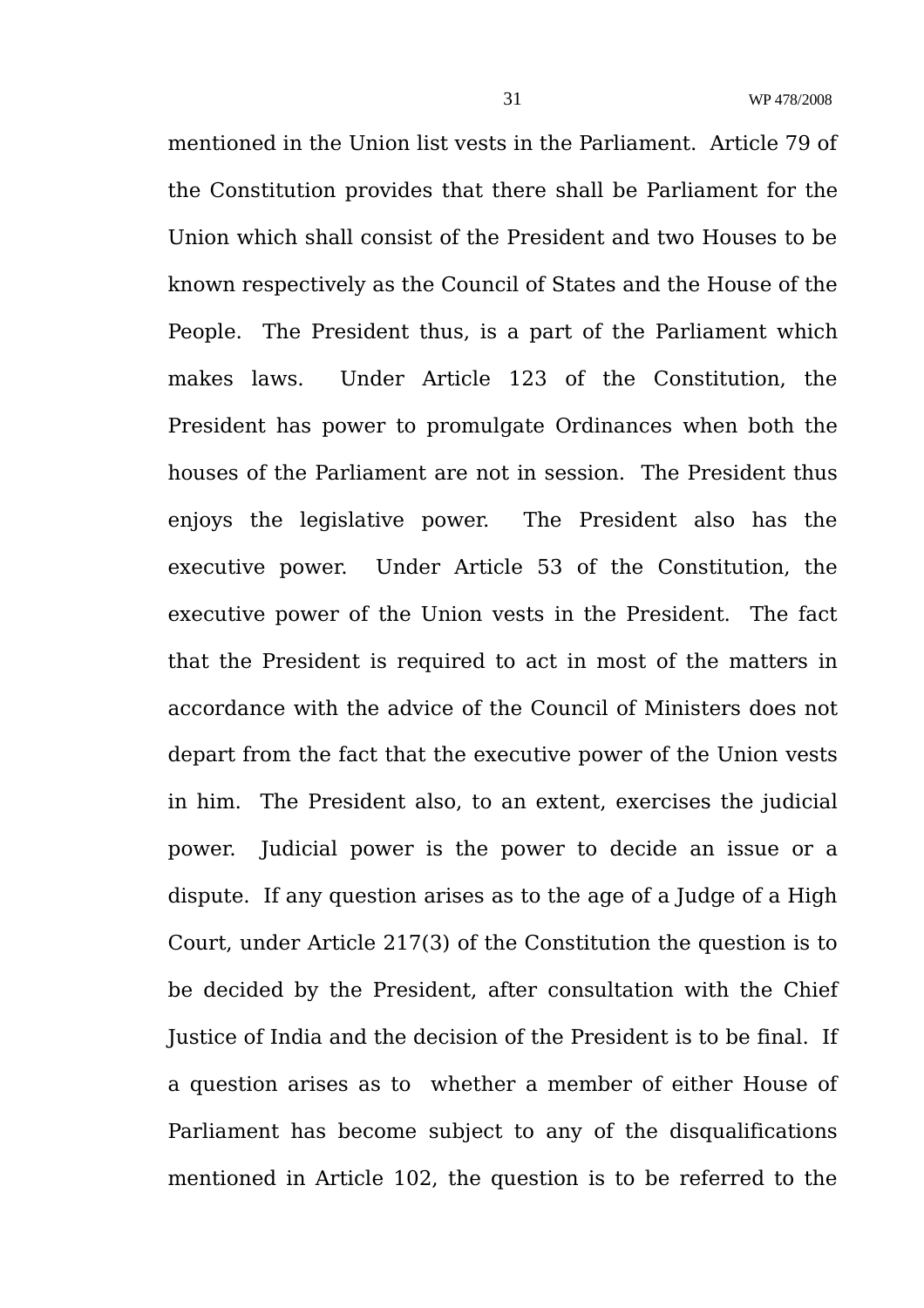mentioned in the Union list vests in the Parliament. Article 79 of the Constitution provides that there shall be Parliament for the Union which shall consist of the President and two Houses to be known respectively as the Council of States and the House of the People. The President thus, is a part of the Parliament which makes laws. Under Article 123 of the Constitution, the President has power to promulgate Ordinances when both the houses of the Parliament are not in session. The President thus enjoys the legislative power. The President also has the executive power. Under Article 53 of the Constitution, the executive power of the Union vests in the President. The fact that the President is required to act in most of the matters in accordance with the advice of the Council of Ministers does not depart from the fact that the executive power of the Union vests in him. The President also, to an extent, exercises the judicial power. Judicial power is the power to decide an issue or a dispute. If any question arises as to the age of a Judge of a High Court, under Article 217(3) of the Constitution the question is to be decided by the President, after consultation with the Chief Justice of India and the decision of the President is to be final. If a question arises as to whether a member of either House of Parliament has become subject to any of the disqualifications mentioned in Article 102, the question is to be referred to the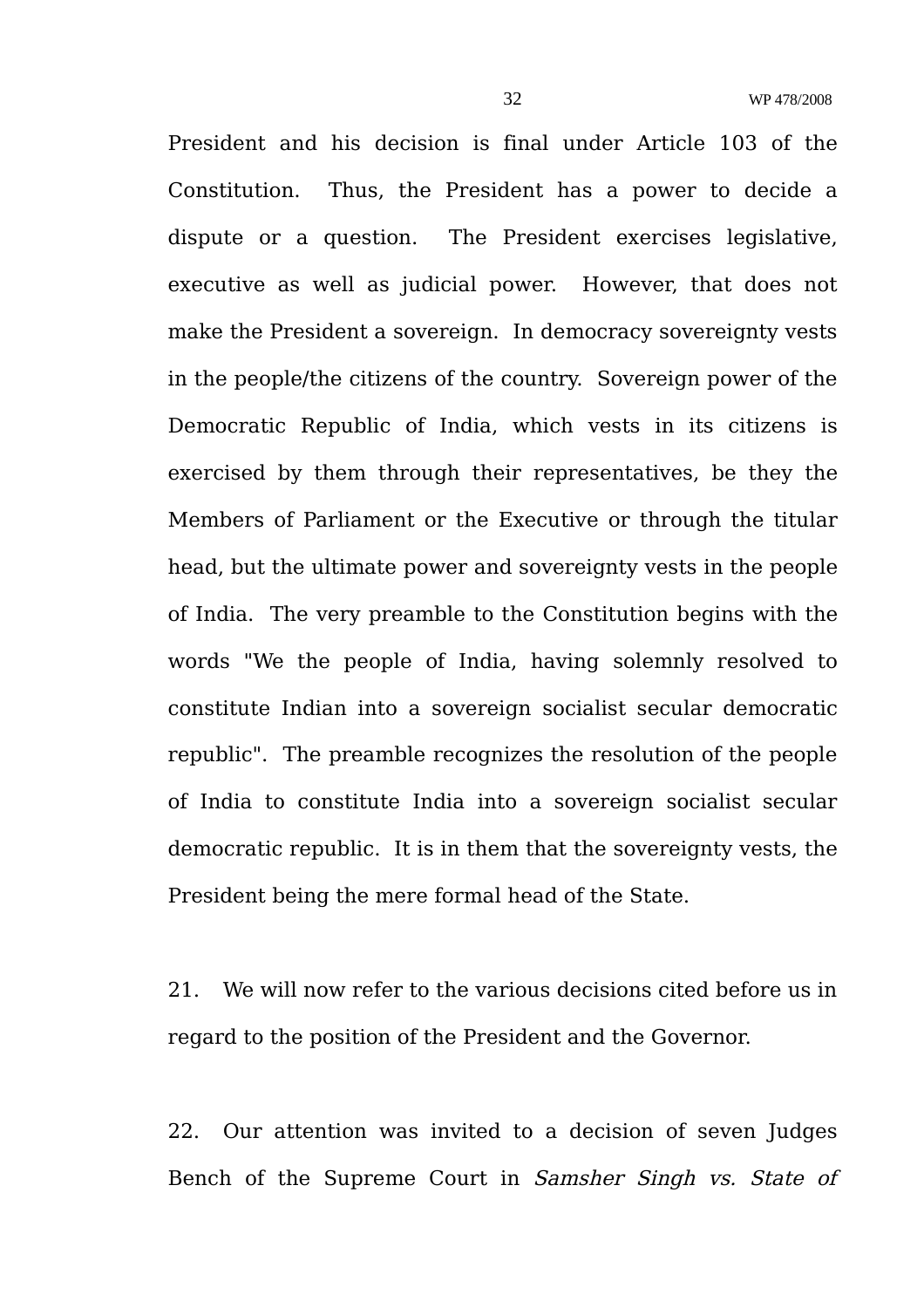President and his decision is final under Article 103 of the Constitution. Thus, the President has a power to decide a dispute or a question. The President exercises legislative, executive as well as judicial power. However, that does not make the President a sovereign. In democracy sovereignty vests in the people/the citizens of the country. Sovereign power of the Democratic Republic of India, which vests in its citizens is exercised by them through their representatives, be they the Members of Parliament or the Executive or through the titular head, but the ultimate power and sovereignty vests in the people of India. The very preamble to the Constitution begins with the words "We the people of India, having solemnly resolved to constitute Indian into a sovereign socialist secular democratic republic". The preamble recognizes the resolution of the people of India to constitute India into a sovereign socialist secular democratic republic. It is in them that the sovereignty vests, the President being the mere formal head of the State.

21. We will now refer to the various decisions cited before us in regard to the position of the President and the Governor.

22. Our attention was invited to a decision of seven Judges Bench of the Supreme Court in Samsher Singh vs. State of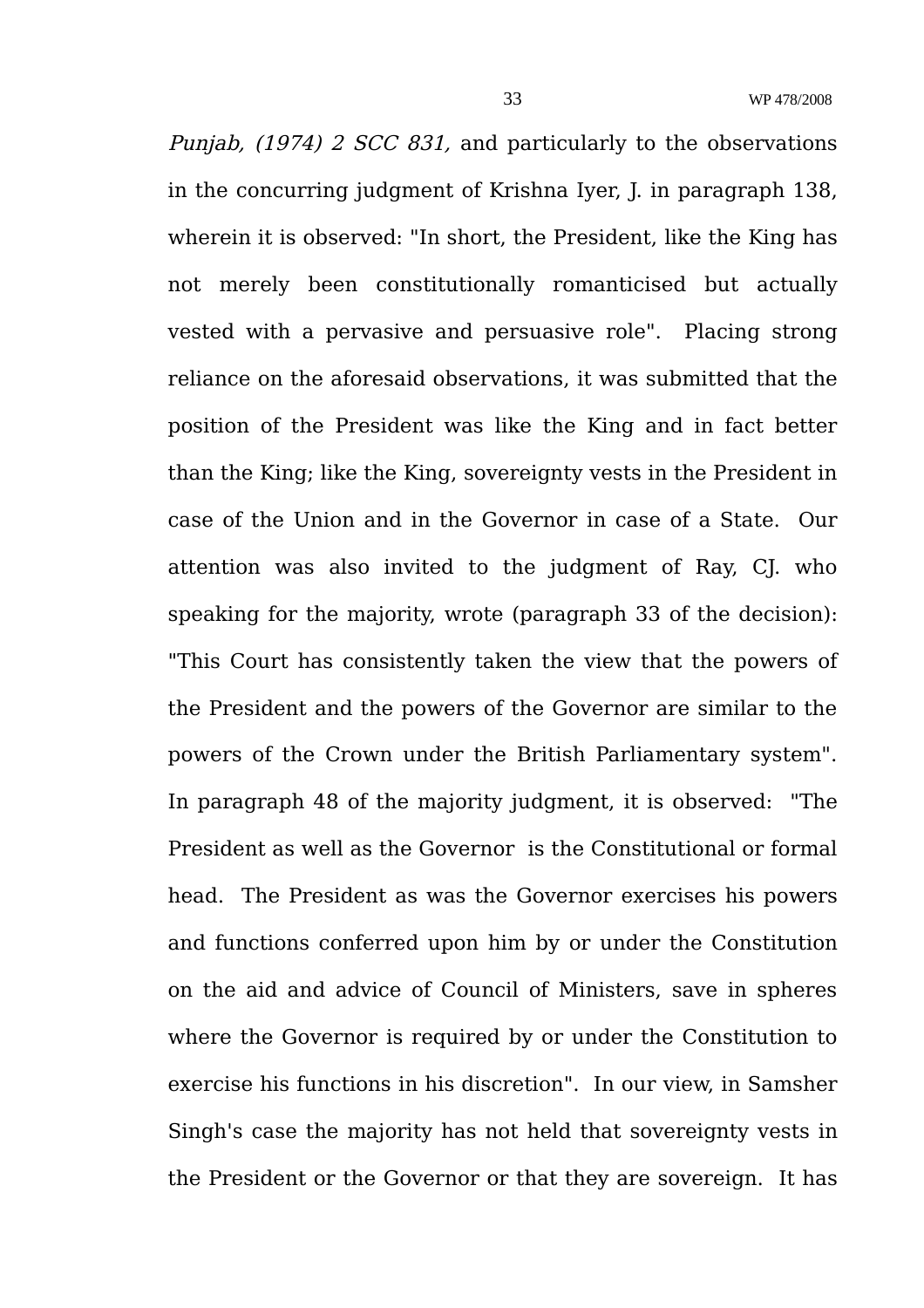Punjab, (1974) 2 SCC 831, and particularly to the observations in the concurring judgment of Krishna Iyer, J. in paragraph 138, wherein it is observed: "In short, the President, like the King has not merely been constitutionally romanticised but actually vested with a pervasive and persuasive role". Placing strong reliance on the aforesaid observations, it was submitted that the position of the President was like the King and in fact better than the King; like the King, sovereignty vests in the President in case of the Union and in the Governor in case of a State. Our attention was also invited to the judgment of Ray, CJ. who speaking for the majority, wrote (paragraph 33 of the decision): "This Court has consistently taken the view that the powers of the President and the powers of the Governor are similar to the powers of the Crown under the British Parliamentary system". In paragraph 48 of the majority judgment, it is observed: "The President as well as the Governor is the Constitutional or formal head. The President as was the Governor exercises his powers and functions conferred upon him by or under the Constitution on the aid and advice of Council of Ministers, save in spheres where the Governor is required by or under the Constitution to exercise his functions in his discretion". In our view, in Samsher Singh's case the majority has not held that sovereignty vests in the President or the Governor or that they are sovereign. It has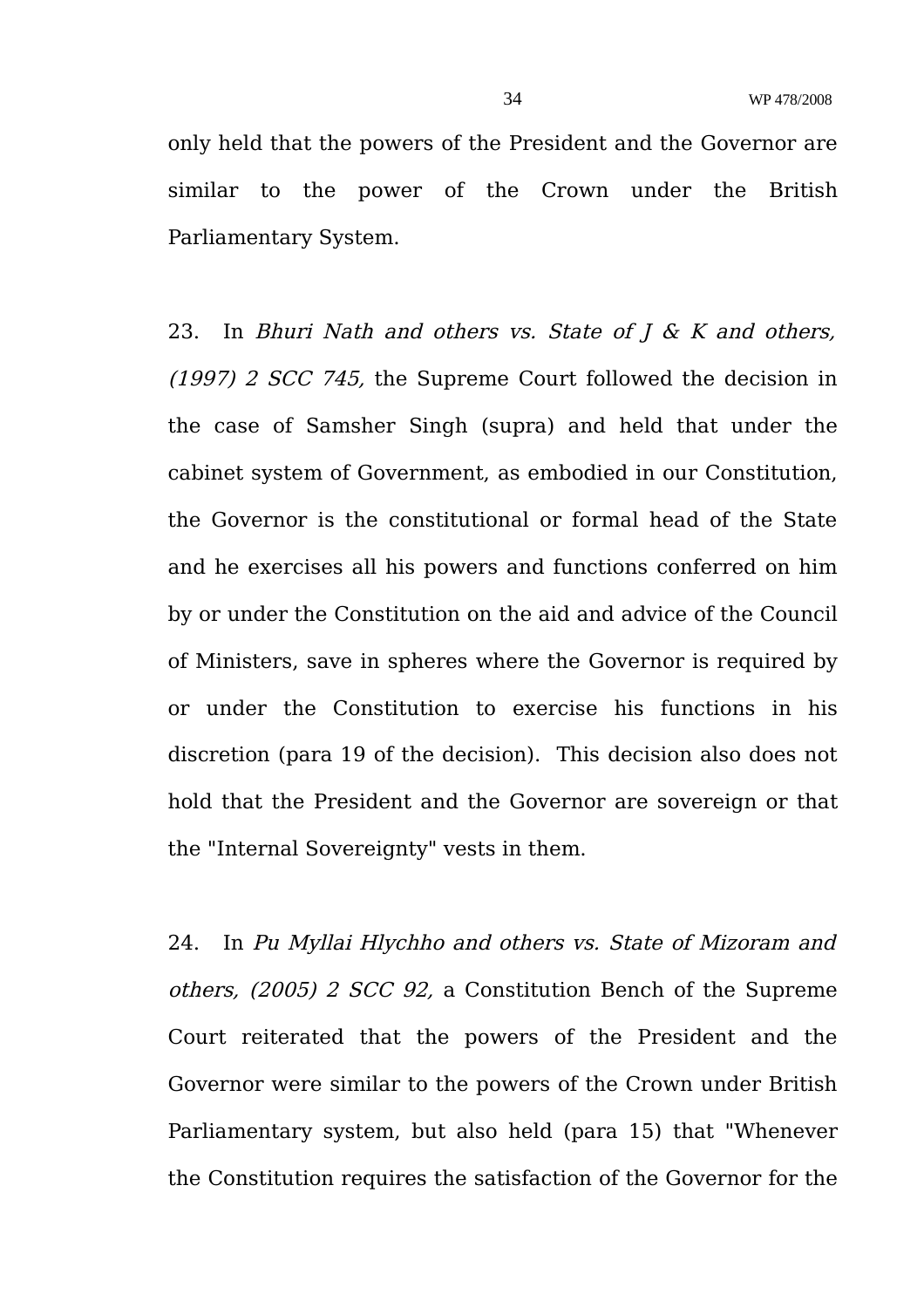only held that the powers of the President and the Governor are similar to the power of the Crown under the British Parliamentary System.

23. In Bhuri Nath and others vs. State of  $J \& K$  and others, (1997) 2 SCC 745, the Supreme Court followed the decision in the case of Samsher Singh (supra) and held that under the cabinet system of Government, as embodied in our Constitution, the Governor is the constitutional or formal head of the State and he exercises all his powers and functions conferred on him by or under the Constitution on the aid and advice of the Council of Ministers, save in spheres where the Governor is required by or under the Constitution to exercise his functions in his discretion (para 19 of the decision). This decision also does not hold that the President and the Governor are sovereign or that the "Internal Sovereignty" vests in them.

24. In Pu Myllai Hlychho and others vs. State of Mizoram and others, (2005) 2 SCC 92, a Constitution Bench of the Supreme Court reiterated that the powers of the President and the Governor were similar to the powers of the Crown under British Parliamentary system, but also held (para 15) that "Whenever the Constitution requires the satisfaction of the Governor for the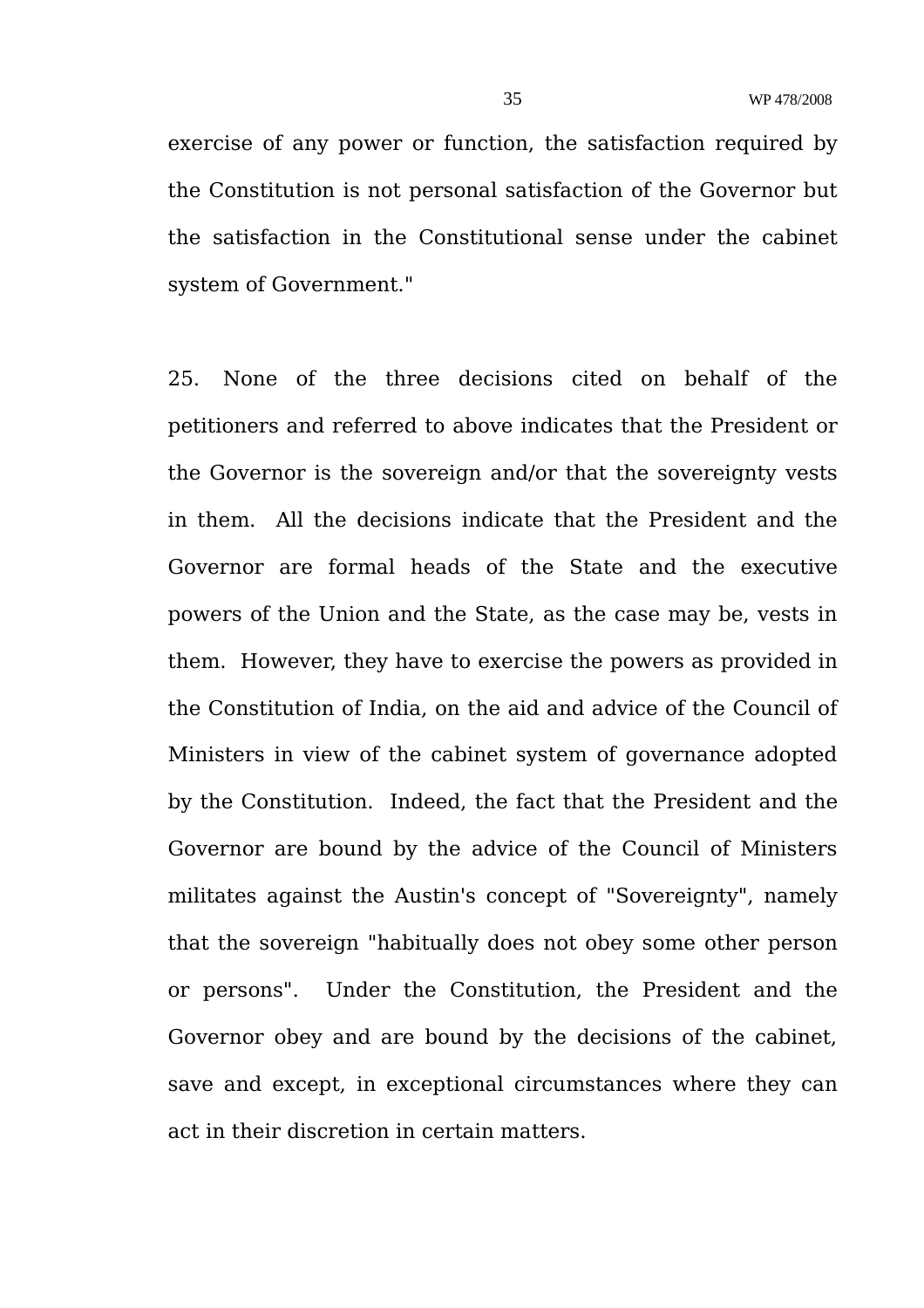exercise of any power or function, the satisfaction required by the Constitution is not personal satisfaction of the Governor but the satisfaction in the Constitutional sense under the cabinet system of Government."

25. None of the three decisions cited on behalf of the petitioners and referred to above indicates that the President or the Governor is the sovereign and/or that the sovereignty vests in them. All the decisions indicate that the President and the Governor are formal heads of the State and the executive powers of the Union and the State, as the case may be, vests in them. However, they have to exercise the powers as provided in the Constitution of India, on the aid and advice of the Council of Ministers in view of the cabinet system of governance adopted by the Constitution. Indeed, the fact that the President and the Governor are bound by the advice of the Council of Ministers militates against the Austin's concept of "Sovereignty", namely that the sovereign "habitually does not obey some other person or persons". Under the Constitution, the President and the Governor obey and are bound by the decisions of the cabinet, save and except, in exceptional circumstances where they can act in their discretion in certain matters.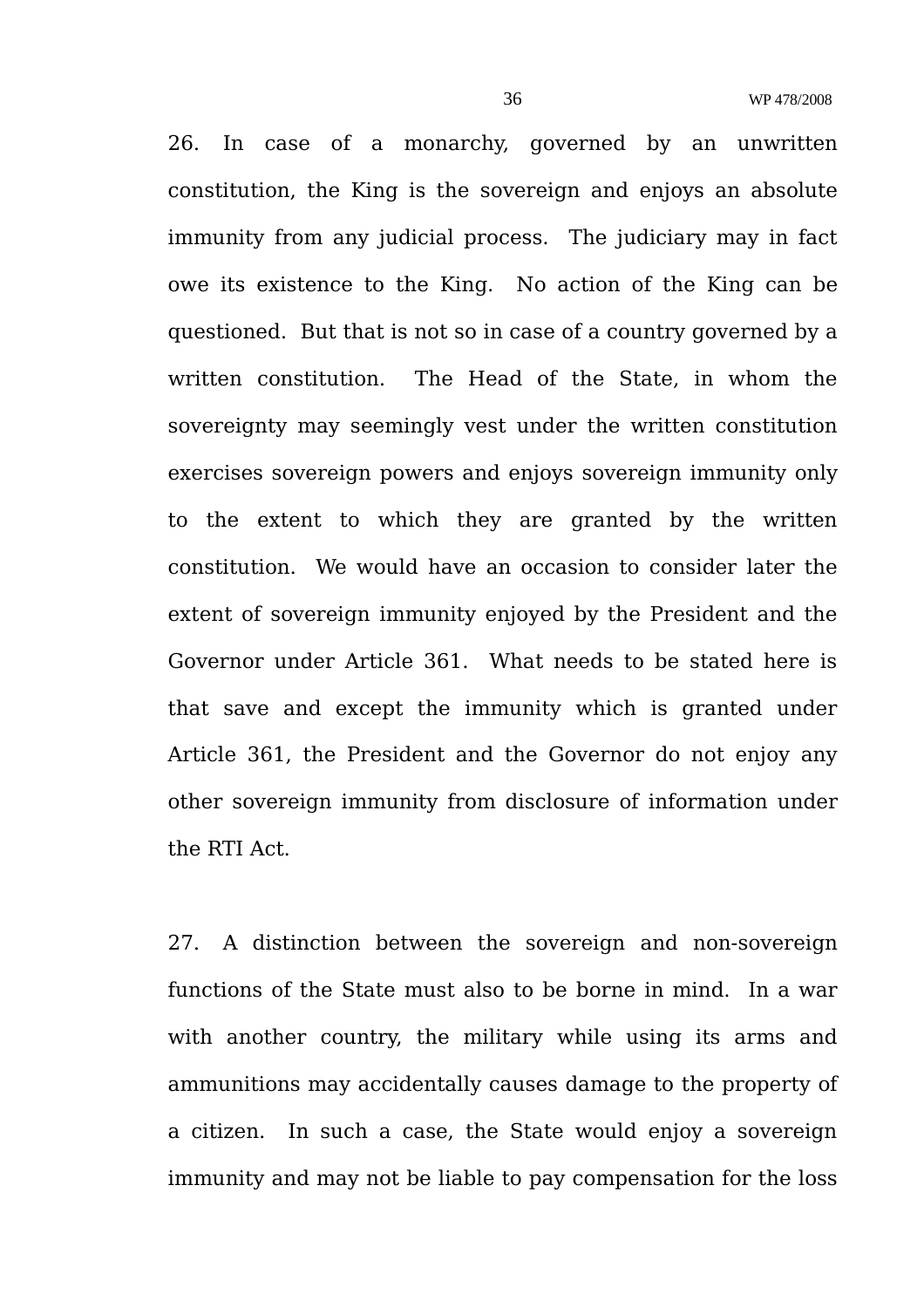26. In case of a monarchy, governed by an unwritten constitution, the King is the sovereign and enjoys an absolute immunity from any judicial process. The judiciary may in fact owe its existence to the King. No action of the King can be questioned. But that is not so in case of a country governed by a written constitution. The Head of the State, in whom the sovereignty may seemingly vest under the written constitution exercises sovereign powers and enjoys sovereign immunity only to the extent to which they are granted by the written constitution. We would have an occasion to consider later the extent of sovereign immunity enjoyed by the President and the Governor under Article 361. What needs to be stated here is that save and except the immunity which is granted under Article 361, the President and the Governor do not enjoy any other sovereign immunity from disclosure of information under the RTI Act.

27. A distinction between the sovereign and non-sovereign functions of the State must also to be borne in mind. In a war with another country, the military while using its arms and ammunitions may accidentally causes damage to the property of a citizen. In such a case, the State would enjoy a sovereign immunity and may not be liable to pay compensation for the loss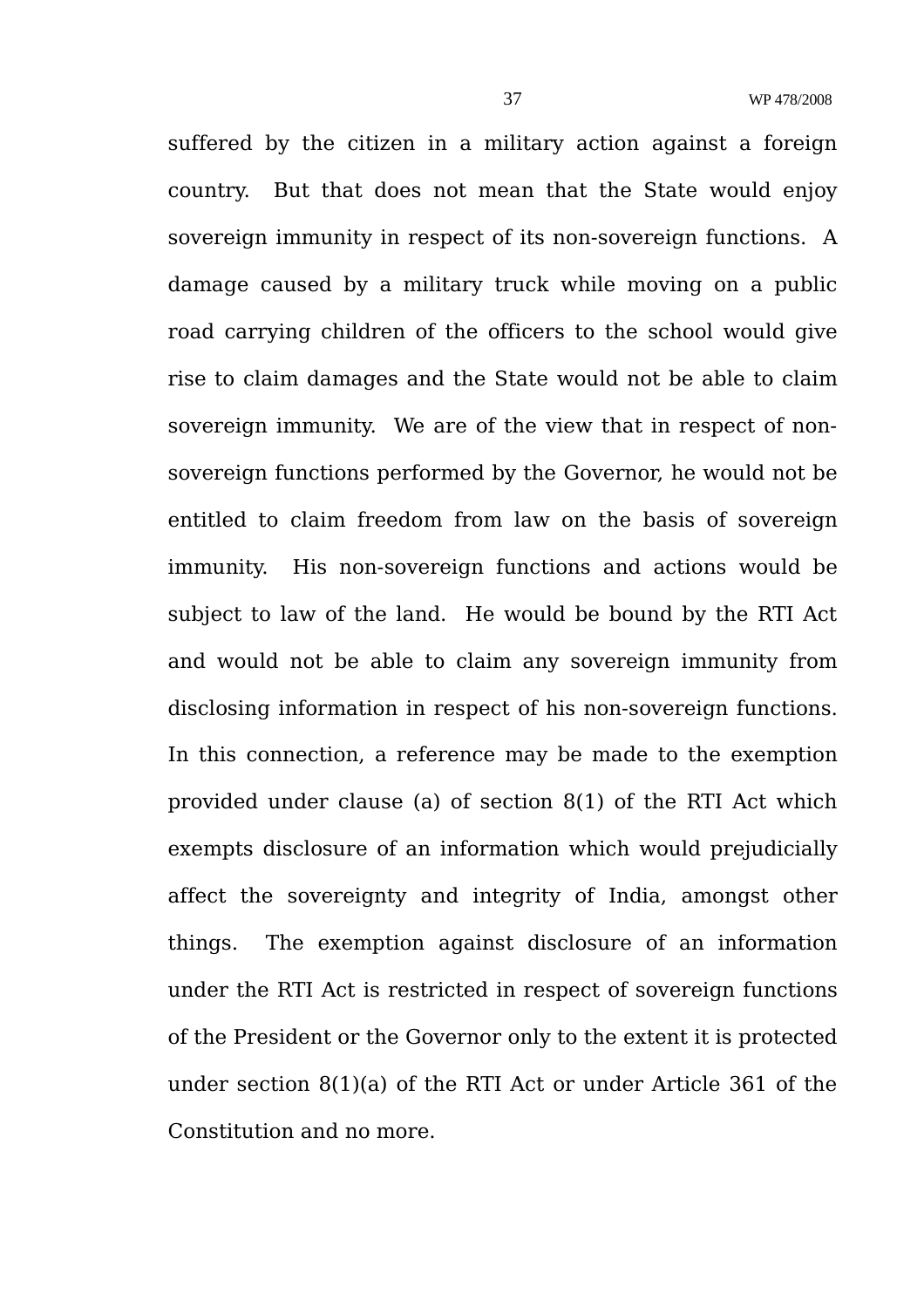suffered by the citizen in a military action against a foreign country. But that does not mean that the State would enjoy sovereign immunity in respect of its non-sovereign functions. A damage caused by a military truck while moving on a public road carrying children of the officers to the school would give rise to claim damages and the State would not be able to claim sovereign immunity. We are of the view that in respect of nonsovereign functions performed by the Governor, he would not be entitled to claim freedom from law on the basis of sovereign immunity. His non-sovereign functions and actions would be subject to law of the land. He would be bound by the RTI Act and would not be able to claim any sovereign immunity from disclosing information in respect of his non-sovereign functions. In this connection, a reference may be made to the exemption provided under clause (a) of section 8(1) of the RTI Act which exempts disclosure of an information which would prejudicially affect the sovereignty and integrity of India, amongst other things. The exemption against disclosure of an information under the RTI Act is restricted in respect of sovereign functions of the President or the Governor only to the extent it is protected under section 8(1)(a) of the RTI Act or under Article 361 of the Constitution and no more.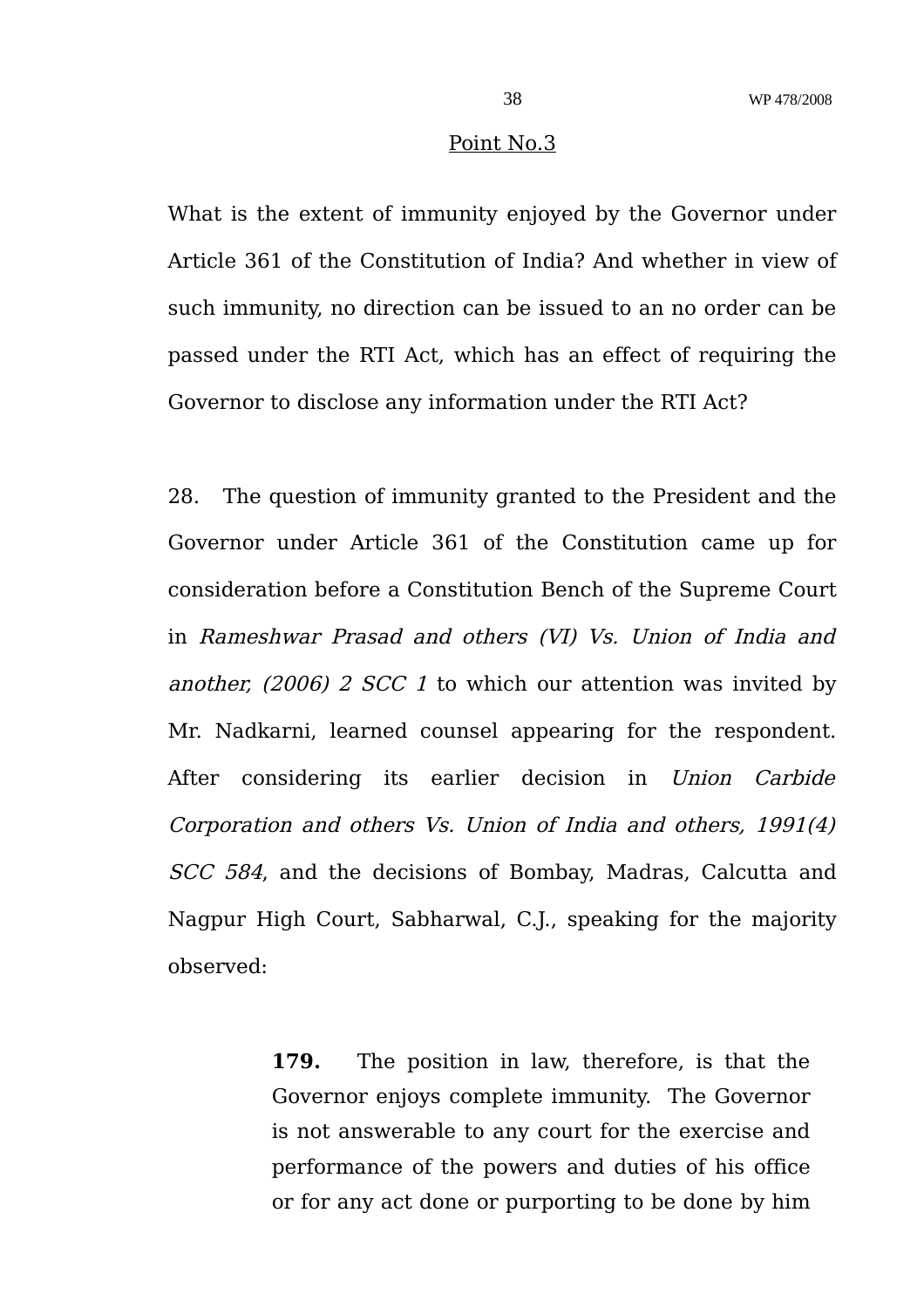#### Point No.3

What is the extent of immunity enjoyed by the Governor under Article 361 of the Constitution of India? And whether in view of such immunity, no direction can be issued to an no order can be passed under the RTI Act, which has an effect of requiring the Governor to disclose any information under the RTI Act?

28. The question of immunity granted to the President and the Governor under Article 361 of the Constitution came up for consideration before a Constitution Bench of the Supreme Court in Rameshwar Prasad and others (VI) Vs. Union of India and another, (2006) 2 SCC 1 to which our attention was invited by Mr. Nadkarni, learned counsel appearing for the respondent. After considering its earlier decision in Union Carbide Corporation and others Vs. Union of India and others, 1991(4) SCC 584, and the decisions of Bombay, Madras, Calcutta and Nagpur High Court, Sabharwal, C.J., speaking for the majority observed:

> **179.** The position in law, therefore, is that the Governor enjoys complete immunity. The Governor is not answerable to any court for the exercise and performance of the powers and duties of his office or for any act done or purporting to be done by him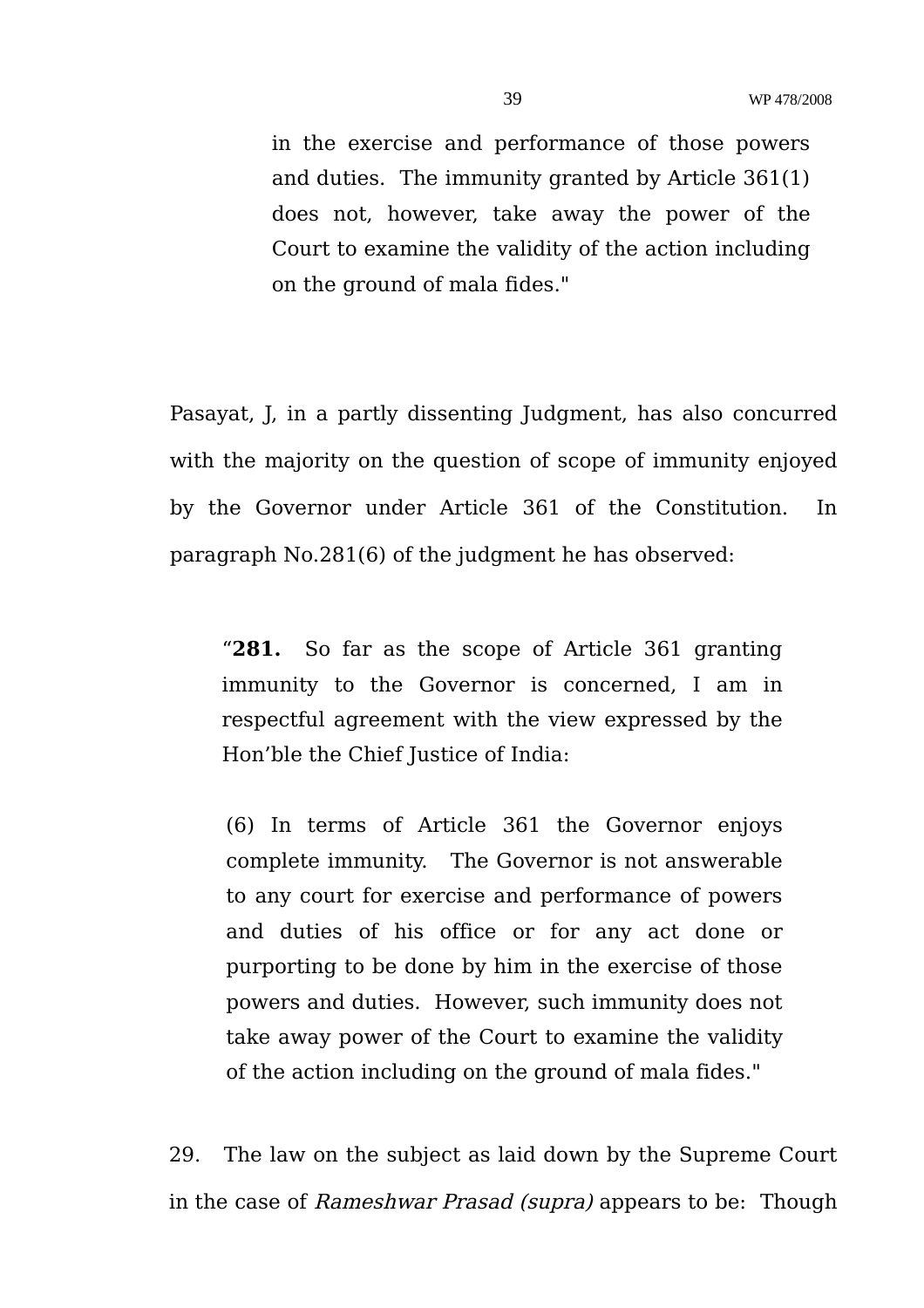in the exercise and performance of those powers and duties. The immunity granted by Article 361(1) does not, however, take away the power of the Court to examine the validity of the action including on the ground of mala fides."

Pasayat, J, in a partly dissenting Judgment, has also concurred with the majority on the question of scope of immunity enjoyed by the Governor under Article 361 of the Constitution. In paragraph No.281(6) of the judgment he has observed:

"**281.** So far as the scope of Article 361 granting immunity to the Governor is concerned, I am in respectful agreement with the view expressed by the Hon'ble the Chief Justice of India:

(6) In terms of Article 361 the Governor enjoys complete immunity. The Governor is not answerable to any court for exercise and performance of powers and duties of his office or for any act done or purporting to be done by him in the exercise of those powers and duties. However, such immunity does not take away power of the Court to examine the validity of the action including on the ground of mala fides."

29. The law on the subject as laid down by the Supreme Court in the case of Rameshwar Prasad (supra) appears to be: Though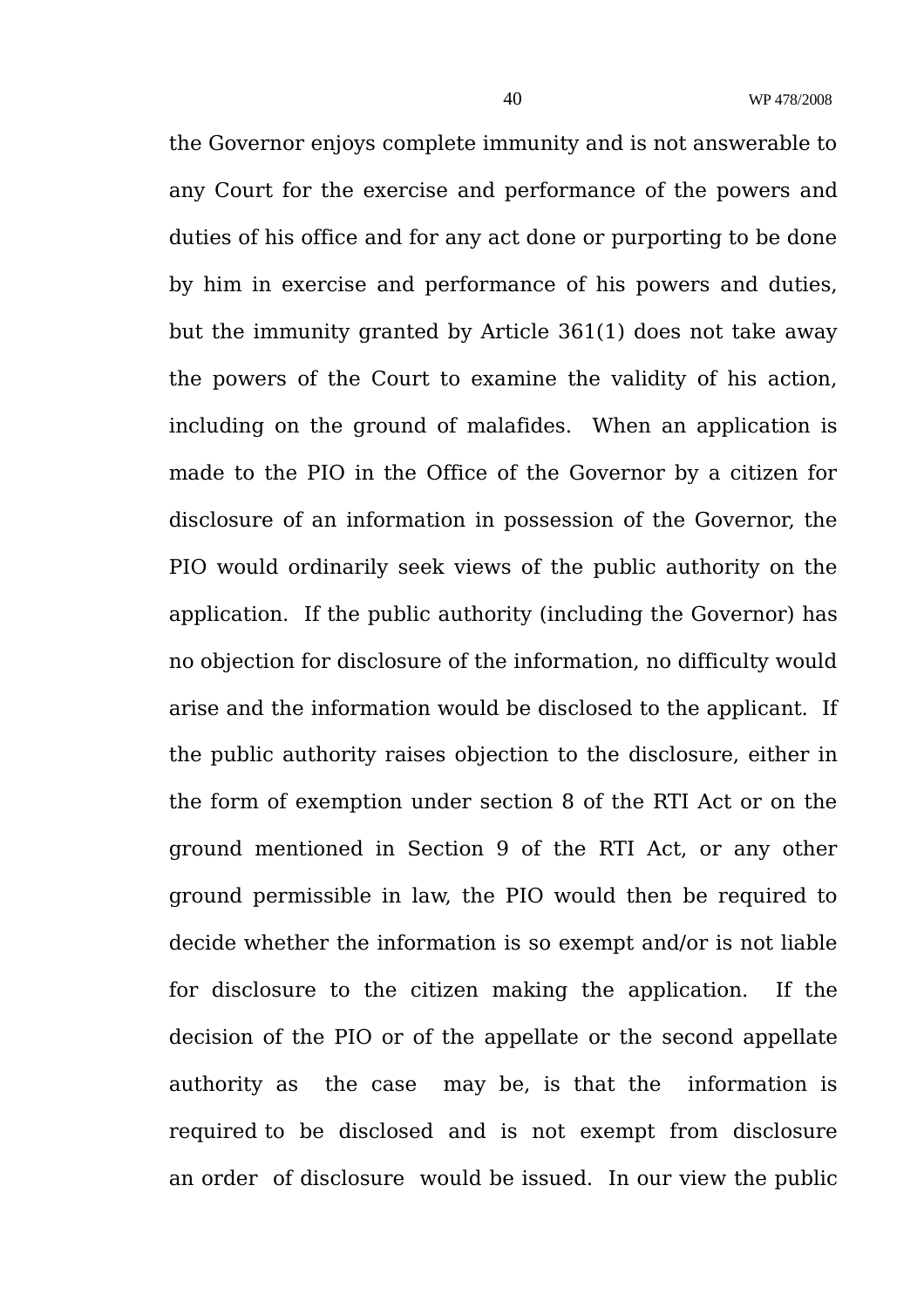the Governor enjoys complete immunity and is not answerable to any Court for the exercise and performance of the powers and duties of his office and for any act done or purporting to be done by him in exercise and performance of his powers and duties, but the immunity granted by Article 361(1) does not take away the powers of the Court to examine the validity of his action, including on the ground of malafides. When an application is made to the PIO in the Office of the Governor by a citizen for disclosure of an information in possession of the Governor, the PIO would ordinarily seek views of the public authority on the application. If the public authority (including the Governor) has no objection for disclosure of the information, no difficulty would arise and the information would be disclosed to the applicant. If the public authority raises objection to the disclosure, either in the form of exemption under section 8 of the RTI Act or on the ground mentioned in Section 9 of the RTI Act, or any other ground permissible in law, the PIO would then be required to decide whether the information is so exempt and/or is not liable for disclosure to the citizen making the application. If the decision of the PIO or of the appellate or the second appellate authority as the case may be, is that the information is required to be disclosed and is not exempt from disclosure an order of disclosure would be issued. In our view the public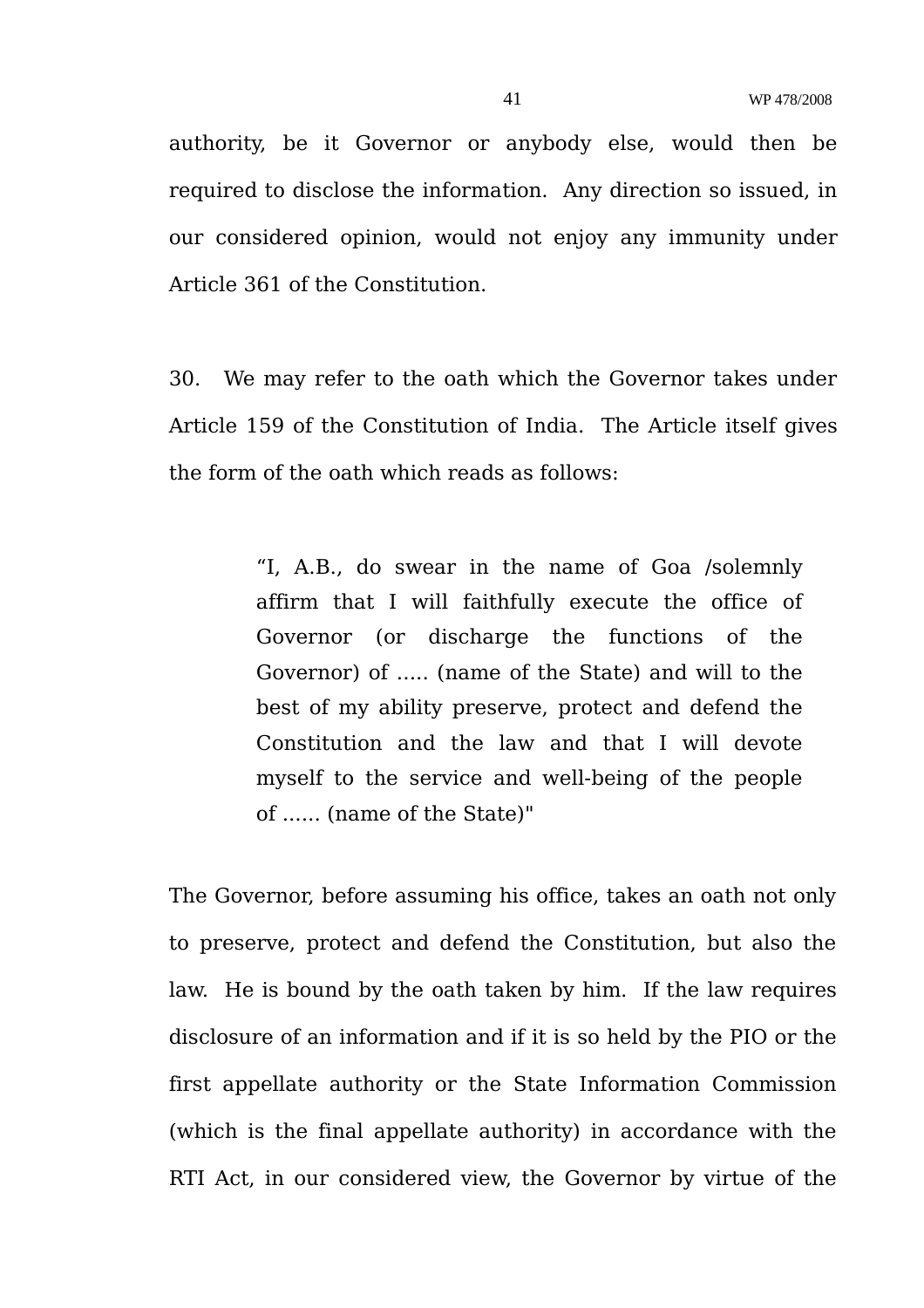authority, be it Governor or anybody else, would then be required to disclose the information. Any direction so issued, in our considered opinion, would not enjoy any immunity under Article 361 of the Constitution.

30. We may refer to the oath which the Governor takes under Article 159 of the Constitution of India. The Article itself gives the form of the oath which reads as follows:

> "I, A.B., do swear in the name of Goa /solemnly affirm that I will faithfully execute the office of Governor (or discharge the functions of the Governor) of ..... (name of the State) and will to the best of my ability preserve, protect and defend the Constitution and the law and that I will devote myself to the service and well-being of the people of ...... (name of the State)"

The Governor, before assuming his office, takes an oath not only to preserve, protect and defend the Constitution, but also the law. He is bound by the oath taken by him. If the law requires disclosure of an information and if it is so held by the PIO or the first appellate authority or the State Information Commission (which is the final appellate authority) in accordance with the RTI Act, in our considered view, the Governor by virtue of the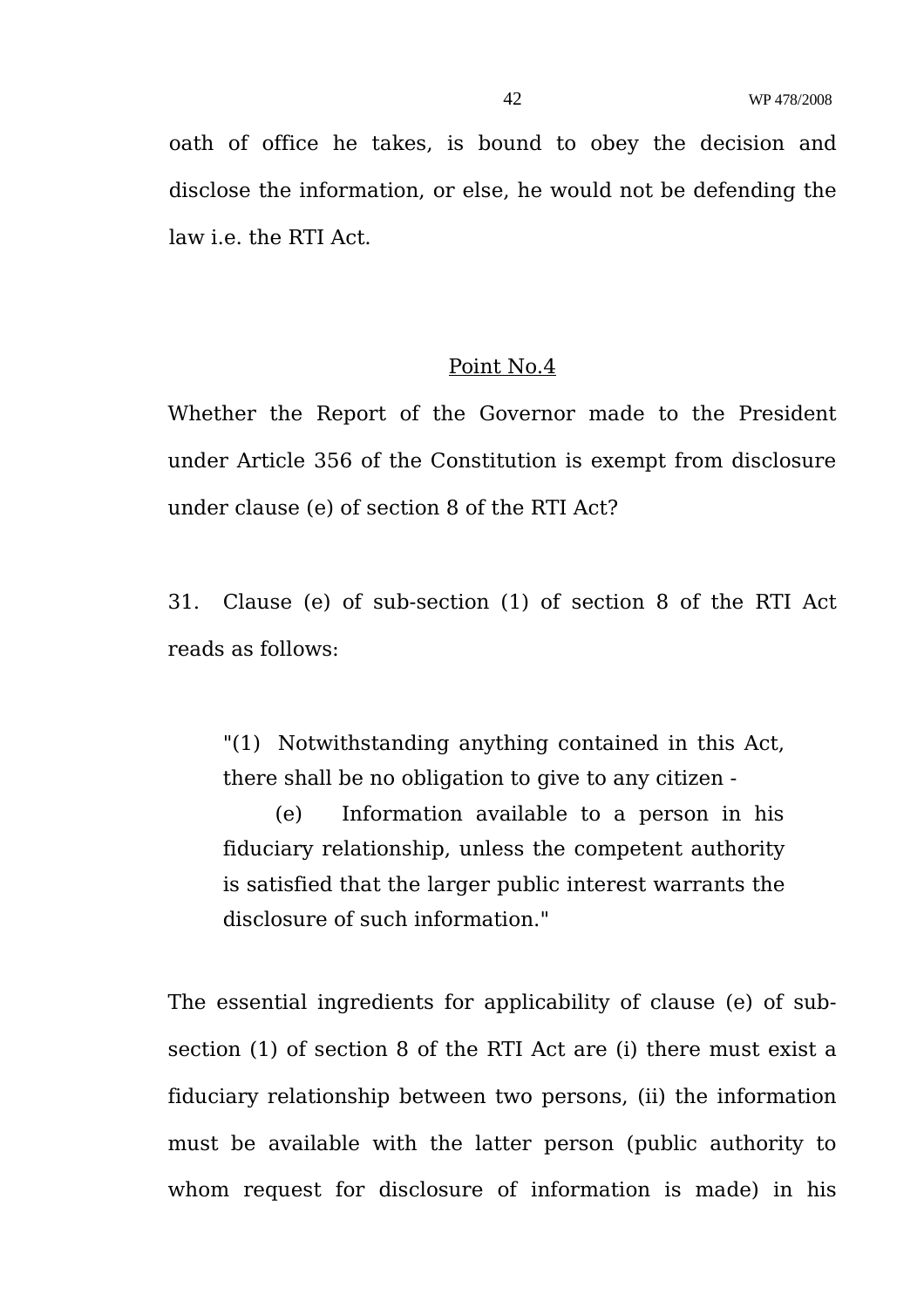oath of office he takes, is bound to obey the decision and disclose the information, or else, he would not be defending the law i.e. the RTI Act.

### Point No.4

Whether the Report of the Governor made to the President under Article 356 of the Constitution is exempt from disclosure under clause (e) of section 8 of the RTI Act?

31. Clause (e) of sub-section (1) of section 8 of the RTI Act reads as follows:

"(1) Notwithstanding anything contained in this Act, there shall be no obligation to give to any citizen -

 (e) Information available to a person in his fiduciary relationship, unless the competent authority is satisfied that the larger public interest warrants the disclosure of such information."

The essential ingredients for applicability of clause (e) of subsection (1) of section 8 of the RTI Act are (i) there must exist a fiduciary relationship between two persons, (ii) the information must be available with the latter person (public authority to whom request for disclosure of information is made) in his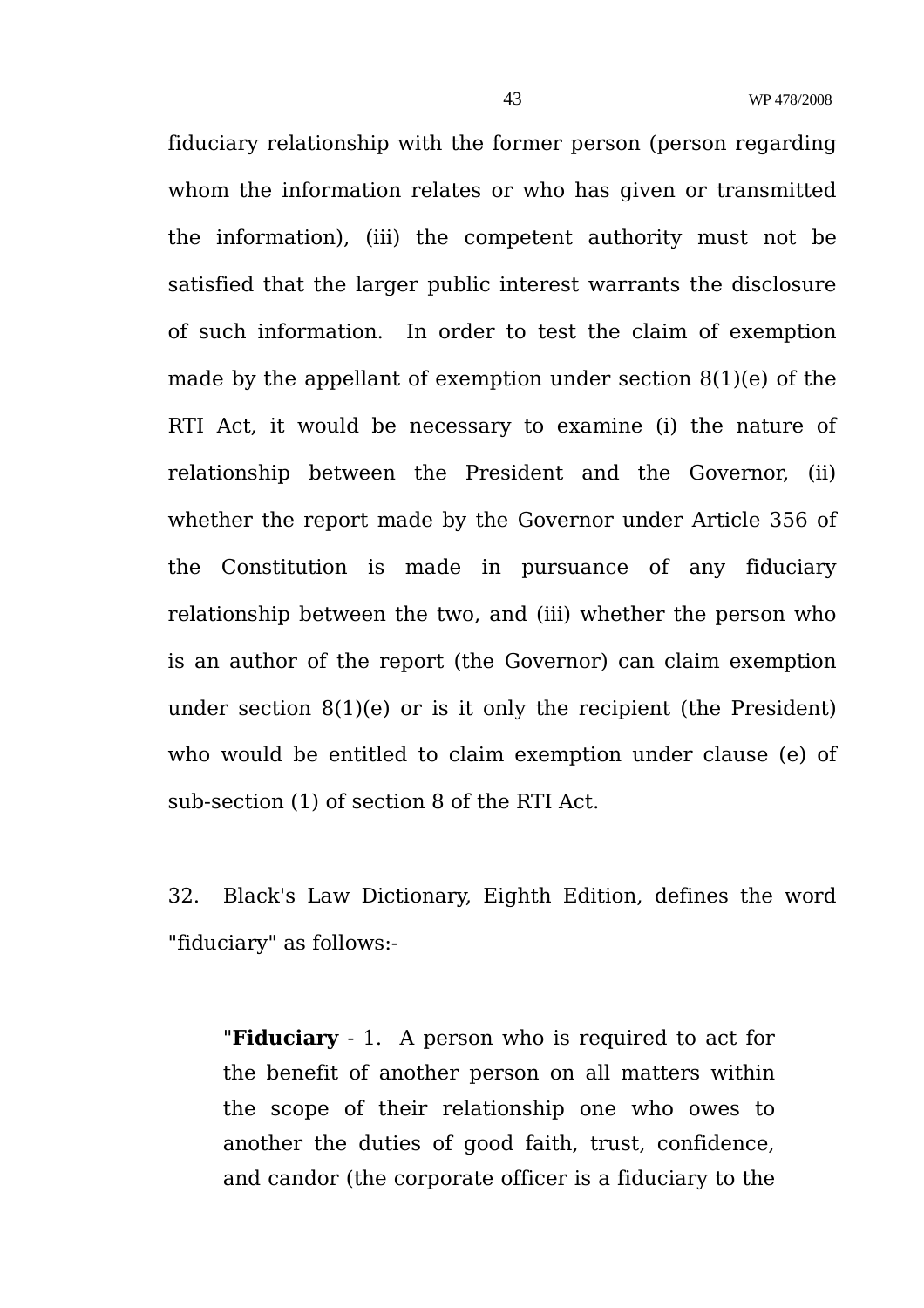fiduciary relationship with the former person (person regarding whom the information relates or who has given or transmitted the information), (iii) the competent authority must not be satisfied that the larger public interest warrants the disclosure of such information. In order to test the claim of exemption made by the appellant of exemption under section 8(1)(e) of the RTI Act, it would be necessary to examine (i) the nature of relationship between the President and the Governor, (ii) whether the report made by the Governor under Article 356 of the Constitution is made in pursuance of any fiduciary relationship between the two, and (iii) whether the person who is an author of the report (the Governor) can claim exemption under section 8(1)(e) or is it only the recipient (the President) who would be entitled to claim exemption under clause (e) of sub-section (1) of section 8 of the RTI Act.

32. Black's Law Dictionary, Eighth Edition, defines the word "fiduciary" as follows:-

"**Fiduciary** - 1. A person who is required to act for the benefit of another person on all matters within the scope of their relationship one who owes to another the duties of good faith, trust, confidence, and candor (the corporate officer is a fiduciary to the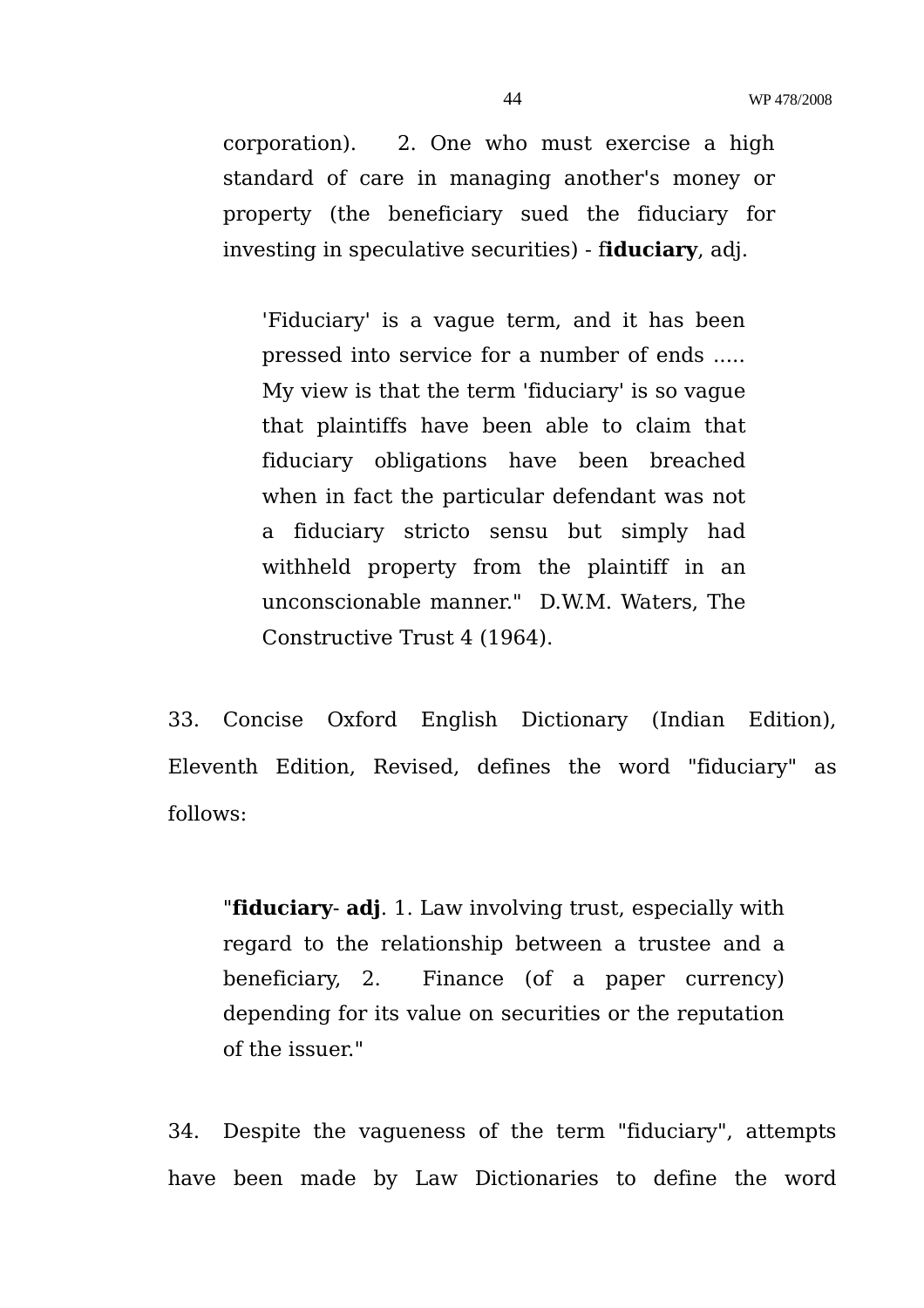corporation). 2. One who must exercise a high standard of care in managing another's money or property (the beneficiary sued the fiduciary for investing in speculative securities) - f**iduciary**, adj.

'Fiduciary' is a vague term, and it has been pressed into service for a number of ends ..... My view is that the term 'fiduciary' is so vague that plaintiffs have been able to claim that fiduciary obligations have been breached when in fact the particular defendant was not a fiduciary stricto sensu but simply had withheld property from the plaintiff in an unconscionable manner." D.W.M. Waters, The Constructive Trust 4 (1964).

33. Concise Oxford English Dictionary (Indian Edition), Eleventh Edition, Revised, defines the word "fiduciary" as follows:

"**fiduciary**- **adj**. 1. Law involving trust, especially with regard to the relationship between a trustee and a beneficiary, 2. Finance (of a paper currency) depending for its value on securities or the reputation of the issuer."

34. Despite the vagueness of the term "fiduciary", attempts have been made by Law Dictionaries to define the word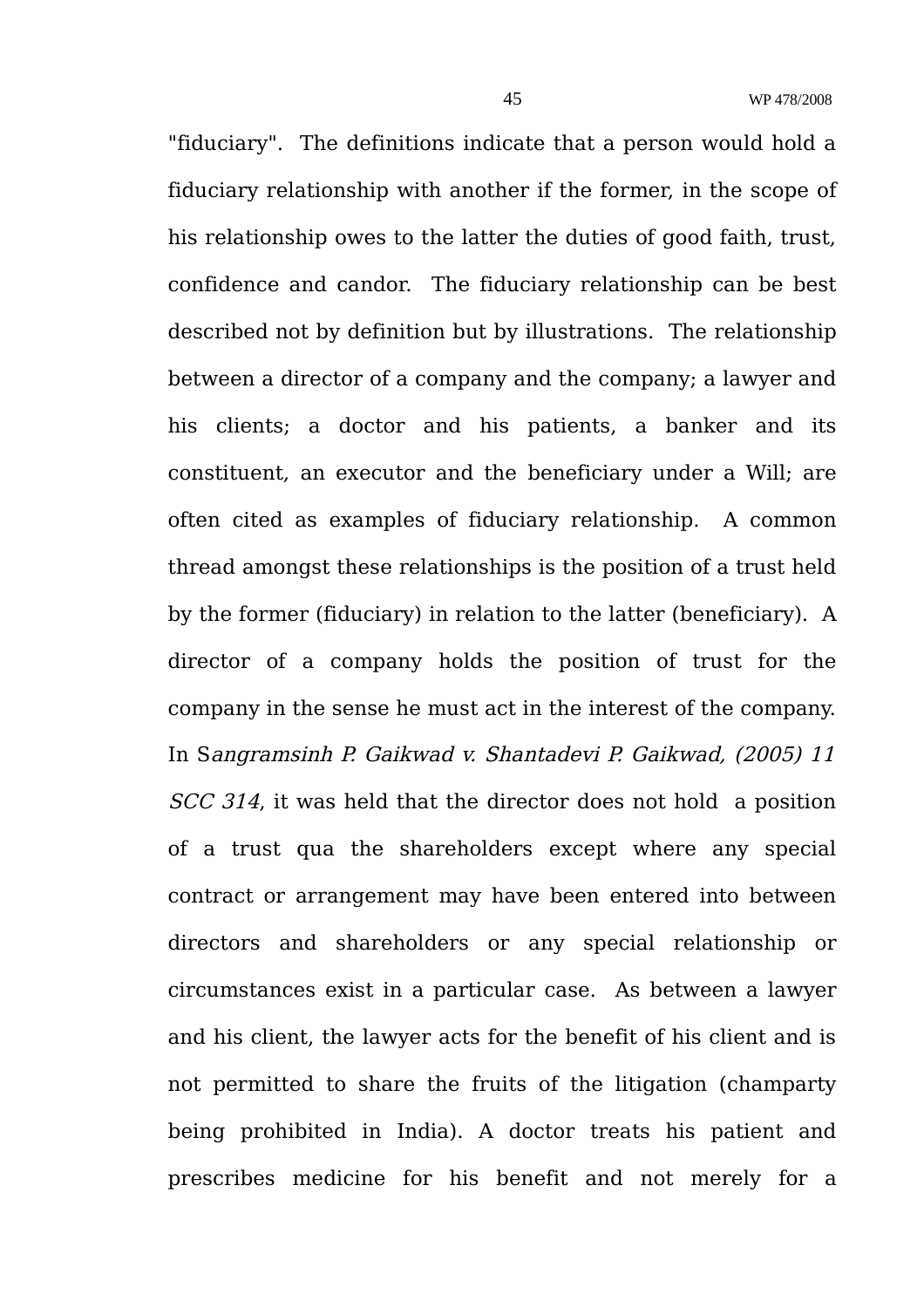"fiduciary". The definitions indicate that a person would hold a fiduciary relationship with another if the former, in the scope of his relationship owes to the latter the duties of good faith, trust, confidence and candor. The fiduciary relationship can be best described not by definition but by illustrations. The relationship between a director of a company and the company; a lawyer and his clients; a doctor and his patients, a banker and its constituent, an executor and the beneficiary under a Will; are often cited as examples of fiduciary relationship. A common thread amongst these relationships is the position of a trust held by the former (fiduciary) in relation to the latter (beneficiary). A director of a company holds the position of trust for the company in the sense he must act in the interest of the company. In Sangramsinh P. Gaikwad v. Shantadevi P. Gaikwad, (2005) 11 SCC 314, it was held that the director does not hold a position of a trust qua the shareholders except where any special contract or arrangement may have been entered into between directors and shareholders or any special relationship or circumstances exist in a particular case. As between a lawyer and his client, the lawyer acts for the benefit of his client and is not permitted to share the fruits of the litigation (champarty being prohibited in India). A doctor treats his patient and prescribes medicine for his benefit and not merely for a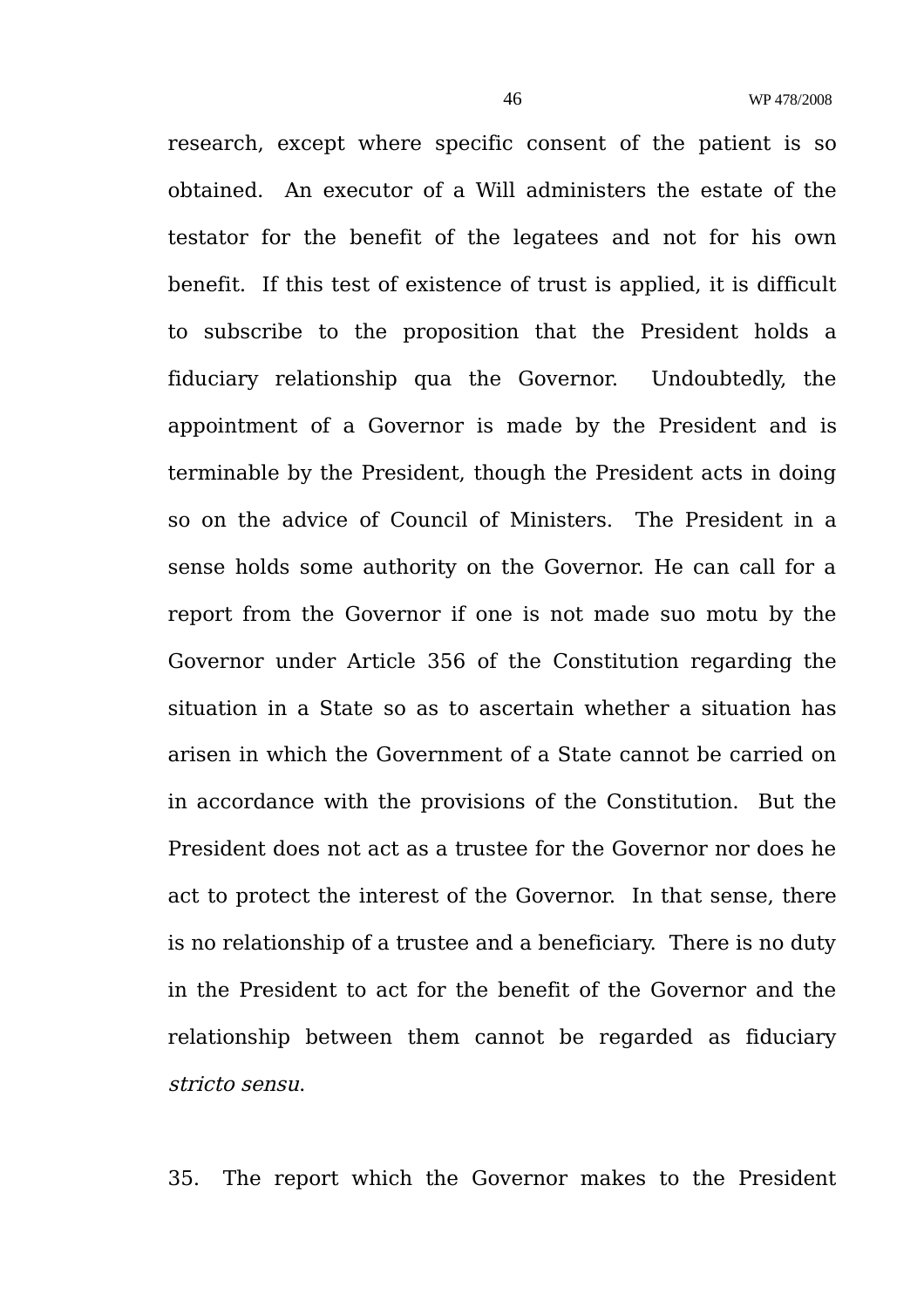research, except where specific consent of the patient is so obtained. An executor of a Will administers the estate of the testator for the benefit of the legatees and not for his own benefit. If this test of existence of trust is applied, it is difficult to subscribe to the proposition that the President holds a fiduciary relationship qua the Governor. Undoubtedly, the appointment of a Governor is made by the President and is terminable by the President, though the President acts in doing so on the advice of Council of Ministers. The President in a sense holds some authority on the Governor. He can call for a report from the Governor if one is not made suo motu by the Governor under Article 356 of the Constitution regarding the situation in a State so as to ascertain whether a situation has arisen in which the Government of a State cannot be carried on in accordance with the provisions of the Constitution. But the President does not act as a trustee for the Governor nor does he act to protect the interest of the Governor. In that sense, there is no relationship of a trustee and a beneficiary. There is no duty in the President to act for the benefit of the Governor and the relationship between them cannot be regarded as fiduciary stricto sensu.

35. The report which the Governor makes to the President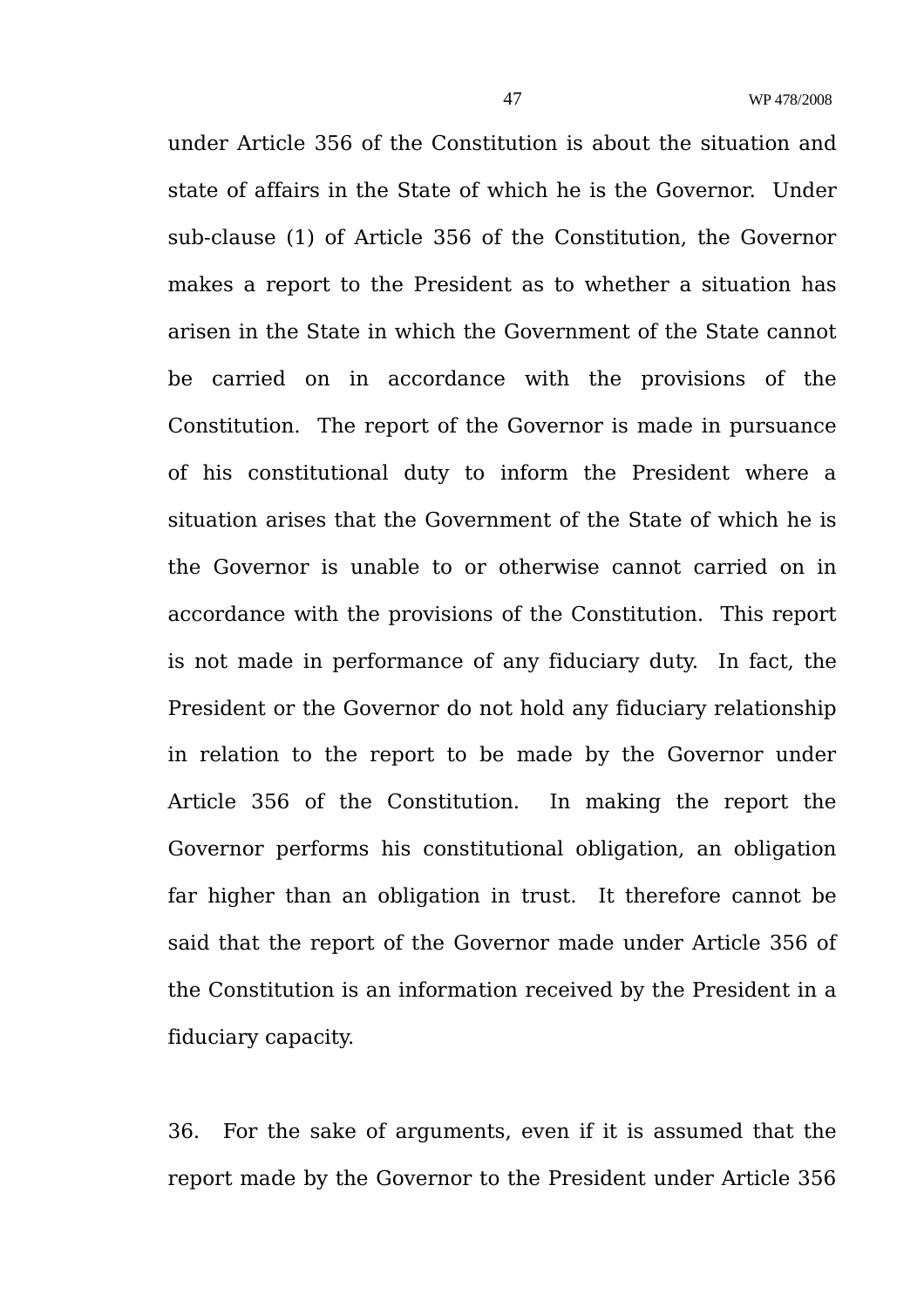under Article 356 of the Constitution is about the situation and state of affairs in the State of which he is the Governor. Under sub-clause (1) of Article 356 of the Constitution, the Governor makes a report to the President as to whether a situation has arisen in the State in which the Government of the State cannot be carried on in accordance with the provisions of the Constitution. The report of the Governor is made in pursuance of his constitutional duty to inform the President where a situation arises that the Government of the State of which he is the Governor is unable to or otherwise cannot carried on in accordance with the provisions of the Constitution. This report is not made in performance of any fiduciary duty. In fact, the President or the Governor do not hold any fiduciary relationship in relation to the report to be made by the Governor under Article 356 of the Constitution. In making the report the Governor performs his constitutional obligation, an obligation far higher than an obligation in trust. It therefore cannot be said that the report of the Governor made under Article 356 of the Constitution is an information received by the President in a fiduciary capacity.

36. For the sake of arguments, even if it is assumed that the report made by the Governor to the President under Article 356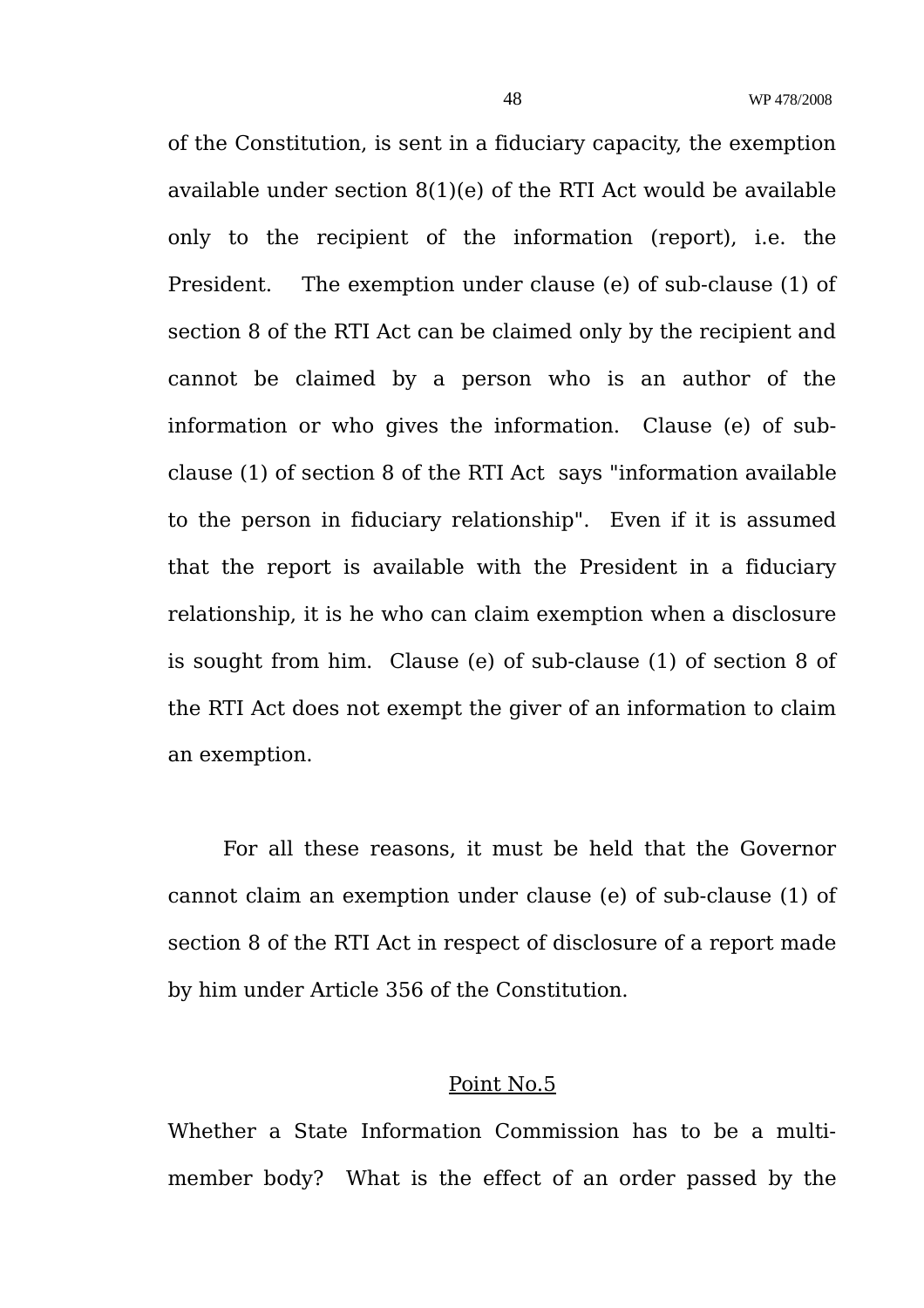of the Constitution, is sent in a fiduciary capacity, the exemption available under section 8(1)(e) of the RTI Act would be available only to the recipient of the information (report), i.e. the President. The exemption under clause (e) of sub-clause (1) of section 8 of the RTI Act can be claimed only by the recipient and cannot be claimed by a person who is an author of the information or who gives the information. Clause (e) of subclause (1) of section 8 of the RTI Act says "information available to the person in fiduciary relationship". Even if it is assumed that the report is available with the President in a fiduciary relationship, it is he who can claim exemption when a disclosure is sought from him. Clause (e) of sub-clause (1) of section 8 of the RTI Act does not exempt the giver of an information to claim an exemption.

For all these reasons, it must be held that the Governor cannot claim an exemption under clause (e) of sub-clause (1) of section 8 of the RTI Act in respect of disclosure of a report made by him under Article 356 of the Constitution.

## Point No.5

Whether a State Information Commission has to be a multimember body? What is the effect of an order passed by the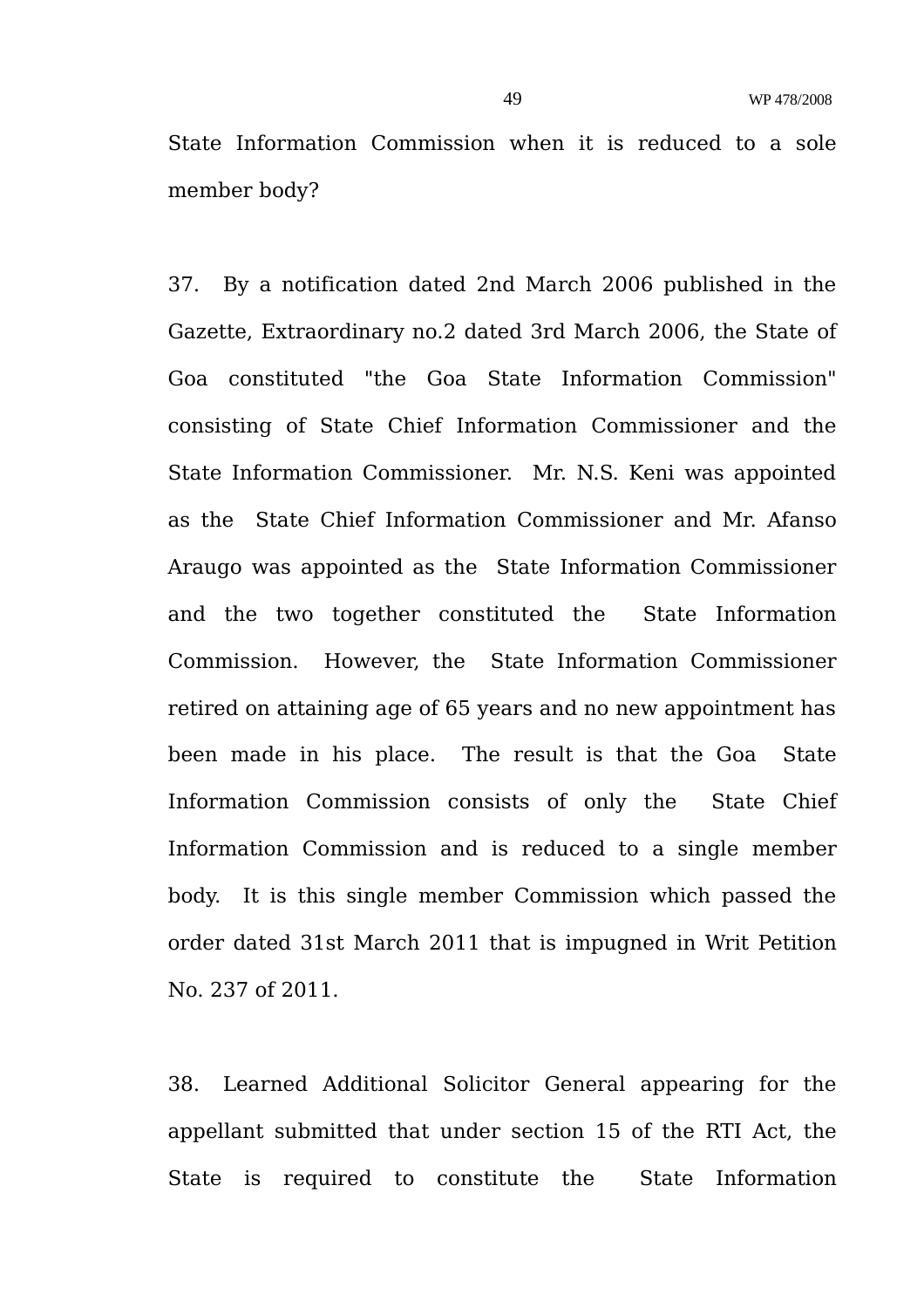State Information Commission when it is reduced to a sole member body?

37. By a notification dated 2nd March 2006 published in the Gazette, Extraordinary no.2 dated 3rd March 2006, the State of Goa constituted "the Goa State Information Commission" consisting of State Chief Information Commissioner and the State Information Commissioner. Mr. N.S. Keni was appointed as the State Chief Information Commissioner and Mr. Afanso Araugo was appointed as the State Information Commissioner and the two together constituted the State Information Commission. However, the State Information Commissioner retired on attaining age of 65 years and no new appointment has been made in his place. The result is that the Goa State Information Commission consists of only the State Chief Information Commission and is reduced to a single member body. It is this single member Commission which passed the order dated 31st March 2011 that is impugned in Writ Petition No. 237 of 2011.

38. Learned Additional Solicitor General appearing for the appellant submitted that under section 15 of the RTI Act, the State is required to constitute the State Information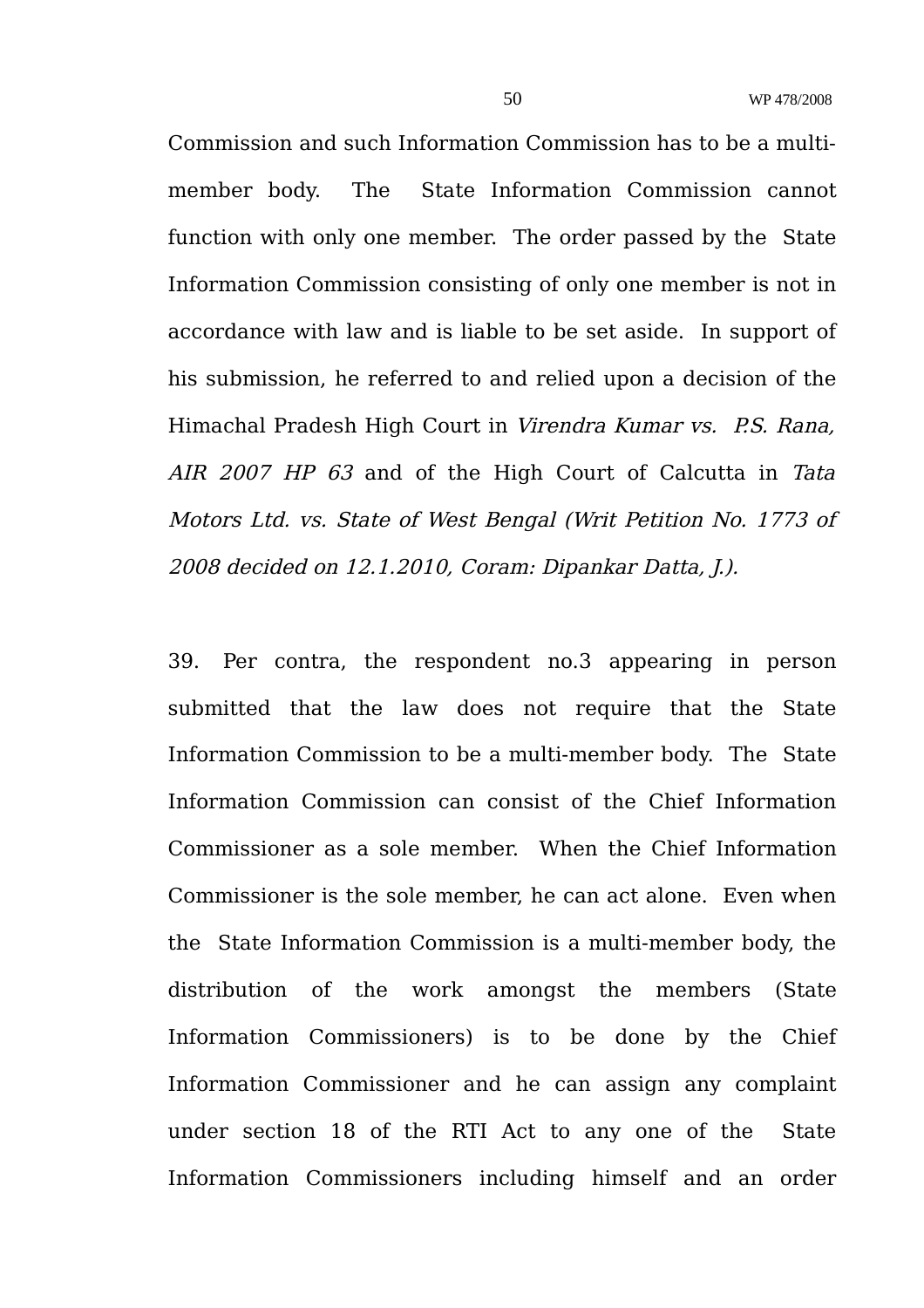Commission and such Information Commission has to be a multimember body. The State Information Commission cannot function with only one member. The order passed by the State Information Commission consisting of only one member is not in accordance with law and is liable to be set aside. In support of his submission, he referred to and relied upon a decision of the Himachal Pradesh High Court in Virendra Kumar vs. P.S. Rana, AIR 2007 HP 63 and of the High Court of Calcutta in Tata Motors Ltd. vs. State of West Bengal (Writ Petition No. 1773 of 2008 decided on 12.1.2010, Coram: Dipankar Datta, J.).

39. Per contra, the respondent no.3 appearing in person submitted that the law does not require that the State Information Commission to be a multi-member body. The State Information Commission can consist of the Chief Information Commissioner as a sole member. When the Chief Information Commissioner is the sole member, he can act alone. Even when the State Information Commission is a multi-member body, the distribution of the work amongst the members (State Information Commissioners) is to be done by the Chief Information Commissioner and he can assign any complaint under section 18 of the RTI Act to any one of the State Information Commissioners including himself and an order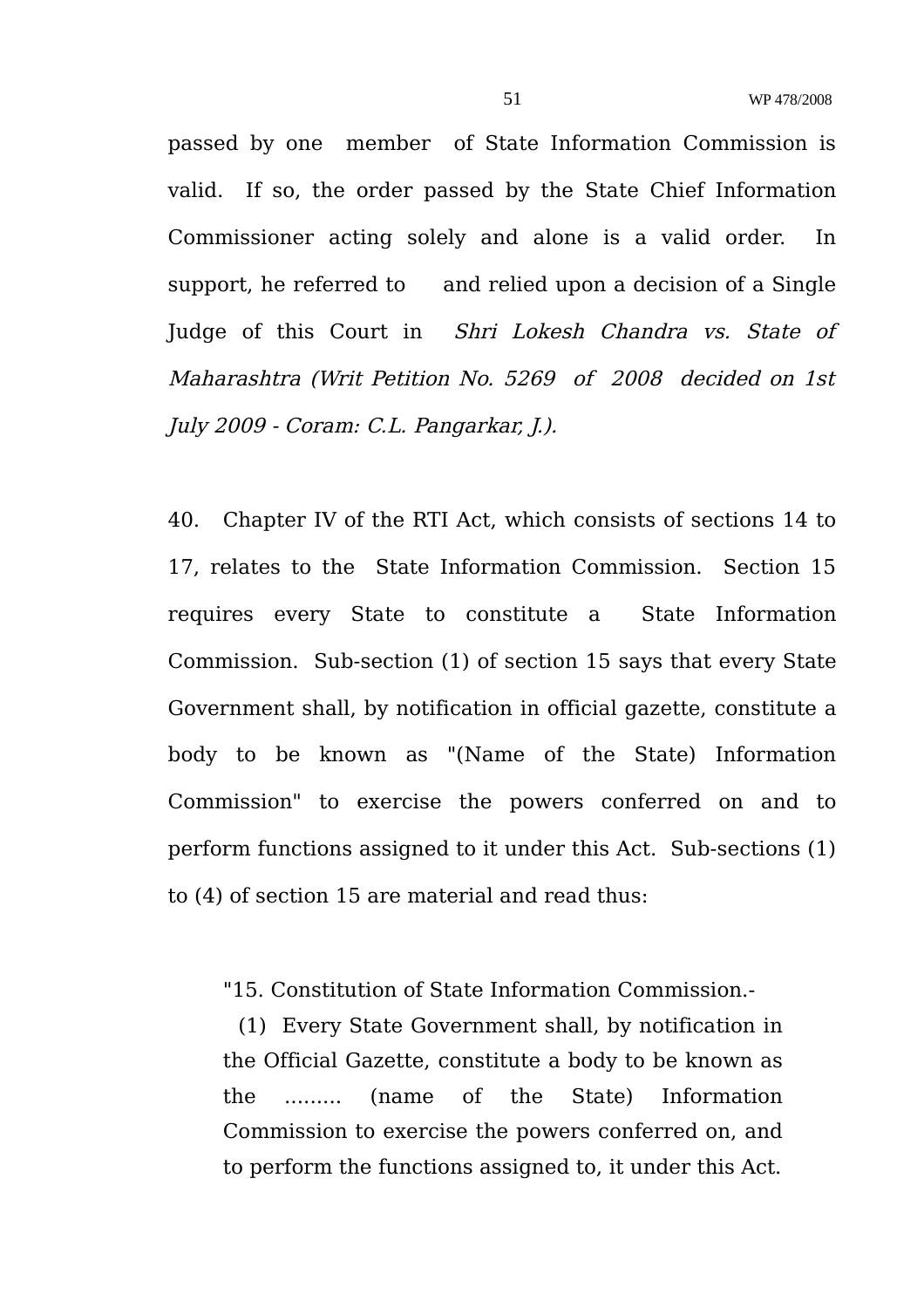passed by one member of State Information Commission is valid. If so, the order passed by the State Chief Information Commissioner acting solely and alone is a valid order. In support, he referred to and relied upon a decision of a Single Judge of this Court in Shri Lokesh Chandra vs. State of Maharashtra (Writ Petition No. 5269 of 2008 decided on 1st July 2009 - Coram: C.L. Pangarkar, J.).

40. Chapter IV of the RTI Act, which consists of sections 14 to 17, relates to the State Information Commission. Section 15 requires every State to constitute a State Information Commission. Sub-section (1) of section 15 says that every State Government shall, by notification in official gazette, constitute a body to be known as "(Name of the State) Information Commission" to exercise the powers conferred on and to perform functions assigned to it under this Act. Sub-sections (1) to (4) of section 15 are material and read thus:

"15. Constitution of State Information Commission.-

 (1) Every State Government shall, by notification in the Official Gazette, constitute a body to be known as the ......... (name of the State) Information Commission to exercise the powers conferred on, and to perform the functions assigned to, it under this Act.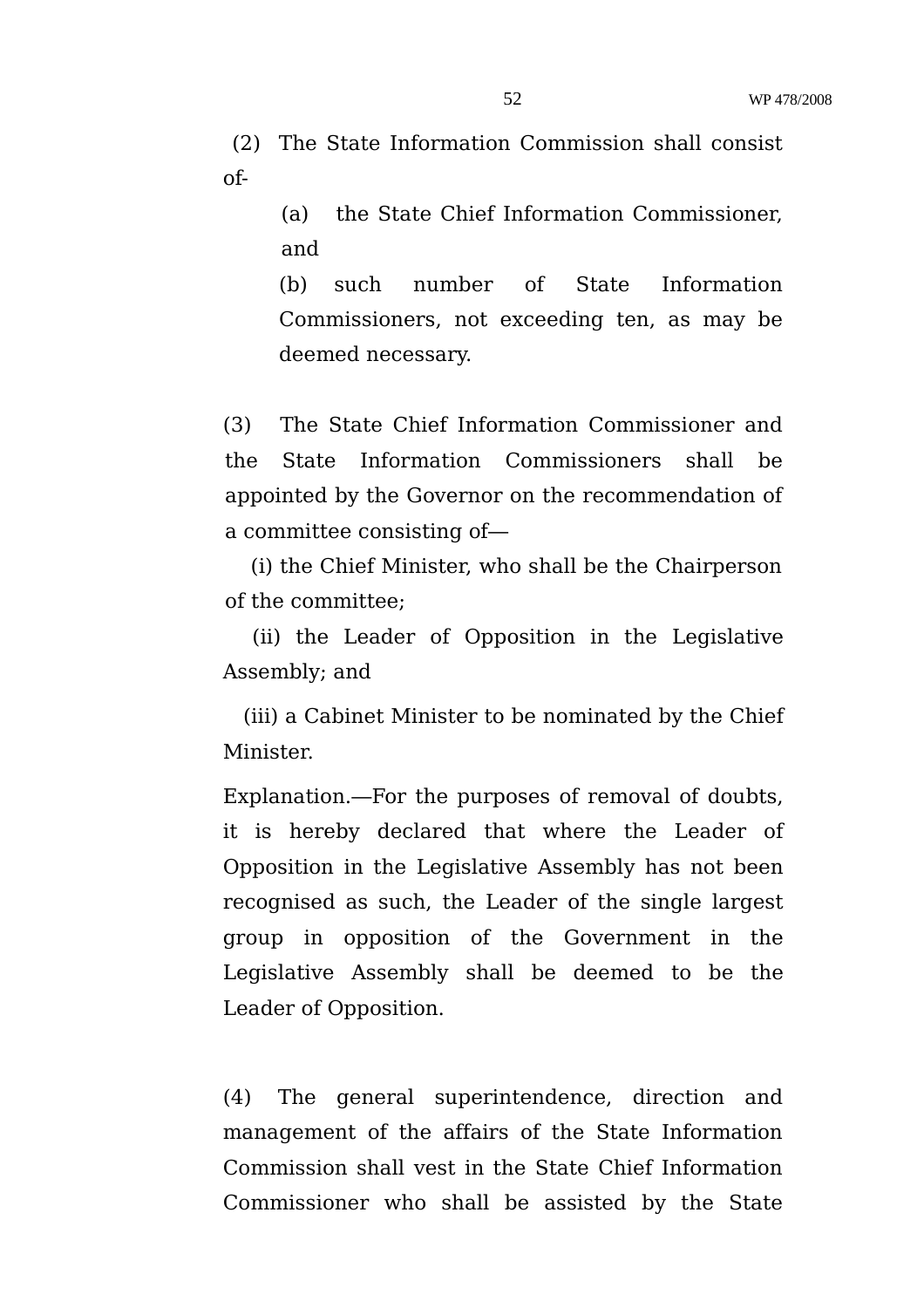(2) The State Information Commission shall consist of-

> (a) the State Chief Information Commissioner, and

> (b) such number of State Information Commissioners, not exceeding ten, as may be deemed necessary.

(3) The State Chief Information Commissioner and the State Information Commissioners shall be appointed by the Governor on the recommendation of a committee consisting of—

 (i) the Chief Minister, who shall be the Chairperson of the committee;

 (ii) the Leader of Opposition in the Legislative Assembly; and

 (iii) a Cabinet Minister to be nominated by the Chief Minister.

Explanation.—For the purposes of removal of doubts, it is hereby declared that where the Leader of Opposition in the Legislative Assembly has not been recognised as such, the Leader of the single largest group in opposition of the Government in the Legislative Assembly shall be deemed to be the Leader of Opposition.

(4) The general superintendence, direction and management of the affairs of the State Information Commission shall vest in the State Chief Information Commissioner who shall be assisted by the State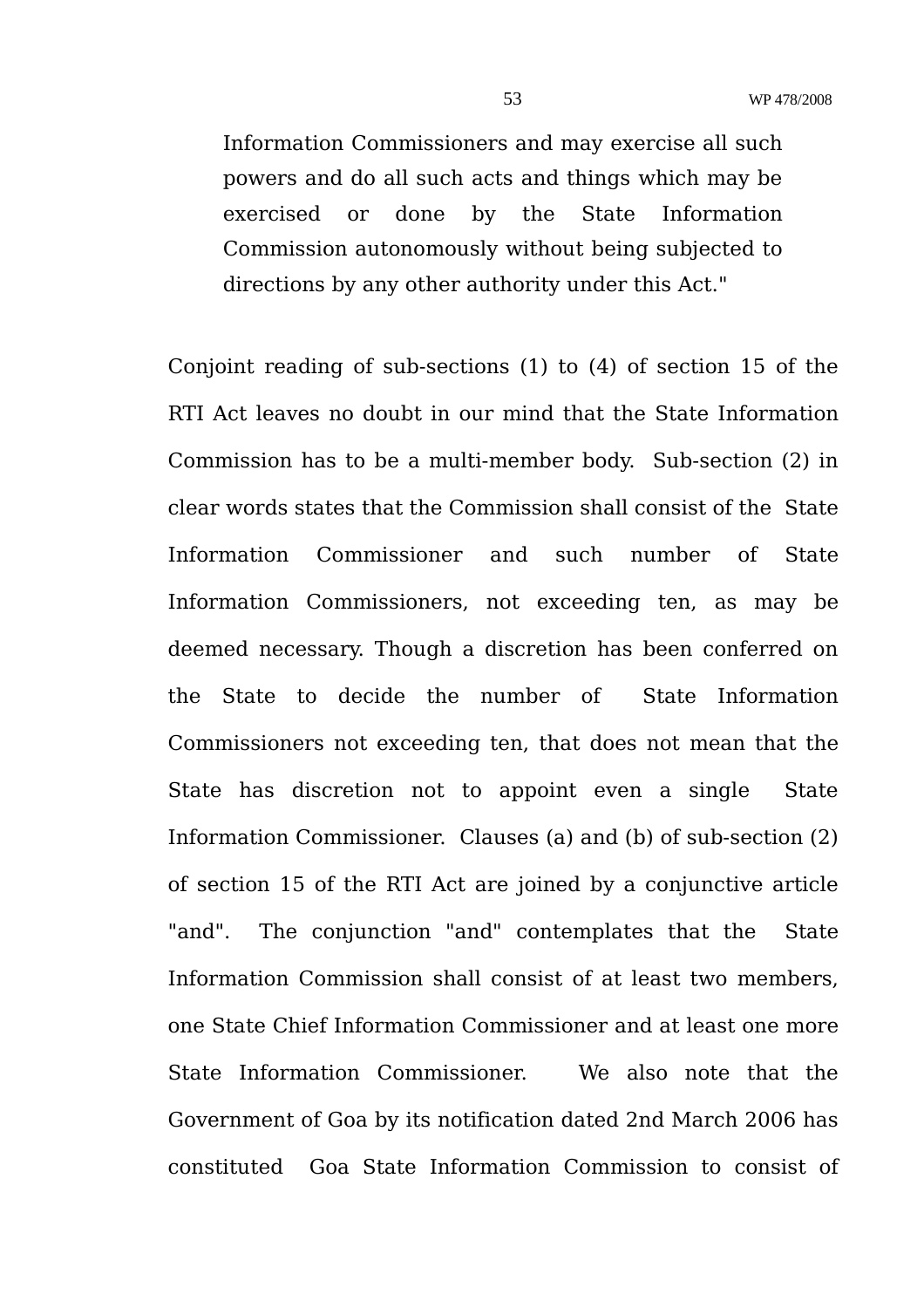Information Commissioners and may exercise all such powers and do all such acts and things which may be exercised or done by the State Information Commission autonomously without being subjected to directions by any other authority under this Act."

Conjoint reading of sub-sections (1) to (4) of section 15 of the RTI Act leaves no doubt in our mind that the State Information Commission has to be a multi-member body. Sub-section (2) in clear words states that the Commission shall consist of the State Information Commissioner and such number of State Information Commissioners, not exceeding ten, as may be deemed necessary. Though a discretion has been conferred on the State to decide the number of State Information Commissioners not exceeding ten, that does not mean that the State has discretion not to appoint even a single State Information Commissioner. Clauses (a) and (b) of sub-section (2) of section 15 of the RTI Act are joined by a conjunctive article "and". The conjunction "and" contemplates that the State Information Commission shall consist of at least two members, one State Chief Information Commissioner and at least one more State Information Commissioner. We also note that the Government of Goa by its notification dated 2nd March 2006 has constituted Goa State Information Commission to consist of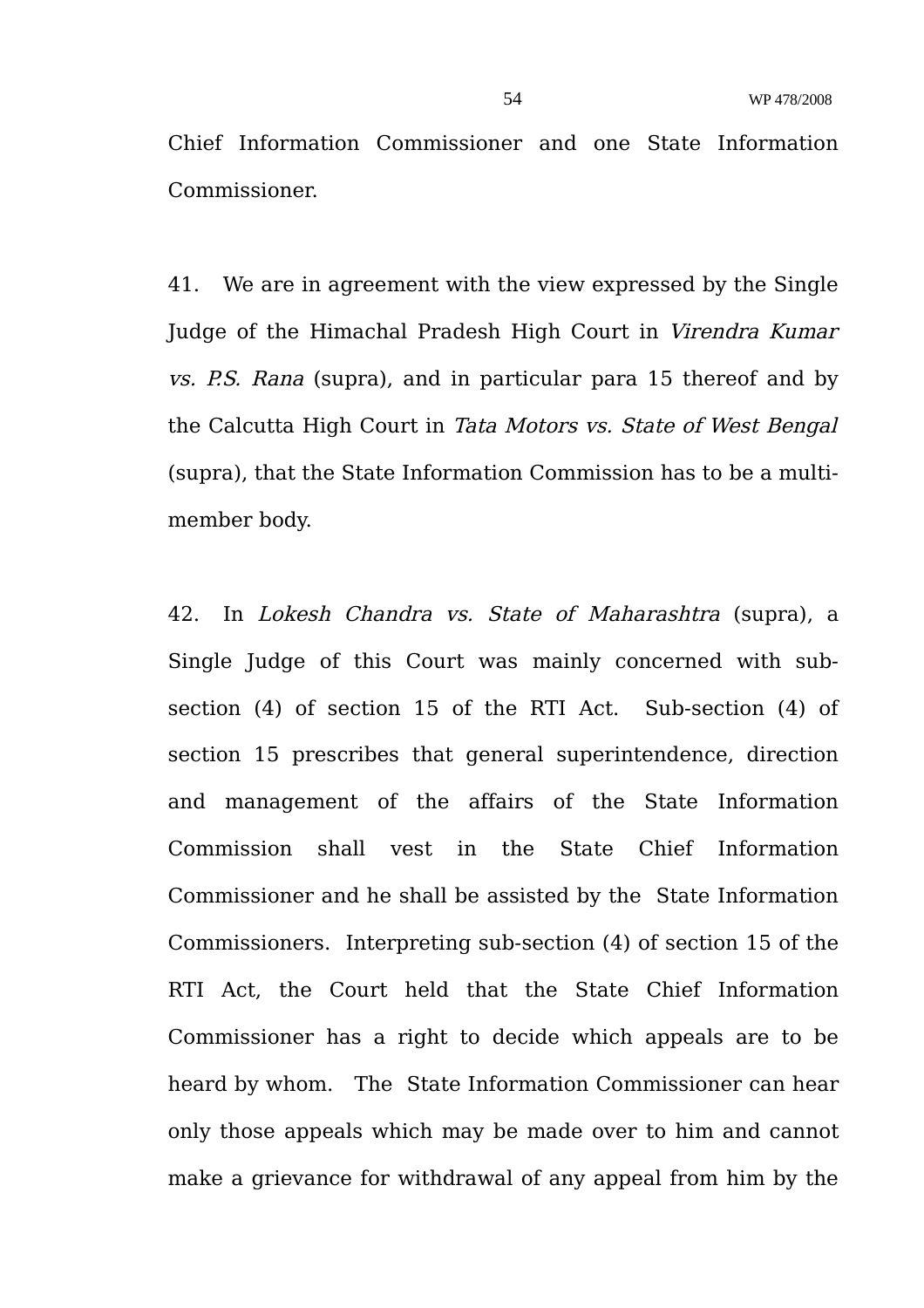Chief Information Commissioner and one State Information Commissioner.

41. We are in agreement with the view expressed by the Single Judge of the Himachal Pradesh High Court in Virendra Kumar vs. P.S. Rana (supra), and in particular para 15 thereof and by the Calcutta High Court in Tata Motors vs. State of West Bengal (supra), that the State Information Commission has to be a multimember body.

42. In Lokesh Chandra vs. State of Maharashtra (supra), a Single Judge of this Court was mainly concerned with subsection (4) of section 15 of the RTI Act. Sub-section (4) of section 15 prescribes that general superintendence, direction and management of the affairs of the State Information Commission shall vest in the State Chief Information Commissioner and he shall be assisted by the State Information Commissioners. Interpreting sub-section (4) of section 15 of the RTI Act, the Court held that the State Chief Information Commissioner has a right to decide which appeals are to be heard by whom. The State Information Commissioner can hear only those appeals which may be made over to him and cannot make a grievance for withdrawal of any appeal from him by the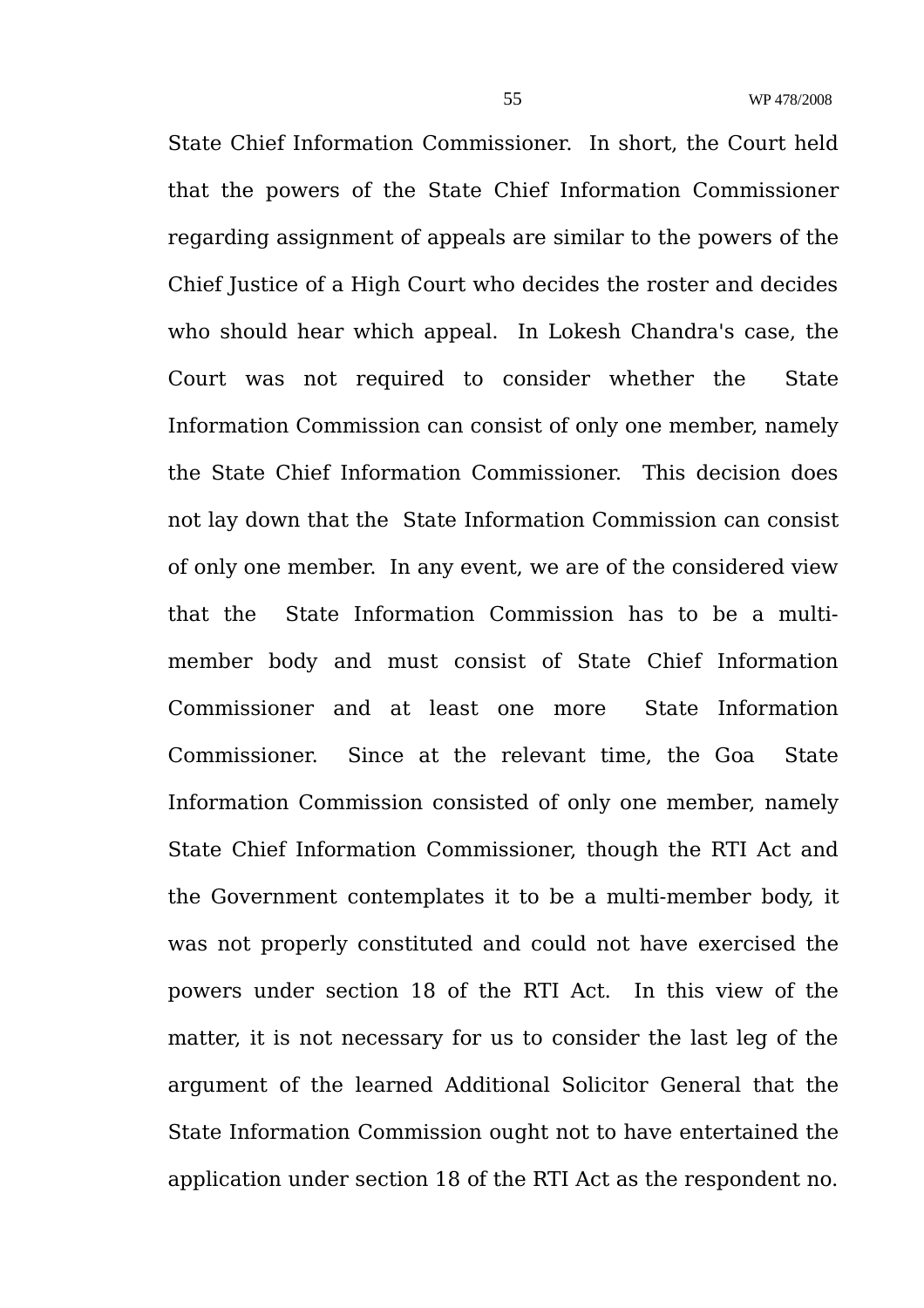State Chief Information Commissioner. In short, the Court held that the powers of the State Chief Information Commissioner regarding assignment of appeals are similar to the powers of the Chief Justice of a High Court who decides the roster and decides who should hear which appeal. In Lokesh Chandra's case, the Court was not required to consider whether the State Information Commission can consist of only one member, namely the State Chief Information Commissioner. This decision does not lay down that the State Information Commission can consist of only one member. In any event, we are of the considered view that the State Information Commission has to be a multimember body and must consist of State Chief Information Commissioner and at least one more State Information Commissioner. Since at the relevant time, the Goa State Information Commission consisted of only one member, namely State Chief Information Commissioner, though the RTI Act and the Government contemplates it to be a multi-member body, it was not properly constituted and could not have exercised the powers under section 18 of the RTI Act. In this view of the matter, it is not necessary for us to consider the last leg of the argument of the learned Additional Solicitor General that the State Information Commission ought not to have entertained the application under section 18 of the RTI Act as the respondent no.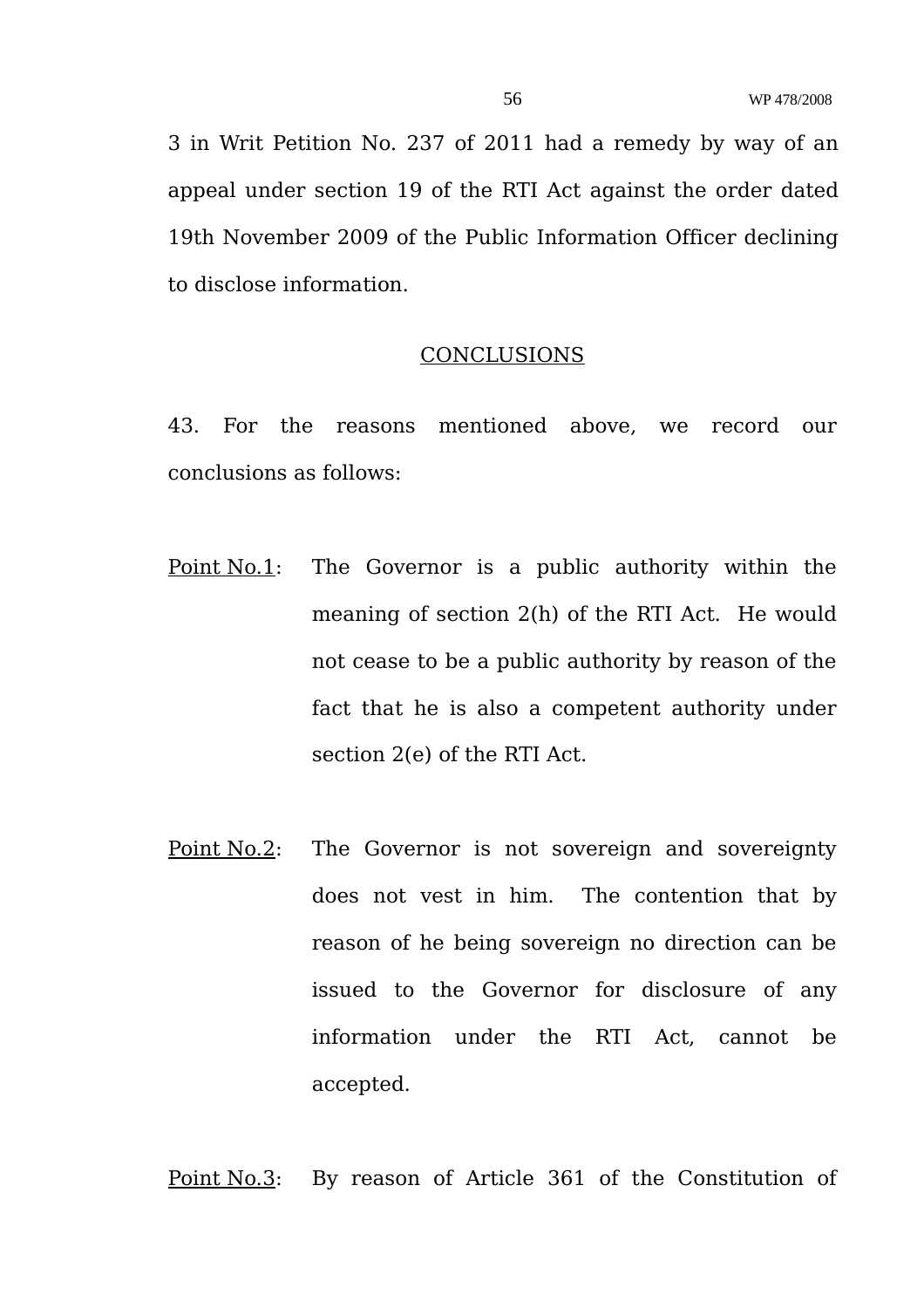3 in Writ Petition No. 237 of 2011 had a remedy by way of an appeal under section 19 of the RTI Act against the order dated 19th November 2009 of the Public Information Officer declining to disclose information.

#### CONCLUSIONS

43. For the reasons mentioned above, we record our conclusions as follows:

- Point No.1: The Governor is a public authority within the meaning of section 2(h) of the RTI Act. He would not cease to be a public authority by reason of the fact that he is also a competent authority under section 2(e) of the RTI Act.
- Point No.2: The Governor is not sovereign and sovereignty does not vest in him. The contention that by reason of he being sovereign no direction can be issued to the Governor for disclosure of any information under the RTI Act, cannot be accepted.

Point No.3: By reason of Article 361 of the Constitution of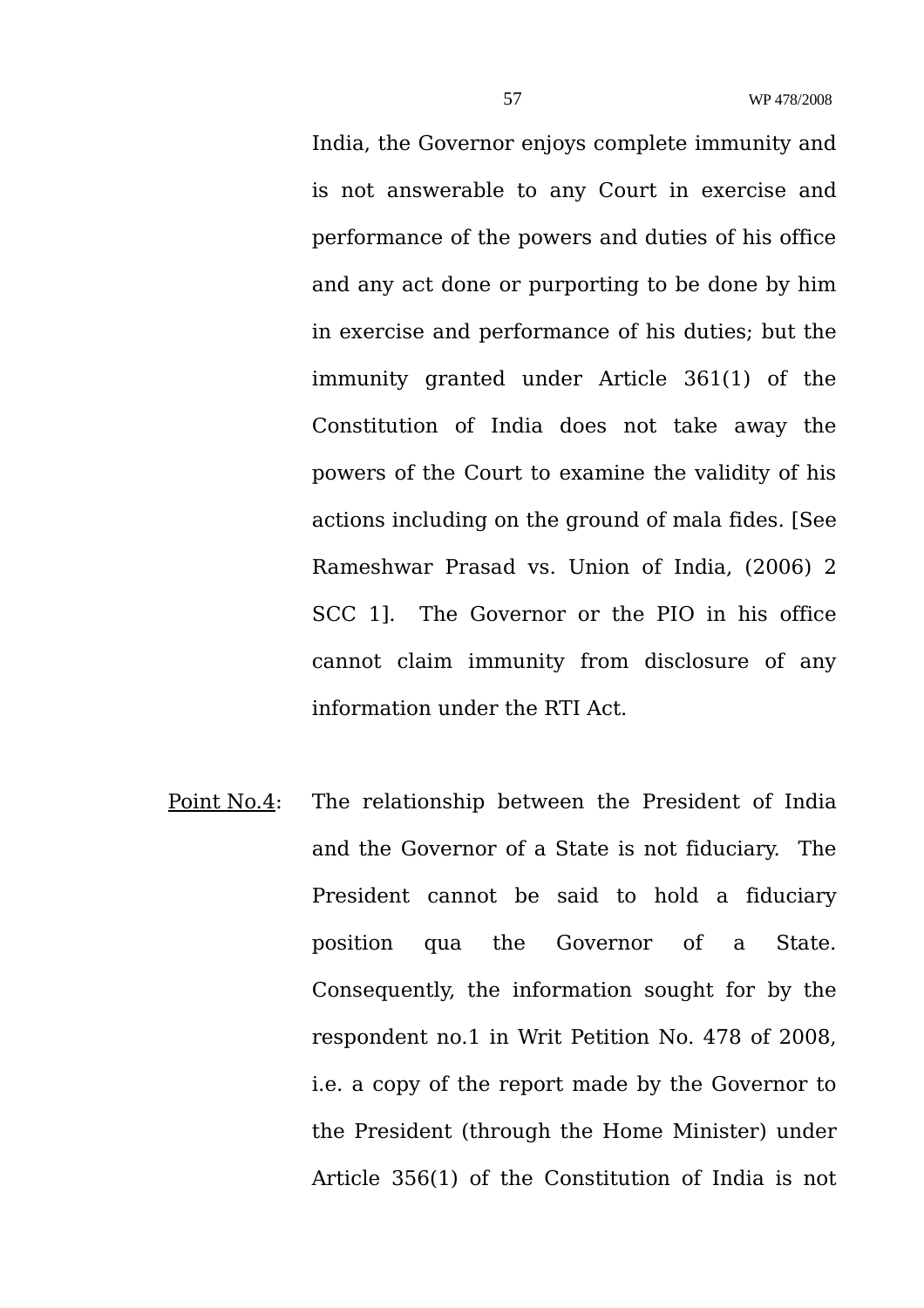India, the Governor enjoys complete immunity and is not answerable to any Court in exercise and performance of the powers and duties of his office and any act done or purporting to be done by him in exercise and performance of his duties; but the immunity granted under Article 361(1) of the Constitution of India does not take away the powers of the Court to examine the validity of his actions including on the ground of mala fides. [See Rameshwar Prasad vs. Union of India, (2006) 2 SCC 1]. The Governor or the PIO in his office cannot claim immunity from disclosure of any information under the RTI Act.

Point No.4: The relationship between the President of India and the Governor of a State is not fiduciary. The President cannot be said to hold a fiduciary position qua the Governor of a State. Consequently, the information sought for by the respondent no.1 in Writ Petition No. 478 of 2008, i.e. a copy of the report made by the Governor to the President (through the Home Minister) under Article 356(1) of the Constitution of India is not